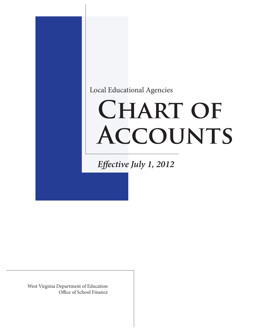Local Educational Agencies

# CHART OF **Accounts**

*Effective July 1, 2012*

West Virginia Department of Education Office of School Finance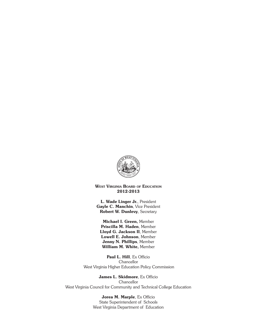

West Virginia Board of Education 2012-2013

L. Wade Linger Jr., President Gayle C. Manchin, Vice President Robert W. Dunlevy, Secretary

Michael I. Green, Member Priscilla M. Haden, Member Lloyd G. Jackson II, Member Lowell E. Johnson, Member Jenny N. Phillips, Member William M. White, Member

Paul L. Hill, Ex Officio Chancellor West Virginia Higher Education Policy Commission

James L. Skidmore, Ex Officio **Chancellor** West Virginia Council for Community and Technical College Education

> Jorea M. Marple, Ex Officio State Superintendent of Schools West Virginia Department of Education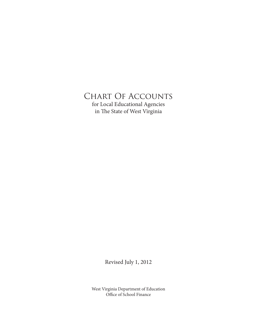# CHART OF ACCOUNTS

for Local Educational Agencies in The State of West Virginia

Revised July 1, 2012

West Virginia Department of Education Office of School Finance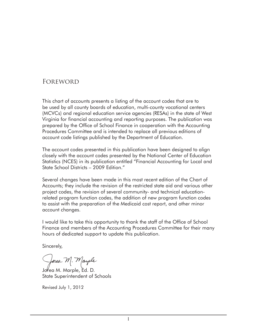### Foreword

This chart of accounts presents a listing of the account codes that are to be used by all county boards of education, multi-county vocational centers (MCVCs) and regional education service agencies (RESAs) in the state of West Virginia for financial accounting and reporting purposes. The publication was prepared by the Office of School Finance in cooperation with the Accounting Procedures Committee and is intended to replace all previous editions of account code listings published by the Department of Education.

The account codes presented in this publication have been designed to align closely with the account codes presented by the National Center of Education Statistics (NCES) in its publication entitled "Financial Accounting for Local and State School Districts – 2009 Edition."

Several changes have been made in this most recent edition of the Chart of Accounts; they include the revision of the restricted state aid and various other project codes, the revision of several community- and technical educationrelated program function codes, the addition of new program function codes to assist with the preparation of the Medicaid cost report, and other minor account changes.

I would like to take this opportunity to thank the staff of the Office of School Finance and members of the Accounting Procedures Committee for their many hours of dedicated support to update this publication.

Sincerely,

Jones M. Mayale

Jorea M. Marple, Ed. D. State Superintendent of Schools

Revised July 1, 2012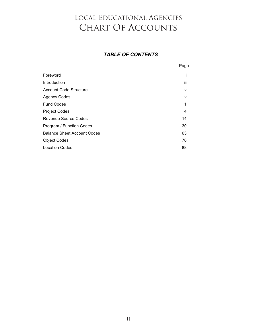### *TABLE OF CONTENTS*

|                                    | Page |
|------------------------------------|------|
| Foreword                           |      |
| Introduction                       | iii  |
| <b>Account Code Structure</b>      | iv   |
| <b>Agency Codes</b>                | v    |
| <b>Fund Codes</b>                  | 1    |
| <b>Project Codes</b>               | 4    |
| <b>Revenue Source Codes</b>        | 14   |
| Program / Function Codes           | 30   |
| <b>Balance Sheet Account Codes</b> | 63   |
| <b>Object Codes</b>                | 70   |
| <b>Location Codes</b>              | 88   |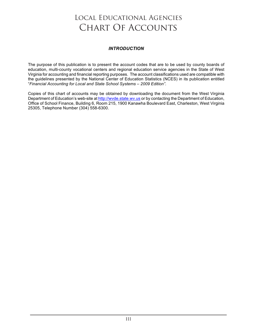#### *INTRODUCTION*

The purpose of this publication is to present the account codes that are to be used by county boards of education, multi-county vocational centers and regional education service agencies in the State of West Virginia for accounting and financial reporting purposes. The account classifications used are compatible with the guidelines presented by the National Center of Education Statistics (NCES) in its publication entitled "*Financial Accounting for Local and State School Systems – 2009 Edition".*

Copies of this chart of accounts may be obtained by downloading the document from the West Virginia Department of Education's web-site at http://wvde.state.wv.us or by contacting the Department of Education, Office of School Finance, Building 6, Room 215, 1900 Kanawha Boulevard East, Charleston, West Virginia 25305, Telephone Number (304) 558-6300.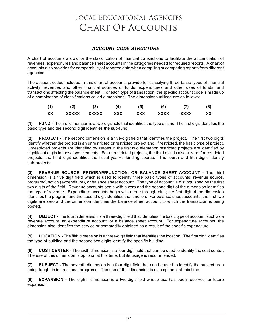#### *ACCOUNT CODE STRUCTURE*

A chart of accounts allows for the classification of financial transactions to facilitate the accumulation of revenues, expenditures and balance sheet accounts in the categories needed for required reports. A chart of accounts also provides for comparability of reported data when compiling or comparing reports from different agencies.

The account codes included in this chart of accounts provide for classifying three basic types of financial activity: revenues and other financial sources of funds, expenditures and other uses of funds, and transactions affecting the balance sheet. For each type of transaction, the specific account code is made up of a combination of classifications called dimensions. The dimensions utilized are as follows:

|          |              |              |     | (5) | (6)         |      | (8) |
|----------|--------------|--------------|-----|-----|-------------|------|-----|
| vv<br>^^ | <b>XXXXX</b> | <b>XXXXX</b> | XXX | xxx | <b>XXXX</b> | XXXX | ХX  |

**(1) FUND -** The first dimension is a two-digit field that identifies the type of fund. The first digit identifies the basic type and the second digit identifies the sub-fund.

**(2) PROJECT -** The second dimension is a five-digit field that identifies the project. The first two digits identify whether the project is an unrestricted or restricted project and, if restricted, the basic type of project. Unrestricted projects are identified by zeroes in the first two elements; restricted projects are identified by significant digits in these two elements. For unrestricted projects, the third digit is also a zero; for restricted projects, the third digit identifies the fiscal year=s funding source. The fourth and fifth digits identify sub-projects.

**(3) REVENUE SOURCE, PROGRAM/FUNCTION, OR BALANCE SHEET ACCOUNT -** The third dimension is a five digit field which is used to identify three basic types of accounts; revenue source, program/function (expenditure), or balance sheet account. The type of account is distinguished by the first two digits of the field. Revenue accounts begin with a zero and the second digit of the dimension identifies the type of revenue. Expenditure accounts begin with a one through nine; the first digit of the dimension identifies the program and the second digit identifies the function. For balance sheet accounts, the first two digits are zero and the dimension identifies the balance sheet account to which the transaction is being posted.

**(4) OBJECT -** The fourth dimension is a three-digit field that identifies the basic type of account, such as a revenue account, an expenditure account, or a balance sheet account. For expenditure accounts, the dimension also identifies the service or commodity obtained as a result of the specific expenditure.

**(5) LOCATION -** The fifth dimension is a three-digit field that identifies the location. The first digit identifies the type of building and the second two digits identify the specific building.

**(6) COST CENTER -** The sixth dimension is a four-digit field that can be used to identify the cost center. The use of this dimension is optional at this time, but its usage is recommended.

**(7) SUBJECT -** The seventh dimension is a four-digit field that can be used to identify the subject area being taught in instructional programs. The use of this dimension is also optional at this time.

**(8) EXPANSION -** The eighth dimension is a two-digit field whose use has been reserved for future expansion.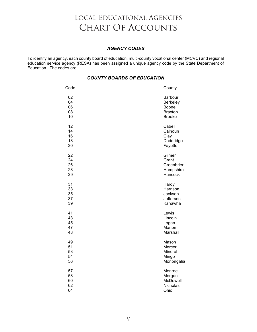#### *AGENCY CODES*

To identify an agency, each county board of education, multi-county vocational center (MCVC) and regional education service agency (RESA) has been assigned a unique agency code by the State Department of Education. The codes are:

#### *COUNTY BOARDS OF EDUCATION*

| Code | County          |
|------|-----------------|
| 02   | Barbour         |
| 04   | <b>Berkeley</b> |
| 06   | Boone           |
| 08   | <b>Braxton</b>  |
| 10   | <b>Brooke</b>   |
| 12   | Cabell          |
| 14   | Calhoun         |
| 16   | Clay            |
| 18   | Doddridge       |
| 20   | Fayette         |
| 22   | Gilmer          |
| 24   | Grant           |
| 26   | Greenbrier      |
| 28   | Hampshire       |
| 29   | Hancock         |
| 31   | Hardy           |
| 33   | Harrison        |
| 35   | Jackson         |
| 37   | Jefferson       |
| 39   | Kanawha         |
| 41   | Lewis           |
| 43   | Lincoln         |
| 45   | Logan           |
| 47   | Marion          |
| 48   | Marshall        |
| 49   | Mason           |
| 51   | Mercer          |
| 53   | Mineral         |
| 54   | Mingo           |
| 56   | Monongalia      |
| 57   | Monroe          |
| 58   | Morgan          |
| 60   | McDowell        |
| 62   | Nicholas        |
| 64   | Ohio            |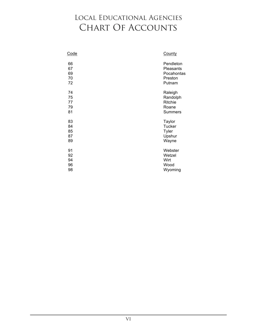| Code | County         |
|------|----------------|
| 66   | Pendleton      |
| 67   | Pleasants      |
| 69   | Pocahontas     |
| 70   | Preston        |
| 72   | Putnam         |
| 74   | Raleigh        |
| 75   | Randolph       |
| 77   | Ritchie        |
| 79   | Roane          |
| 81   | <b>Summers</b> |
| 83   | Taylor         |
| 84   | Tucker         |
| 85   | Tyler          |
| 87   | Upshur         |
| 89   | Wayne          |
| 91   | Webster        |
| 92   | Wetzel         |
| 94   | Wirt           |
| 96   | Wood           |
| 98   | Wyoming        |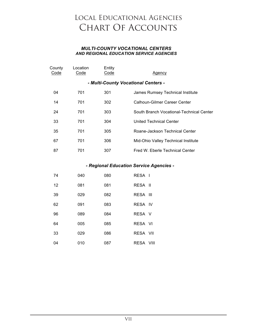#### *MULTI-COUNTY VOCATIONAL CENTERS AND REGIONAL EDUCATION SERVICE AGENCIES*

| County<br>Code                      | Location<br>Code | Entity<br>Code | Agency                                   |  |  |  |
|-------------------------------------|------------------|----------------|------------------------------------------|--|--|--|
| - Multi-County Vocational Centers - |                  |                |                                          |  |  |  |
| 04                                  | 701              | 301            | James Rumsey Technical Institute         |  |  |  |
| 14                                  | 701              | 302            | Calhoun-Gilmer Career Center             |  |  |  |
| 24                                  | 701              | 303            | South Branch Vocational-Technical Center |  |  |  |
| 33                                  | 701              | 304            | United Technical Center                  |  |  |  |
| 35                                  | 701              | 305            | Roane-Jackson Technical Center           |  |  |  |
| 67                                  | 701              | 306            | Mid-Ohio Valley Technical Institute      |  |  |  |
| 87                                  | 701              | 307            | Fred W. Eberle Technical Center          |  |  |  |

### *- Regional Education Service Agencies -*

| 74 | 040 | 080 | RESA I    |  |
|----|-----|-----|-----------|--|
| 12 | 081 | 081 | RESA II   |  |
| 39 | 029 | 082 | RESA III  |  |
| 62 | 091 | 083 | RESA IV   |  |
| 96 | 089 | 084 | RESA V    |  |
| 64 | 005 | 085 | RESA VI   |  |
| 33 | 029 | 086 | RESA VII  |  |
| 04 | 010 | 087 | RESA VIII |  |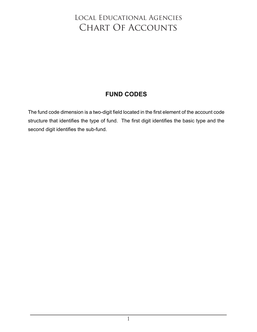# Local Educational Agencies CHART OF ACCOUNTS

### **FUND CODES**

The fund code dimension is a two-digit field located in the first element of the account code structure that identifies the type of fund. The first digit identifies the basic type and the second digit identifies the sub-fund.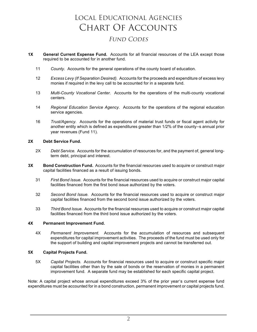# Local Educational Agencies **LOCAL EDUCATIONAL AGENCIES** Chart Of Accounts **CHART OF ACCOUNTS** *FUND CODES* Fund Codes

- **1X General Current Expense Fund.** Accounts for all financial resources of the LEA except those required to be accounted for in another fund.
	- 11 *County.* Accounts for the general operations of the county board of education.
	- 12 *Excess Levy (If Separation Desired).* Accounts for the proceeds and expenditure of excess levy monies if required in the levy call to be accounted for in a separate fund.
	- 13 *Multi-County Vocational Center.* Accounts for the operations of the multi-county vocational centers.
	- 14 *Regional Education Service Agency.* Accounts for the operations of the regional education service agencies.
	- 16 *Trust/Agency.* Accounts for the operations of material trust funds or fiscal agent activity for another entity which is defined as expenditures greater than 1/2% of the county=s annual prior year revenues (Fund 11).

#### **2X Debt Service Fund.**

- 2X *Debt Service.* Accounts for the accumulation of resources for, and the payment of, general longterm debt, principal and interest.
- **3X Bond Construction Fund.** Accounts for the financial resources used to acquire or construct major capital facilities financed as a result of issuing bonds.
	- 31 *First Bond Issue.* Accounts for the financial resources used to acquire or construct major capital facilities financed from the first bond issue authorized by the voters.
	- 32 *Second Bond Issue.* Accounts for the financial resources used to acquire or construct major capital facilities financed from the second bond issue authorized by the voters.
	- 33 *Third Bond Issue.* Accounts for the financial resources used to acquire or construct major capital facilities financed from the third bond issue authorized by the voters.

#### **4X Permanent Improvement Fund.**

4X *Permanent Improvement.* Accounts for the accumulation of resources and subsequent expenditures for capital improvement activities. The proceeds of the fund must be used only for the support of building and capital improvement projects and cannot be transferred out.

#### **5X Capital Projects Fund.**

5X *Capital Projects.* Accounts for financial resources used to acquire or construct specific major capital facilities other than by the sale of bonds or the reservation of monies in a permanent improvement fund. A separate fund may be established for each specific capital project.

Note: A capital project whose annual expenditures exceed 3% of the prior year's current expense fund expenditures must be accounted for in a bond construction, permanent improvement or capital projects fund.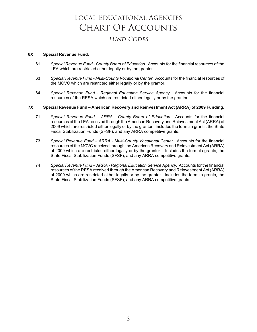# Local Educational Agencies **LOCAL EDUCATIONAL AGENCIES** Chart Of Accounts **CHART OF ACCOUNTS** *FUND CODES* Fund Codes

#### **6X Special Revenue Fund.**

- 61 *Special Revenue Fund - County Board of Education*. Accounts for the financial resources of the LEA which are restricted either legally or by the grantor.
- 63 *Special Revenue Fund - Multi-County Vocational Center*. Accounts for the financial resources of the MCVC which are restricted either legally or by the grantor.
- 64 *Special Revenue Fund - Regional Education Service Agency*. Accounts for the financial resources of the RESA which are restricted either legally or by the grantor.

#### **7X Special Revenue Fund – American Recovery and Reinvestment Act (ARRA) of 2009 Funding.**

- 71 *Special Revenue Fund – ARRA - County Board of Education*. Accounts for the financial resources of the LEA received through the American Recovery and Reinvestment Act (ARRA) of 2009 which are restricted either legally or by the grantor. Includes the formula grants, the State Fiscal Stabilization Funds (SFSF), and any ARRA competitive grants.
- 73 *Special Revenue Fund – ARRA - Multi-County Vocational Center*. Accounts for the financial resources of the MCVC received through the American Recovery and Reinvestment Act (ARRA) of 2009 which are restricted either legally or by the grantor. Includes the formula grants, the State Fiscal Stabilization Funds (SFSF), and any ARRA competitive grants.
- 74 *Special Revenue Fund – ARRA - Regional Education Service Agency*. Accounts for the financial resources of the RESA received through the American Recovery and Reinvestment Act (ARRA) of 2009 which are restricted either legally or by the grantor. Includes the formula grants, the State Fiscal Stabilization Funds (SFSF), and any ARRA competitive grants.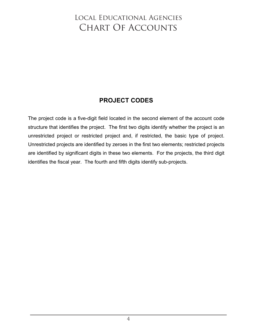# Local Educational Agencies CHART OF ACCOUNTS

### **PROJECT CODES**

The project code is a five-digit field located in the second element of the account code structure that identifies the project. The first two digits identify whether the project is an unrestricted project or restricted project and, if restricted, the basic type of project. Unrestricted projects are identified by zeroes in the first two elements; restricted projects are identified by significant digits in these two elements. For the projects, the third digit identifies the fiscal year. The fourth and fifth digits identify sub-projects.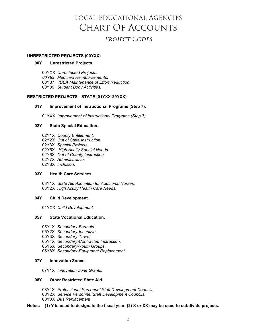### *PROJECT CODES* Project Codes

#### **UNRESTRICTED PROJECTS (00YXX)**

#### **00Y Unrestricted Projects.**

- 00YXX *Unrestricted Projects.*
- *00Y83 Medicaid Reimbursements.*
- 00Y87 *IDEA Maintenance of Effort Reduction.*
- 00Y89 *Student Body Activities.*

#### **RESTRICTED PROJECTS - STATE (01YXX-29YXX)**

#### **01Y Improvement of Instructional Programs (Step 7).**

01YXX *Improvement of Instructional Programs (Step 7)*.

#### **02Y State Special Education.**

- 02Y1X *County Entitlement*.
- 02Y2X *Out of State Instruction.*
- 02Y3X *Special Projects.*
- 02Y5X *High Acuity Special Needs.*
- 02Y6X *Out of County Instruction.*
- 02Y7X *Administrative*.
- 02Y8X *Inclusion*.

#### **03Y Health Care Services**

03Y1X *State Aid Allocation for Additional Nurses.* 03Y2X *High Acuity Health Care Needs.*

#### **04Y Child Development.**

04YXX *Child Development.*

#### **05Y State Vocational Education.**

- 05Y1X *Secondary-Formula.*
- 05Y2X *Secondary-Incentive.*
- 05Y3X *Secondary-Travel.*
- 05Y4X *Secondary-Contracted Instruction.*
- 05Y5X *Secondary-Youth Groups.*
- 05Y8X *Secondary-Equipment Replacement.*

#### **07Y Innovation Zones.**

07Y1X *Innovation Zone Grants.*

#### **08Y Other Restricted State Aid.**

- 08Y1X *Professional Personnel Staff Development Councils.*
- 08Y2X *Service Personnel Staff Development Councils.*
- 08Y3X *Bus Replacement*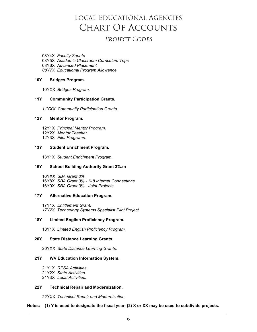### *PROJECT CODES* Project Codes

08Y4X *Faculty Senate*

- 08Y5X *Academic Classroom Curriculum Trips*
- 08Y6X *Advanced Placement*
- *08Y7X Educational Program Allowance*

#### **10Y Bridges Program.**

10YXX *Bridges Program.*

#### **11Y Community Participation Grants.**

*11YXX Community Participation Grants.*

#### **12Y Mentor Program.**

- 12Y1X *Principal Mentor Program.*
- 12Y2X *Mentor Teacher.*
- 12Y3X *Pilot Programs.*

#### **13Y Student Enrichment Program.**

13Y1X *Student Enrichment Program.*

#### **16Y School Building Authority Grant 3%.m**

16YXX *SBA Grant 3%.* 16Y8X *SBA Grant 3% - K-8 Internet Connections.* 16Y9X *SBA Grant 3% - Joint Projects.*

#### **17Y Alternative Education Program.**

17Y1X *Entitlement Grant. 17Y2X Technology Systems Specialist Pilot Project*

#### **18Y Limited English Proficiency Program.**

18Y1X *Limited English Proficiency Program.*

#### **20Y State Distance Learning Grants.**

20YXX *State Distance Learning Grants.*

#### **21Y WV Education Information System.**

- 21Y1X *RESA Activities*.
- 21Y2X *State Activities.*
- 21Y3X *Local Activities.*

#### **22Y Technical Repair and Modernization.**

22YXX *Technical Repair and Modernization*.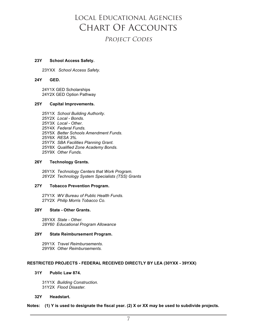### *PROJECT CODES* Project Codes

#### **23Y School Access Safety.**

23YXX *School Access Safety.*

#### **24Y GED.**

24Y1X GED Scholarships 24Y2X GED Option Pathway

#### **25Y Capital Improvements.**

- 25Y1X *School Building Authority*.
- 25Y2X *Local - Bonds.*
- 25Y3X *Local - Other*.
- 25Y4X *Federal Funds.*
- 25Y5X *Better Schools Amendment Funds.*
- 25Y6X *RESA 3%.*
- 25Y7X *SBA Facilities Planning Grant.*
- 25Y8X *Qualified Zone Academy Bonds.*
- 25Y9X *Other Funds.*

#### **26Y Technology Grants.**

26Y1X *Technology Centers that Work Program. 26Y2X Technology System Specialists (TSS) Grants*

#### **27Y Tobacco Prevention Program.**

27Y1X *WV Bureau of Public Health Funds.* 27Y2X *Philip Morris Tobacco Co.*

#### **28Y State - Other Grants.**

28YXX *State - Other. 28Y60 Educational Program Allowance*

#### **29Y State Reimbursement Program.**

29Y1X *Travel Reimbursements*. 29Y9X *Other Reimbursements.*

#### **RESTRICTED PROJECTS - FEDERAL RECEIVED DIRECTLY BY LEA (30YXX - 39YXX)**

#### **31Y Public Law 874.**

31Y1X *Building Construction.* 31Y2X *Flood Disaster.*

#### **32Y Headstart.**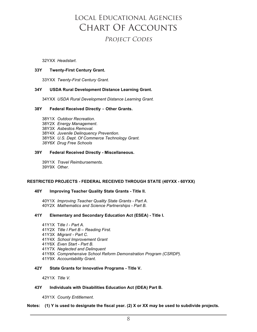### *PROJECT CODES* Project Codes

32YXX *Headstart*.

#### **33Y Twenty-First Century Grant.**

33YXX *Twenty-First Century Grant.*

#### **34Y USDA Rural Development Distance Learning Grant.**

34YXX *USDA Rural Development Distance Learning Grant.*

#### **38Y Federal Received Directly - Other Grants.**

- 38Y1X *Outdoor Recreation*.
- 38Y2X *Energy Management*.
- 38Y3X *Asbestos Removal.*
- 38Y4X *Juvenile Delinquency Prevention.*
- 38Y5X *U.S. Dept. Of Commerce Technology Grant.*
- *38Y6X Drug Free Schools*

#### **39Y Federal Received Directly - Miscellaneous.**

39Y1X *Travel Reimbursements*. 39Y9X *Other.*

#### **RESTRICTED PROJECTS - FEDERAL RECEIVED THROUGH STATE (40YXX - 60YXX)**

#### **40Y Improving Teacher Quality State Grants - Title II.**

40Y1X *Improving Teacher Quality State Grants - Part A.* 40Y2X *Mathematics and Science Partnerships - Part B.*

#### **41Y Elementary and Secondary Education Act (ESEA) - Title I.**

- 41Y1X T*itle I - Part A.*
- 41Y2X *Title I Part B – Reading First.*
- 41Y3X *Migrant - Part C.*
- 41Y4X *School Improvement Grant*
- 41Y6X *Even Start - Part B.*
- 41Y7X *Neglected and Delinquent*
- 41Y8X *Comprehensive School Reform Demonstration Program (CSRDP).*
- 41Y9X *Accountability Grant*.

#### **42Y State Grants for Innovative Programs - Title V.**

42Y1X *Title V.* 

#### **43Y Individuals with Disabilities Education Act (IDEA) Part B.**

43Y1X *County Entitlement*.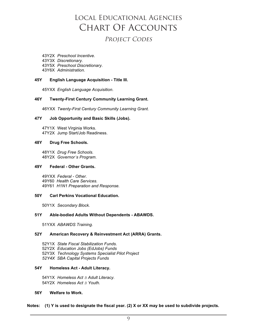### *PROJECT CODES* Project Codes

43Y2X *Preschool Incentive*.

43Y3X *Discretionary.*

43Y5X *Preschool Discretionary*.

43Y6X *Administration.*

#### **45Y English Language Acquisition - Title III.**

45YXX *English Language Acquisition.*

#### **46Y Twenty-First Century Community Learning Grant.**

46YXX *Twenty-First Century Community Learning Grant.*

#### **47Y Job Opportunity and Basic Skills (Jobs).**

47Y1X West Virginia Works. 47Y2X Jump Start/Job Readiness.

#### **48Y Drug Free Schools.**

48Y1X *Drug Free Schools.* 48Y2X *Governor's Program.*

#### **49Y Federal - Other Grants.**

49YXX *Federal - Other.* 49Y60 *Health Care Services.* 49Y61 *H1N1 Preparation and Response.*

#### **50Y Carl Perkins Vocational Education.**

50Y1X *Secondary Block.*

#### **51Y Able-bodied Adults Without Dependents - ABAWDS.**

51YXX *ABAWDS Training.*

#### **52Y American Recovery & Reinvestment Act (ARRA) Grants.**

- 52Y1X *State Fiscal Stabilization Funds.*
- 52Y2X *Education Jobs (EdJobs) Funds*
- 52Y3X *Technology Systems Specialist Pilot Project*
- *52Y4X SBA Capital Projects Funds*

#### **54Y Homeless Act - Adult Literacy.**

- 54Y1X *Homeless Act B Adult Literacy.*
- 54Y2X *Homeless Act B Youth.*

#### **56Y Welfare to Work.**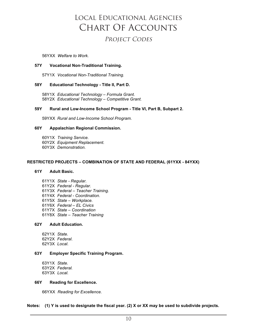# Local Educational Agencies **LOCAL EDUCATIONAL AGENCIES** Chart Of Accounts **CHART OF ACCOUNTS** *PROJECT CODES* Project Codes

56YXX *Welfare to Work.*

#### **57Y Vocational Non-Traditional Training.**

57Y1X *Vocational Non-Traditional Training.*

#### **58Y Educational Technology - Title II, Part D.**

58Y1X *Educational Technology – Formula Grant.* 58Y2X *Educational Technology – Competitive Grant.*

#### **59Y Rural and Low-Income School Program - Title VI, Part B, Subpart 2.**

59YXX *Rural and Low-Income School Program.*

#### **60Y Appalachian Regional Commission.**

- 60Y1X *Training Service.*
- 60Y2X *Equipment Replacement.*
- 60Y3X *Demonstration.*

#### **RESTRICTED PROJECTS – COMBINATION OF STATE AND FEDERAL (61YXX - 84YXX)**

#### **61Y Adult Basic.**

- 61Y1X *State - Regular.*
- 61Y2X *Federal - Regular*.
- 61Y3X *Federal – Teacher Training.*
- 61Y4X *Federal - Coordination*.
- 61Y5X *State – Workplace.*
- 61Y6X *Federal – EL Civics*
- 61Y7X *State – Coordination*
- 61Y8X *State – Teacher Training*

#### **62Y Adult Education.**

62Y1X *State*. 62Y2X *Federal*. 62Y3X *Local*.

#### **63Y Employer Specific Training Program.**

63Y1X *State.* 63Y2X *Federal.* 63Y3X *Local.*

#### **66Y Reading for Excellence.**

66YXX *Reading for Excellence.*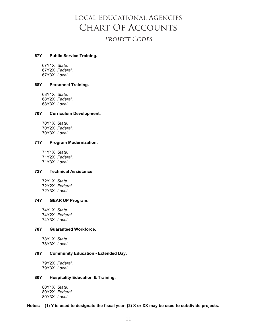### *PROJECT CODES* Project Codes

#### **67Y Public Service Training.**

- 67Y1X *State*. 67Y2X *Federal*.
- 67Y3X *Local*.
- 

#### **68Y Personnel Training.**

- 68Y1X *State*. 68Y2X *Federal*.
- 68Y3X *Local*.

#### **70Y Curriculum Development.**

70Y1X *State*. 70Y2X *Federal*. 70Y3X *Local*.

#### **71Y Program Modernization.**

71Y1X *State*. 71Y2X *Federal*. 71Y3X *Local*.

#### **72Y Technical Assistance.**

72Y1X *State*. 72Y2X *Federal*. 72Y3X *Local*.

#### **74Y GEAR UP Program.**

74Y1X *State*. 74Y2X *Federal*. 74Y3X *Local*.

#### **78Y Guaranteed Workforce.**

78Y1X *State*. 78Y3X *Local*.

#### **79Y Community Education - Extended Day.**

79Y2X *Federal*. 79Y3X *Local*.

#### **80Y Hospitality Education & Training.**

80Y1X *State*. 80Y2X *Federal*. 80Y3X *Local*.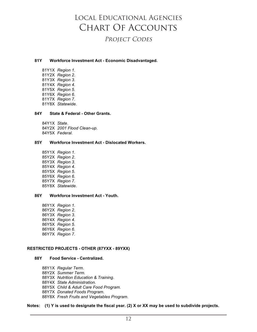### *PROJECT CODES* Project Codes

#### **81Y Workforce Investment Act - Economic Disadvantaged.**

- 81Y1X *Region 1.* 81Y2X *Region 2*. 81Y3X *Region 3.* 81Y4X *Region 4.* 81Y5X *Region 5.* 81Y6X *Region 6.* 81Y7X *Region 7.*
- 81Y8X *Statewide.*

#### **84Y State & Federal - Other Grants.**

- 84Y1X *State*.
- 84Y2X *2001 Flood Clean-up*.
- 84Y5X *Federal*.

#### **85Y Workforce Investment Act - Dislocated Workers.**

85Y1X *Region 1.* 85Y2X *Region 2*. 85Y3X *Region 3.* 85Y4X *Region 4.* 85Y5X *Region 5.* 85Y6X *Region 6.* 85Y7X *Region 7.* 85Y8X *Statewide*.

#### **86Y Workforce Investment Act - Youth.**

86Y1X *Region 1.* 86Y2X *Region 2*. 86Y3X *Region 3.* 86Y4X *Region 4.* 86Y5X *Region 5.* 86Y6X *Region 6.* 86Y7X *Region 7.*

#### **RESTRICTED PROJECTS - OTHER (87YXX - 89YXX)**

#### **88Y Food Service - Centralized.**

- 88Y1X *Regular Term.*
- 88Y2X *Summer Term.*
- 88Y3X *Nutrition Education & Training*.
- 88Y4X *State Administration.*
- 88Y5X *Child & Adult Care Food Program.*
- 88Y7X *Donated Foods Program*.
- 88Y8X *Fresh Fruits and Vegetables Program.*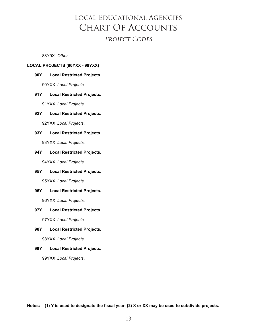### *PROJECT CODES* Project Codes

88Y9X *Other*.

#### **LOCAL PROJECTS (90YXX - 98YXX)**

#### **90Y Local Restricted Projects.**

90YXX *Local Projects.*

#### **91Y Local Restricted Projects.**

91YXX *Local Projects.*

#### **92Y Local Restricted Projects.**

92YXX *Local Projects.*

#### **93Y Local Restricted Projects.**

93YXX *Local Projects.*

#### **94Y Local Restricted Projects.**

94YXX *Local Projects.*

#### **95Y Local Restricted Projects.**

95YXX *Local Projects*.

#### **96Y Local Restricted Projects.**

96YXX *Local Projects*.

#### **97Y Local Restricted Projects.**

97YXX *Local Projects*.

#### **98Y Local Restricted Projects.**

98YXX *Local Projects*.

#### **99Y Local Restricted Projects.**

99YXX *Local Projects*.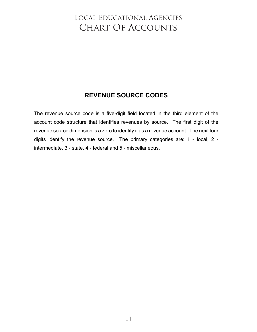# Local Educational Agencies CHART OF ACCOUNTS

### **REVENUE SOURCE CODES**

The revenue source code is a five-digit field located in the third element of the account code structure that identifies revenues by source. The first digit of the revenue source dimension is a zero to identify it as a revenue account. The next four digits identify the revenue source. The primary categories are: 1 - local, 2 intermediate, 3 - state, 4 - federal and 5 - miscellaneous.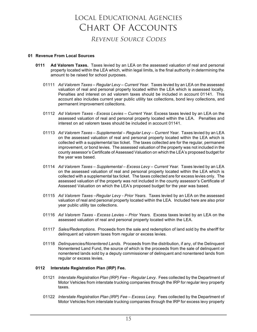### *REVENUE SOURCE CODES* Revenue Source Codes

#### **01 Revenue From Local Sources**

- **0111 Ad Valorem Taxes.** Taxes levied by an LEA on the assessed valuation of real and personal property located within the LEA which, within legal limits, is the final authority in determining the amount to be raised for school purposes.
	- 01111 *Ad Valorem Taxes – Regular Levy – Current Year*. Taxes levied by an LEA on the assessed valuation of real and personal property located within the LEA which is assessed locally. Penalties and interest on ad valorem taxes should be included in account 01141. This account also includes current year public utility tax collections, bond levy collections, and permanent improvement collections.
	- 01112 *Ad Valorem Taxes - Excess Levies – Current Year.* Excess taxes levied by an LEA on the assessed valuation of real and personal property located within the LEA. Penalties and interest on ad valorem taxes should be included in account 01141.
	- 01113 *Ad Valorem Taxes – Supplemental – Regular Levy – Current Year.* Taxes levied by an LEA on the assessed valuation of real and personal property located within the LEA which is collected with a supplemental tax ticket. The taxes collected are for the regular, permanent improvement, or bond levies. The assessed valuation of the property was not included in the county assessor's Certificate of Assessed Valuation on which the LEA's proposed budget for the year was based.
	- 01114 *Ad Valorem Taxes – Supplemental – Excess Levy – Current Year.* Taxes levied by an LEA on the assessed valuation of real and personal property located within the LEA which is collected with a supplemental tax ticket. The taxes collected are for excess levies only. The assessed valuation of the property was not included in the county assessor's Certificate of Assessed Valuation on which the LEA's proposed budget for the year was based.
	- 01115 *Ad Valorem Taxes –Regular Levy - Prior Years.* Taxes levied by an LEA on the assessed valuation of real and personal property located within the LEA. Included here are also prior year public utility tax collections.
	- 01116 *Ad Valorem Taxes - Excess Levies – Prior Years.* Excess taxes levied by an LEA on the assessed valuation of real and personal property located within the LEA.
	- 01117 *Sales/Redemptions*. Proceeds from the sale and redemption of land sold by the sheriff for delinquent ad valorem taxes from regular or excess levies.
	- 01118 *Delinquencies/Nonentered Lands.* Proceeds from the distribution, if any, of the Delinquent Nonentered Land Fund, the source of which is the proceeds from the sale of delinquent or nonentered lands sold by a deputy commissioner of delinquent and nonentered lands from regular or excess levies.

#### **0112 Interstate Registration Plan (IRP) Fee.**

- 01121 *Interstate Registration Plan (IRP) Fee – Regular Levy*. Fees collected by the Department of Motor Vehicles from interstate trucking companies through the IRP for regular levy property taxes.
- 01122 *Interstate Registration Plan (IRP) Fee – Excess Levy*. Fees collected by the Department of Motor Vehicles from interstate trucking companies through the IRP for excess levy property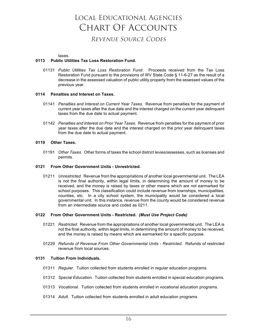### *REVENUE SOURCE CODES* Revenue Source Codes

#### taxes.

#### **0113 Public Utilities Tax Loss Restoration Fund.**

01131 *Public Utilities Tax Loss Restoration Fund*. Proceeds received from the Tax Loss Restoration Fund pursuant to the provisions of WV State Code § 11-6-27 as the result of a decrease in the assessed valuation of public utility property from the assessed values of the previous year.

#### **0114 Penalties and Interest on Taxes.**

- 01141 *Penalties and Interest on Current Year Taxes.* Revenue from penalties for the payment of current year taxes after the due date and the interest charged on the current year delinquent taxes from the due date to actual payment.
- 01142 *Penalties and Interest on Prior Year Taxes.* Revenue from penalties for the payment of prior year taxes after the due date and the interest charged on the prior year delinquent taxes from the due date to actual payment.

#### **0119 Other Taxes.**

01191 *Other Taxes.* Other forms of taxes the school district levies/assesses, such as licenses and permits.

#### **0121 From Other Government Units - Unrestricted.**

01211 *Unrestricted*. Revenue from the appropriations of another local governmental unit. The LEA is not the final authority, within legal limits, in determining the amount of money to be received, and the money is raised by taxes or other means which are not earmarked for school purposes. This classification could include revenue from townships, municipalities, counties, etc. In a city school system, the municipality would be considered a local governmental unit. In this instance, revenue from the county would be considered revenue from an intermediate source and coded as 0211.

#### **0122 From Other Government Units - Restricted.** *(Must Use Project Code)*

- 01221 *Restricted*. Revenue from the appropriations of another local governmental unit. The LEA is not the final authority, within legal limits, in determining the amount of money to be received, and the money is raised by means which are earmarked for a specific purpose.
- 01229 *Refunds of Revenue From Other Governmental Units - Restricted*. Refunds of restricted revenue from local sources.

#### **0131 Tuition From Individuals.**

- 01311 *Regular.* Tuition collected from students enrolled in regular education programs.
- 01312 *Special Education*. Tuition collected from students enrolled in special education programs.
- 01313 *Vocational.* Tuition collected from students enrolled in vocational education programs.
- 01314 *Adult.* Tuition collected from students enrolled in adult education programs.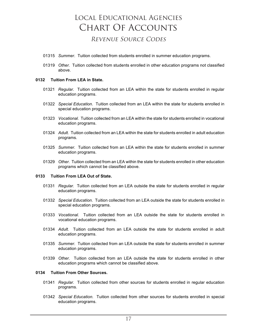# Local Educational Agencies **LOCAL EDUCATIONAL AGENCIES** Chart Of Accounts **CHART OF ACCOUNTS** *REVENUE SOURCE CODES* Revenue Source Codes

- 01315 *Summer*. Tuition collected from students enrolled in summer education programs.
- 01319 *Other.* Tuition collected from students enrolled in other education programs not classified above.

#### **0132 Tuition From LEA in State.**

- 01321 *Regular.* Tuition collected from an LEA within the state for students enrolled in regular education programs.
- 01322 *Special Education*. Tuition collected from an LEA within the state for students enrolled in special education programs.
- 01323 *Vocational.* Tuition collected from an LEA within the state for students enrolled in vocational education programs.
- 01324 *Adult.* Tuition collected from an LEA within the state for students enrolled in adult education programs.
- 01325 *Summer.* Tuition collected from an LEA within the state for students enrolled in summer education programs.
- 01329 *Other.* Tuition collected from an LEA within the state for students enrolled in other education programs which cannot be classified above.

#### **0133 Tuition From LEA Out of State.**

- 01331 *Regular.* Tuition collected from an LEA outside the state for students enrolled in regular education programs.
- 01332 *Special Education.* Tuition collected from an LEA outside the state for students enrolled in special education programs.
- 01333 *Vocational.* Tuition collected from an LEA outside the state for students enrolled in vocational education programs.
- 01334 *Adult.* Tuition collected from an LEA outside the state for students enrolled in adult education programs.
- 01335 *Summer.* Tuition collected from an LEA outside the state for students enrolled in summer education programs.
- 01339 *Other.* Tuition collected from an LEA outside the state for students enrolled in other education programs which cannot be classified above.

#### **0134 Tuition From Other Sources.**

- 01341 *Regular.* Tuition collected from other sources for students enrolled in regular education programs.
- 01342 *Special Education.* Tuition collected from other sources for students enrolled in special education programs.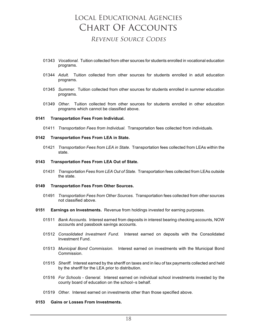### *REVENUE SOURCE CODES* Revenue Source Codes

- 01343 *Vocational.* Tuition collected from other sources for students enrolled in vocational education programs.
- 01344 *Adult.* Tuition collected from other sources for students enrolled in adult education programs.
- 01345 *Summer.* Tuition collected from other sources for students enrolled in summer education programs.
- 01349 *Other.* Tuition collected from other sources for students enrolled in other education programs which cannot be classified above.

#### **0141 Transportation Fees From Individual.**

01411 *Transportation Fees from Individual*. Transportation fees collected from individuals.

#### **0142 Transportation Fees From LEA in State.**

01421 *Transportation Fees from LEA in State.* Transportation fees collected from LEAs within the state.

#### **0143 Transportation Fees From LEA Out of State.**

01431 *Transportation Fees from LEA Out of State.* Transportation fees collected from LEAs outside the state.

#### **0149 Transportation Fees From Other Sources.**

- 01491 *Transportation Fees from Other Sources.* Transportation fees collected from other sources not classified above.
- **0151 Earnings on Investments.** Revenue from holdings invested for earning purposes.
	- 01511 *Bank Accounts.* Interest earned from deposits in interest bearing checking accounts, NOW accounts and passbook savings accounts.
	- 01512 *Consolidated Investment Fund.* Interest earned on deposits with the Consolidated Investment Fund.
	- 01513 *Municipal Bond Commission*. Interest earned on investments with the Municipal Bond Commission.
	- 01515 *Sheriff.* Interest earned by the sheriff on taxes and in lieu of tax payments collected and held by the sheriff for the LEA prior to distribution.
	- 01516 *For Schools - General.* Interest earned on individual school investments invested by the county board of education on the school=s behalf.
	- 01519 *Other.* Interest earned on investments other than those specified above.

#### **0153 Gains or Losses From Investments.**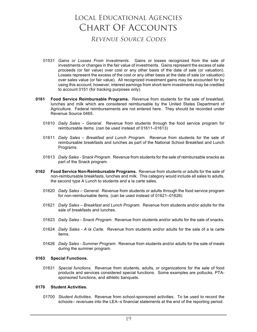### *REVENUE SOURCE CODES* Revenue Source Codes

- 01531 *Gains or Losses From Investments*. Gains or losses recognized from the sale of investments or changes in the fair value of investments. Gains represent the excess of sale proceeds (or fair value) over cost or any other basis of the date of sale (or valuation). Losses represent the excess of the cost or any other basis at the date of sale (or valuation) over sales value (or fair value). All recognized investment gains may be accounted for by using this account; however, interest earnings from short-term investments may be credited to account 0151 (for tracking purposes only).
- **0161 Food Service Reimbursable Programs.** Revenue from students for the sale of breakfast, lunches and milk which are considered reimbursable by the United States Department of Agriculture. Federal reimbursements are not entered here. They should be recorded under Revenue Source 0465.
	- 01610 *Daily Sales – General.* Revenue from students through the food service program for reimbursable items. (can be used instead of 01611–01613)
	- 01611 *Daily Sales – Breakfast and Lunch Program.* Revenue from students for the sale of reimbursable breakfasts and lunches as part of the National School Breakfast and Lunch Programs.
	- 01613 *Daily Sales - Snack Program*. Revenue from students for the sale of reimbursable snacks as part of the Snack program.
- **0162 Food Service Non-Reimbursable Programs.** Revenue from students or adults for the sale of non-reimbursable breakfasts, lunches and milk. This category would include all sales to adults, the second type A Lunch to students and a la carte sales.
	- 01620 *Daily Sales – General.* Revenue from students or adults through the food service program for non-reimbursable items. (can be used instead of 01621–01626)
	- 01621 *Daily Sales – Breakfast and Lunch Program*. Revenue from students and/or adults for the sale of breakfasts and lunches.
	- 01623 *Daily Sales - Snack Program*. Revenue from students and/or adults for the sale of snacks.
	- 01624 *Daily Sales - A la Carte.* Revenue from students and/or adults for the sale of a la carte items.
	- 01626 *Daily Sales - Summer Program.* Revenue from students and/or adults for the sale of meals during the summer program.

#### **0163 Special Functions.**

01631 *Special functions.* Revenue from students, adults, or organizations for the sale of food products and services considered special functions. Some examples are potlucks, PTAsponsored functions, and athletic banquets.

#### **0170 Student Activities.**

01700 *Student Activities*. Revenue from school-sponsored activities. To be used to record the schools= revenues into the LEA=s financial statements at the end of the reporting period.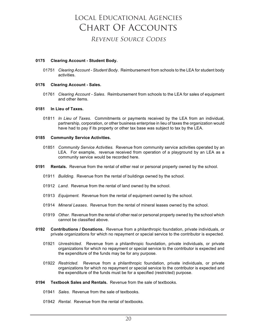# Local Educational Agencies **LOCAL EDUCATIONAL AGENCIES** Chart Of Accounts **CHART OF ACCOUNTS** *REVENUE SOURCE CODES* Revenue Source Codes

#### **0175 Clearing Account - Student Body.**

01751 *Clearing Account - Student Body*. Reimbursement from schools to the LEA for student body activities.

#### **0176 Clearing Account - Sales.**

01761 *Clearing Account - Sales*. Reimbursement from schools to the LEA for sales of equipment and other items.

#### **0181 In Lieu of Taxes.**

01811 *In Lieu of Taxes*. Commitments or payments received by the LEA from an individual, partnership, corporation, or other business enterprise in lieu of taxes the organization would have had to pay if its property or other tax base was subject to tax by the LEA.

#### **0185 Community Service Activities.**

- 01851 *Community Service Activities.* Revenue from community service activities operated by an LEA. For example, revenue received from operation of a playground by an LEA as a community service would be recorded here.
- **0191 Rentals.** Revenue from the rental of either real or personal property owned by the school.
	- 01911 *Building*. Revenue from the rental of buildings owned by the school.
	- 01912 *Land.* Revenue from the rental of land owned by the school.
	- 01913 *Equipment.* Revenue from the rental of equipment owned by the school.
	- 01914 *Mineral Leases*. Revenue from the rental of mineral leases owned by the school.
	- 01919 *Other.* Revenue from the rental of other real or personal property owned by the school which cannot be classified above.
- **0192 Contributions / Donations.** Revenue from a philanthropic foundation, private individuals, or private organizations for which no repayment or special service to the contributor is expected.
	- 01921 *Unrestricted*. Revenue from a philanthropic foundation, private individuals, or private organizations for which no repayment or special service to the contributor is expected and the expenditure of the funds may be for any purpose.
	- 01922 *Restricted.* Revenue from a philanthropic foundation, private individuals, or private organizations for which no repayment or special service to the contributor is expected and the expenditure of the funds must be for a specified (restricted) purpose.

#### **0194 Textbook Sales and Rentals.** Revenue from the sale of textbooks.

- 01941 *Sales.* Revenue from the sale of textbooks.
- 01942 *Rental.* Revenue from the rental of textbooks.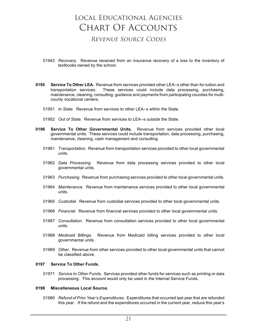### *REVENUE SOURCE CODES* Revenue Source Codes

- 01943 *Recovery.* Revenue received from an insurance recovery of a loss to the inventory of textbooks owned by the school.
- **0195 Service To Other LEA.** Revenue from services provided other LEA=s other than for tuition and transportation services. These services could include data processing, purchasing, These services could include data processing, purchasing, maintenance, cleaning, consulting, guidance and payments from participating counties for multicounty vocational centers.
	- 01951 *In State.* Revenue from services to other LEA=s within the State.
	- 01952 *Out of State.* Revenue from services to LEA=s outside the State.
- **0196 Service To Other Governmental Units.** Revenue from services provided other local governmental units. These services could include transportation, data processing, purchasing, maintenance, cleaning, cash management and consulting.
	- 01961 *Transportation.* Revenue from transportation services provided to other local governmental units.
	- 01962 *Data Processing*. Revenue from data processing services provided to other local governmental units.
	- 01963 *Purchasing.* Revenue from purchasing services provided to other local governmental units.
	- 01964 *Maintenance.* Revenue from maintenance services provided to other local governmental units.
	- 01965 *Custodial.* Revenue from custodial services provided to other local governmental units.
	- 01966 *Financial.* Revenue from financial services provided to other local governmental units.
	- 01967 *Consultation.* Revenue from consultation services provided to other local governmental units.
	- 01968 *Medicaid Billings.* Revenue from Medicaid billing services provided to other local governmental units.
	- 01969 *Other.* Revenue from other services provided to other local governmental units that cannot be classified above.

#### **0197 Service To Other Funds.**

01971 *Service to Other Funds*. Services provided other funds for services such as printing or data processing. This account would only be used in the Internal Service Funds.

#### **0198 Miscellaneous Local Source.**

01980 *Refund of Prior Year's Expenditures*. Expenditures that occurred last year that are refunded this year. If the refund and the expenditures occurred in the current year, reduce this year's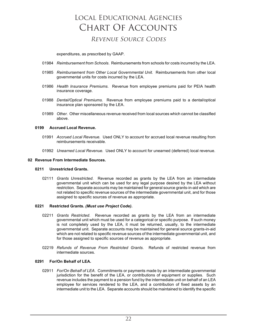### Local Educational Agencies **LOCAL EDUCATIONAL AGENCIES** Chart Of Accounts **CHART OF ACCOUNTS** *REVENUE SOURCE CODES* Revenue Source Codes

expenditures, as prescribed by GAAP.

- 01984 *Reimbursement from Schools*. Reimbursements from schools for costs incurred by the LEA.
- 01985 *Reimbursement from Other Local Governmental Unit.* Reimbursements from other local governmental units for costs incurred by the LEA.
- 01986 *Health Insurance Premiums.* Revenue from employee premiums paid for PEIA health insurance coverage.
- 01988 *Dental/Optical Premiums.* Revenue from employee premiums paid to a dental/optical insurance plan sponsored by the LEA.
- 01989 *Other.* Other miscellaneous revenue received from local sources which cannot be classified above.

#### **0199 Accrued Local Revenue.**

- 01991 *Accrued Local Revenue.* Used ONLY to account for accrued local revenue resulting from reimbursements receivable.
- 01992 *Unearned Local Revenue.* Used ONLY to account for unearned (deferred) local revenue.

#### **02 Revenue From Intermediate Sources.**

#### **0211 Unrestricted Grants.**

02111 *Grants Unrestricted*. Revenue recorded as grants by the LEA from an intermediate governmental unit which can be used for any legal purpose desired by the LEA without restriction. Separate accounts may be maintained for general source grants-in-aid which are not related to specific revenue sources of the intermediate governmental unit, and for those assigned to specific sources of revenue as appropriate.

#### **0221 Restricted Grants.** *(Must use Project Code)***.**

- 02211 *Grants Restricted*. Revenue recorded as grants by the LEA from an intermediate governmental unit which must be used for a categorical or specific purpose. If such money is not completely used by the LEA, it must be returned, usually, to the intermediate governmental unit. Separate accounts may be maintained for general source grants-in-aid which are not related to specific revenue sources of the intermediate governmental unit, and for those assigned to specific sources of revenue as appropriate.
- 02219 *Refunds of Revenue From Restricted Grants*. Refunds of restricted revenue from intermediate sources.

#### **0291 For/On Behalf of LEA.**

02911 *For/On Behalf of LEA*. Commitments or payments made by an intermediate governmental jurisdiction for the benefit of the LEA, or contributions of equipment or supplies. Such revenue includes the payment to a pension fund by the intermediate unit on behalf of an LEA employee for services rendered to the LEA, and a contribution of fixed assets by an intermediate unit to the LEA. Separate accounts should be maintained to identify the specific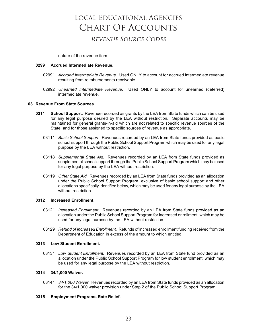# Local Educational Agencies **LOCAL EDUCATIONAL AGENCIES** Chart Of Accounts **CHART OF ACCOUNTS** *REVENUE SOURCE CODES* Revenue Source Codes

nature of the revenue item.

#### **0299 Accrued Intermediate Revenue.**

- 02991 *Accrued Intermediate Revenue.* Used ONLY to account for accrued intermediate revenue resulting from reimbursements receivable.
- 02992 *Unearned Intermediate Revenue.* Used ONLY to account for unearned (deferred) intermediate revenue.

#### **03 Revenue From State Sources.**

- **0311 School Support.** Revenue recorded as grants by the LEA from State funds which can be used for any legal purpose desired by the LEA without restriction. Separate accounts may be maintained for general grants-in-aid which are not related to specific revenue sources of the State, and for those assigned to specific sources of revenue as appropriate.
	- 03111 *Basic School Support.* Revenues recorded by an LEA from State funds provided as basic school support through the Public School Support Program which may be used for any legal purpose by the LEA without restriction.
	- 03118 *Supplemental State Aid.* Revenues recorded by an LEA from State funds provided as supplemental school support through the Public School Support Program which may be used for any legal purpose by the LEA without restriction.
	- 03119 *Other State Aid.* Revenues recorded by an LEA from State funds provided as an allocation under the Public School Support Program, exclusive of basic school support and other allocations specifically identified below, which may be used for any legal purpose by the LEA without restriction

#### **0312 Increased Enrollment.**

- 03121 *Increased Enrollment*. Revenues recorded by an LEA from State funds provided as an allocation under the Public School Support Program for increased enrollment, which may be used for any legal purpose by the LEA without restriction.
- 03129 *Refund of Increased Enrollment.* Refunds of increased enrollment funding received from the Department of Education in excess of the amount to which entitled.

#### **0313 Low Student Enrollment.**

03131 *Low Student Enrollment.* Revenues recorded by an LEA from State fund provided as an allocation under the Public School Support Program for low student enrollment, which may be used for any legal purpose by the LEA without restriction.

#### **0314 34/1,000 Waiver.**

03141 *34/1,000 Waiver.* Revenues recorded by an LEA from State funds provided as an allocation for the 34/1,000 waiver provision under Step 2 of the Public School Support Program.

#### **0315 Employment Programs Rate Relief.**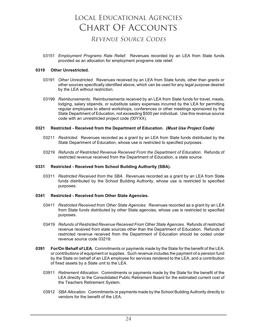### *REVENUE SOURCE CODES* Revenue Source Codes

03151 *Employment Programs Rate Relief*. Revenues recorded by an LEA from State funds provided as an allocation for employment programs rate relief.

#### **0319 Other Unrestricted.**

- 03191 *Other Unrestricted*. Revenues received by an LEA from State funds, other than grants or other sources specifically identified above, which can be used for any legal purpose desired by the LEA without restriction.
- 03199 *Reimbursements*. Reimbursements received by an LEA from State funds for travel, meals, lodging, salary stipends, or substitute salary expenses incurred by the LEA for permitting regular employees to attend workshops, conferences or other meetings sponsored by the State Department of Education, not exceeding \$500 per individual. Use this revenue source code with an unrestricted project code (00YXX).

#### **0321 Restricted - Received from the Department of Education.** *(Must Use Project Code)*

- 03211 *Restricted.* Revenues recorded as a grant by an LEA from State funds distributed by the State Department of Education, whose use is restricted to specified purposes.
- 03219 *Refunds of Restricted Revenue Received From the Department of Education*. Refunds of restricted revenue received from the Department of Education, a state source.

#### **0331 Restricted - Received from School Building Authority (SBA).**

03311 *Restricted Received from the SBA.* Revenues recorded as a grant by an LEA from State funds distributed by the School Building Authority, whose use is restricted to specified purposes.

#### **0341 Restricted - Received from Other State Agencies.**

- 03411 *Restricted Received from Other State Agencies.* Revenues recorded as a grant by an LEA from State funds distributed by other State agencies, whose use is restricted to specified purposes.
- 03419 *Refunds of Restricted Revenue Received From Other State Agencies*. Refunds of restricted revenue received from state sources other than the Department of Education. Refunds of restricted revenue received from the Department of Education should be coded under revenue source code 03219.
- **0391 For/On Behalf of LEA.** Commitments or payments made by the State for the benefit of the LEA, or contributions of equipment or supplies. Such revenue includes the payment of a pension fund by the State on behalf of an LEA employee for services rendered to the LEA, and a contribution of fixed assets by a State unit to the LEA.
	- 03911 *Retirement Allocation*. Commitments or payments made by the State for the benefit of the LEA directly to the Consolidated Public Retirement Board for the estimated current cost of the Teachers Retirement System.
	- 03912 *SBA Allocation.* Commitments or payments made by the School Building Authority directly to vendors for the benefit of the LEA.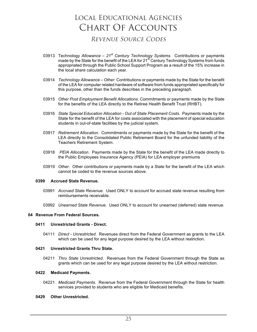### *REVENUE SOURCE CODES* Revenue Source Codes

- 03913 Technology *Allowance – 21st Century Technology Systems*. Contributions or payments made by the State for the benefit of the LEA for 21<sup>st</sup> Century Technology Systems from funds appropriated through the Public School Support Program as a result of the 15% increase in the local share calculation each year.
- 03914 *Technology Allowance – Other.* Contributions or payments made by the State for the benefit of the LEA for computer related hardware of software from funds appropriated specifically for this purpose, other than the funds describes in the preceding paragraph.
- 03915 *Other Post Employment Benefit Allocations*. Commitments or payments made by the State for the benefits of the LEA directly to the Retiree Health Benefit Trust (RHBT).
- 03916 *State Special Education Allocation - Out of State Placement Costs.* Payments made by the State for the benefit of the LEA for costs associated with the placement of special education students in out-of-state facilities by the judicial system.
- 03917 *Retirement Allocation*. Commitments or payments made by the State for the benefit of the LEA directly to the Consolidated Public Retirement Board for the unfunded liability of the Teachers Retirement System.
- 03918 *PEIA Allocation*. Payments made by the State for the benefit of the LEA made directly to the Public Employees Insurance Agency (PEIA) for LEA employer premiums
- 03919 *Other.* Other contributions or payments made by a State for the benefit of the LEA which cannot be coded to the revenue sources above.

#### **0399 Accrued State Revenue.**

- 03991 *Accrued State Revenue.* Used ONLY to account for accrued state revenue resulting from reimbursements receivable.
- 03992 *Unearned State Revenue.* Used ONLY to account for unearned (deferred) state revenue.

#### **04 Revenue From Federal Sources.**

#### **0411 Unrestricted Grants - Direct.**

04111 *Direct - Unrestricted*. Revenues direct from the Federal Government as grants to the LEA which can be used for any legal purpose desired by the LEA without restriction.

#### **0421 Unrestricted Grants Thru State.**

04211 *Thru State Unrestricted*. Revenues from the Federal Government through the State as grants which can be used for any legal purpose desired by the LEA without restriction.

#### **0422 Medicaid Payments.**

04221 *Medicaid Payments*. Revenue from the Federal Government through the State for health services provided to students who are eligible for Medicaid benefits.

#### **0429 Other Unrestricted.**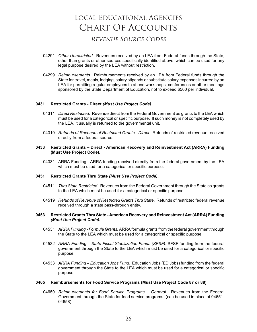### *REVENUE SOURCE CODES* Revenue Source Codes

- 04291 *Other Unrestricted.* Revenues received by an LEA from Federal funds through the State, other than grants or other sources specifically identified above, which can be used for any legal purpose desired by the LEA without restriction.
- 04299 *Reimbursements*. Reimbursements received by an LEA from Federal funds through the State for travel, meals, lodging, salary stipends or substitute salary expenses incurred by an LEA for permitting regular employees to attend workshops, conferences or other meetings sponsored by the State Department of Education, not to exceed \$500 per individual.

#### **0431 Restricted Grants - Direct** *(Must Use Project Code).*

- 04311 *Direct Restricted.* Revenue direct from the Federal Government as grants to the LEA which must be used for a categorical or specific purpose. If such money is not completely used by the LEA, it usually is returned to the governmental unit.
- 04319 *Refunds of Revenue of Restricted Grants - Direct*. Refunds of restricted revenue received directly from a federal source.

#### **0433 Restricted Grants – Direct - American Recovery and Reinvestment Act (ARRA) Funding (Must Use Project Code).**

04331 ARRA Funding - ARRA funding received directly from the federal government by the LEA which must be used for a categorical or specific purpose.

#### **0451 Restricted Grants Thru State** *(Must Use Project Code)***.**

- 04511 *Thru State Restricted*. Revenues from the Federal Government through the State as grants to the LEA which must be used for a categorical or specific purpose.
- 04519 *Refunds of Revenue of Restricted Grants Thru State*. Refunds of restricted federal revenue received through a state pass-through entity.

#### **0453 Restricted Grants Thru State - American Recovery and Reinvestment Act (ARRA) Funding**  *(Must Use Project Code)***.**

- 04531 *ARRA Funding - Formula Grants*. ARRA formula grants from the federal government through the State to the LEA which must be used for a categorical or specific purpose.
- 04532 *ARRA Funding – State Fiscal Stabilization Funds (SFSF).* SFSF funding from the federal government through the State to the LEA which must be used for a categorical or specific purpose.
- 04533 *ARRA Funding – Education Jobs Fund*. Education Jobs (ED Jobs) funding from the federal government through the State to the LEA which must be used for a categorical or specific purpose.

#### **0465 Reimbursements for Food Service Programs (Must Use Project Code 87 or 88)**.

04650 *Reimbursements for Food Service Programs – General.* Revenues from the Federal Government through the State for food service programs. (can be used in place of 04651- 04658)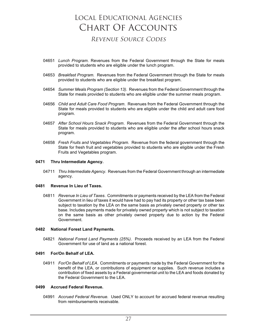### *REVENUE SOURCE CODES* Revenue Source Codes

- 04651 *Lunch Program.* Revenues from the Federal Government through the State for meals provided to students who are eligible under the lunch program.
- 04653 *Breakfast Program.* Revenues from the Federal Government through the State for meals provided to students who are eligible under the breakfast program.
- 04654 *Summer Meals Program (Section 13).* Revenues from the Federal Government through the State for meals provided to students who are eligible under the summer meals program.
- 04656 *Child and Adult Care Food Program*. Revenues from the Federal Government through the State for meals provided to students who are eligible under the child and adult care food program.
- 04657 *After School Hours Snack Program*. Revenues from the Federal Government through the State for meals provided to students who are eligible under the after school hours snack program.
- 04658 *Fresh Fruits and Vegetables Program.* Revenue from the federal government through the State for fresh fruit and vegetables provided to students who are eligible under the Fresh Fruits and Vegetables program.

#### **0471 Thru Intermediate Agency.**

04711 *Thru Intermediate Agency*. Revenues from the Federal Government through an intermediate agency.

#### **0481 Revenue In Lieu of Taxes.**

04811 *Revenue In Lieu of Taxes*. Commitments or payments received by the LEA from the Federal Government in lieu of taxes it would have had to pay had its property or other tax base been subject to taxation by the LEA on the same basis as privately owned property or other tax base. Includes payments made for privately owned property which is not subject to taxation on the same basis as other privately owned property due to action by the Federal Government.

#### **0482 National Forest Land Payments.**

04821 *National Forest Land Payments (25%)*. Proceeds received by an LEA from the Federal Government for use of land as a national forest.

#### **0491 For/On Behalf of LEA.**

04911 *For/On Behalf of LEA*. Commitments or payments made by the Federal Government for the benefit of the LEA, or contributions of equipment or supplies. Such revenue includes a contribution of fixed assets by a Federal governmental unit to the LEA and foods donated by the Federal Government to the LEA.

#### **0499 Accrued Federal Revenue.**

04991 *Accrued Federal Revenue.* Used ONLY to account for accrued federal revenue resulting from reimbursements receivable.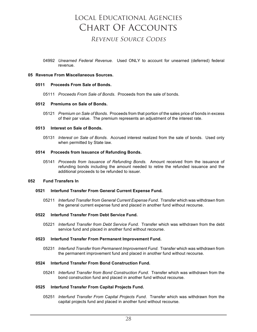# Local Educational Agencies **LOCAL EDUCATIONAL AGENCIES** Chart Of Accounts **CHART OF ACCOUNTS** *REVENUE SOURCE CODES* Revenue Source Codes

04992 *Unearned Federal Revenue.* Used ONLY to account for unearned (deferred) federal revenue.

#### **05 Revenue From Miscellaneous Sources.**

#### **0511 Proceeds From Sale of Bonds.**

05111 *Proceeds From Sale of Bonds*. Proceeds from the sale of bonds.

#### **0512 Premiums on Sale of Bonds.**

05121 *Premium on Sale of Bonds*. Proceeds from that portion of the sales price of bonds in excess of their par value. The premium represents an adjustment of the interest rate.

#### **0513 Interest on Sale of Bonds.**

05131 *Interest on Sale of Bonds*. Accrued interest realized from the sale of bonds. Used only when permitted by State law.

#### **0514 Proceeds from Issuance of Refunding Bonds.**

05141 *Proceeds from Issuance of Refunding Bonds.* Amount received from the issuance of refunding bonds including the amount needed to retire the refunded issuance and the additional proceeds to be refunded to issuer.

#### **052 Fund Transfers In**

#### **0521 Interfund Transfer From General Current Expense Fund.**

05211 *Interfund Transfer from General Current Expense Fund.* Transfer which was withdrawn from the general current expense fund and placed in another fund without recourse.

#### **0522 Interfund Transfer From Debt Service Fund.**

05221 *Interfund Transfer from Debt Service Fund.* Transfer which was withdrawn from the debt service fund and placed in another fund without recourse.

#### **0523 Interfund Transfer From Permanent Improvement Fund.**

05231 *Interfund Transfer from Permanent Improvement Fund.* Transfer which was withdrawn from the permanent improvement fund and placed in another fund without recourse.

### **0524 Interfund Transfer From Bond Construction Fund.**

05241 *Interfund Transfer from Bond Construction Fund.* Transfer which was withdrawn from the bond construction fund and placed in another fund without recourse.

#### **0525 Interfund Transfer From Capital Projects Fund.**

05251 *Interfund Transfer From Capital Projects Fund*. Transfer which was withdrawn from the capital projects fund and placed in another fund without recourse.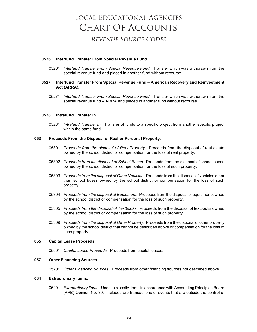### *REVENUE SOURCE CODES* Revenue Source Codes

#### **0526 Interfund Transfer From Special Revenue Fund.**

05261 *Interfund Transfer From Special Revenue Fund*. Transfer which was withdrawn from the special revenue fund and placed in another fund without recourse.

#### **0527 Interfund Transfer From Special Revenue Fund – American Recovery and Reinvestment Act (ARRA).**

05271 *Interfund Transfer From Special Revenue Fund*. Transfer which was withdrawn from the special revenue fund – ARRA and placed in another fund without recourse.

#### **0528 Intrafund Transfer In.**

05281 *Intrafund Transfer In.* Transfer of funds to a specific project from another specific project within the same fund.

#### **053 Proceeds From the Disposal of Real or Personal Property.**

- 05301 *Proceeds from the disposal of Real Property*. Proceeds from the disposal of real estate owned by the school district or compensation for the loss of real property.
- 05302 *Proceeds from the disposal of School Buses*. Proceeds from the disposal of school buses owned by the school district or compensation for the loss of such property.
- 05303 *Proceeds from the disposal of Other Vehicles*. Proceeds from the disposal of vehicles other than school buses owned by the school district or compensation for the loss of such property.
- 05304 *Proceeds from the disposal of Equipment*. Proceeds from the disposal of equipment owned by the school district or compensation for the loss of such property.
- 05305 *Proceeds from the disposal of Textbooks*. Proceeds from the disposal of textbooks owned by the school district or compensation for the loss of such property.
- 05309 *Proceeds from the disposal of Other Property*. Proceeds from the disposal of other property owned by the school district that cannot be described above or compensation for the loss of such property.

#### **055 Capital Lease Proceeds.**

05501 *Capital Lease Proceeds*. Proceeds from capital leases.

#### **057 Other Financing Sources.**

05701 *Other Financing Sources*. Proceeds from other financing sources not described above.

#### **064 Extraordinary Items.**

06401 *Extraordinary Items*. Used to classify items in accordance with Accounting Principles Board (APB) Opinion No. 30. Included are transactions or events that are outside the control of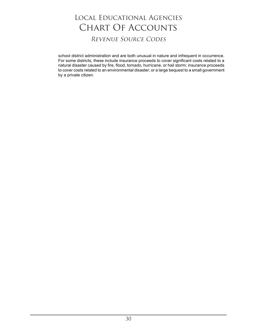*REVENUE SOURCE CODES* Revenue Source Codes

school district administration and are both unusual in nature and infrequent in occurrence. For some districts, these include insurance proceeds to cover significant costs related to a natural disaster caused by fire, flood, tornado, hurricane, or hail storm; insurance proceeds to cover costs related to an environmental disaster; or a large bequest to a small government by a private citizen.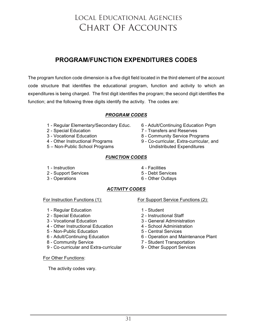# Local Educational Agencies CHART OF ACCOUNTS

### **PROGRAM/FUNCTION EXPENDITURES CODES**

The program function code dimension is a five digit field located in the third element of the account code structure that identifies the educational program, function and activity to which an expenditures is being charged. The first digit identifies the program; the second digit identifies the function; and the following three digits identify the activity. The codes are:

### *PROGRAM CODES*

- 1 Regular Elementary/Secondary Educ. 6 Adult/Continuing Education Prgm
- 
- 
- 
- 5 Non-Public School Programs
- 
- 
- 2 Special Education **7** Transfers and Reserves<br>3 Vocational Education **7** Transfers and Reserves 3 - Vocational Education **8 - Community Service Programs**<br>4 - Other Instructional Programs **8 - Co-curricular, Extra-curricular**,
	- 9 Co-curricular, Extra-curricular, and<br>Undistributed Expenditures

### *FUNCTION CODES*

- 1 Instruction **4 Facilities**
- 2 Support Services 5 Debt Services
- 
- 
- 
- 3 Operations 6 Other Outlays

### *ACTIVITY CODES*

### For Instruction Functions (1): For Support Service Functions (2):

- 1 Regular Education 1 Student
- 2 Special Education 2 Instructional Staff
- 
- 4 Other Instructional Education <br>5 Non-Public Education <br>5 Central Services
- 5 Non-Public Education
- 
- 
- 9 Co-curricular and Extra-curricular 9 Other Support Services

- 
- 
- 3 Vocational Education 3 General Administration
	-
	-
- 6 Adult/Continuing Education 6 Operation and Maintenance Plant<br>8 Community Service 6 7 Student Transportation
	- 7 Student Transportation
	-

### For Other Functions:

The activity codes vary.

31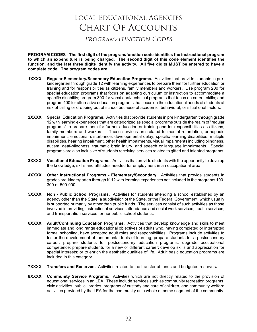*PROGRAM/FUNCTION CODES* Program/Function Codes

**PROGRAM CODES - The first digit of the program/function code identifies the instructional program to which an expenditure is being charged. The second digit of this code element identifies the function, and the last three digits identify the activity. All five digits MUST be entered to have a complete code. The program codes are:** 

- **1XXXX Regular Elementary/Secondary Education Programs.** Activities that provide students in prekindergarten through grade 12 with learning experiences to prepare them for further education or training and for responsibilities as citizens, family members and workers. Use program 200 for special education programs that focus on adapting curriculum or instruction to accommodate a specific disability; program 300 for vocational/technical programs that focus on career skills; and program 400 for alternative education programs that focus on the educational needs of students at risk of failing or dropping out of school because of academic, behavioral, or situational factors.
- **2XXXX Special Education Programs.** Activities that provide students in pre kindergarten through grade 12 with learning experiences that are categorized as special programs outside the realm of "regular programs" to prepare them for further education or training and for responsibilities as citizens, family members and workers. These services are related to mental retardation, orthopedic impairment, emotional disturbance, developmental delay, specific learning disabilities, multiple disabilities, hearing impairment, other health impairments, visual impairments including blindness, autism, deaf-blindness, traumatic brain injury, and speech or language impairments. Special programs are also inclusive of students receiving services related to gifted and talented programs.
- **3XXXX Vocational Education Programs.** Activities that provide students with the opportunity to develop the knowledge, skills and attitudes needed for employment in an occupational area.
- **4XXXX Other Instructional Programs - Elementary/Secondary.** Activities that provide students in grades pre-kindergarten through K-12 with learning experiences not included in the programs 100- 300 or 500-900.
- **5XXXX Non - Public School Programs.** Activities for students attending a school established by an agency other than the State, a subdivision of the State, or the Federal Government, which usually is supported primarily by other than public funds. The services consist of such activities as those involved in providing instructional services, attendance and social work services, health services, and transportation services for nonpublic school students.
- **6XXXX Adult/Continuing Education Programs.** Activities that develop knowledge and skills to meet immediate and long range educational objectives of adults who, having completed or interrupted formal schooling, have accepted adult roles and responsibilities. Programs include activities to foster the development of fundamental tools of learning; prepare students for a postsecondary career; prepare students for postsecondary education programs; upgrade occupational competence; prepare students for a new or different career; develop skills and appreciation for special interests; or to enrich the aesthetic qualities of life. Adult basic education programs are included in this category.
- **7XXXX Transfers and Reserves.** Activities related to the transfer of funds and budgeted reserves**.**
- **8XXXX Community Service Programs.** Activities which are not directly related to the provision of educational services in an LEA. These include services such as community recreation programs, civic activities, public libraries, programs of custody and care of children, and community welfare activities provided by the LEA for the community as a whole or some segment of the community.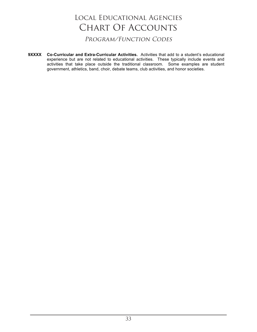*PROGRAM/FUNCTION CODES* Program/Function Codes

**9XXXX Co-Curricular and Extra-Curricular Activities.** Activities that add to a student's educational experience but are not related to educational activities. These typically include events and activities that take place outside the traditional classroom. Some examples are student government, athletics, band, choir, debate teams, club activities, and honor societies.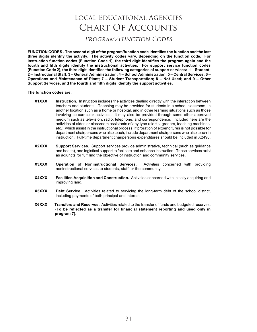*PROGRAM/FUNCTION CODES* Program/Function Codes

**FUNCTION CODES - The second digit of the program/function code identifies the function and the last three digits identify the activity. The activity codes vary, depending on the function code. For instruction function codes (Function Code 1), the third digit identifies the program again and the fourth and fifth digits identify the instructional activities. For support service function codes (Function Code 2), the third digit identifies the following categories of support services: 1 – Student; 2 – Instructional Staff; 3 – General Administration; 4 – School Administration; 5 – Central Services; 6 – Operations and Maintenance of Plant; 7 – Student Transportation; 8 – Not Used; and 9 – Other Support Services, and the fourth and fifth digits identify the support activities.** 

**The function codes are:**

- **X1XXX Instruction.** Instruction includes the activities dealing directly with the interaction between teachers and students. Teaching may be provided for students in a school classroom, in another location such as a home or hospital, and in other learning situations such as those involving co-curricular activities. It may also be provided through some other approved medium such as television, radio, telephone, and correspondence. Included here are the activities of aides or classroom assistants of any type (clerks, graders, teaching machines, etc.) which assist in the instructional process. If proration of expenditures is not possible for department chairpersons who also teach, include department chairpersons who also teach in instruction. Full-time department chairpersons expenditures should be included in X2490.
- **X2XXX Support Services.** Support services provide administrative, technical (such as guidance and health), and logistical support to facilitate and enhance instruction. These services exist as adjuncts for fulfilling the objective of instruction and community services.
- **X3XXX Operation of Noninstructional Services.** Activities concerned with providing noninstructional services to students, staff, or the community.
- **X4XXX Facilities Acquisition and Construction.** Activities concerned with initially acquiring and improving land.
- **X5XXX Debt Service.** Activities related to servicing the long-term debt of the school district, including payments of both principal and interest.
- **X6XXX Transfers and Reserves.** Activities related to the transfer of funds and budgeted reserves.  **(To be reflected as a transfer for financial statement reporting and used only in program 7).**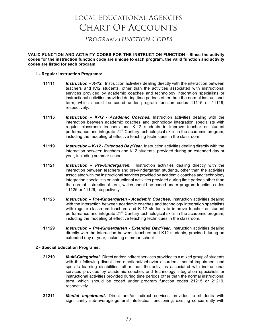*PROGRAM/FUNCTION CODES* Program/Function Codes

**VALID FUNCTION AND ACTIVITY CODES FOR THE INSTRUCTION FUNCTION - Since the activity codes for the instruction function code are unique to each program, the valid function and activity codes are listed for each program:**

- **1 - Regular Instruction Programs:**
	- **11111** *Instruction – K-12.* Instruction activities dealing directly with the interaction between teachers and K12 students, other than the activities associated with instructional services provided by academic coaches and technology integration specialists or instructional activities provided during time periods other than the normal instructional term, which should be coded under program function codes 11115 or 11119, respectively.
	- **11115** *Instruction – K-12 - Academic Coaches.* Instruction activities dealing with the interaction between academic coaches and technology integration specialists with regular classroom teachers and K-12 students to improve teacher or student performance and integrate  $21^{st}$  Century technological skills in the academic program, including the modeling of effective teaching techniques in the classroom.
	- **11119** *Instruction – K-12 - Extended Day/Year***.** Instruction activities dealing directly with the interaction between teachers and K12 students, provided during an extended day or year, including summer school.
	- **11121** *Instruction – Pre-Kindergarten.* Instruction activities dealing directly with the interaction between teachers and pre-kindergarten students, other than the activities associated with the instructional services provided by academic coaches and technology integration specialists or instructional activities provided during time periods other than the normal instructional term, which should be coded under program function codes 11125 or 11129, respectively.
	- **11125** *Instruction – Pre-Kindergarten - Academic Coaches.* Instruction activities dealing with the interaction between academic coaches and technology integration specialists with regular classroom teachers and K-12 students to improve teacher or student performance and integrate  $21<sup>st</sup>$  Century technological skills in the academic program, including the modeling of effective teaching techniques in the classroom.
	- **11129** *Instruction – Pre-Kindergarten - Extended Day/Year***.** Instruction activities dealing directly with the interaction between teachers and K12 students, provided during an extended day or year, including summer school.

#### **2 - Special Education Programs:**

- **21210** *Multi-Categorical.* Direct and/or indirect services provided to a mixed group of students with the following disabilities: emotional/behavior disorders, mental impairment and specific learning disabilities, other than the activities associated with instructional services provided by academic coaches and technology integration specialists or instructional activities provided during time periods other than the normal instructional term, which should be coded under program function codes 21215 or 21219, respectively.
- **21211** *Mental Impairment.* Direct and/or indirect services provided to students with significantly sub-average general intellectual functioning, existing concurrently with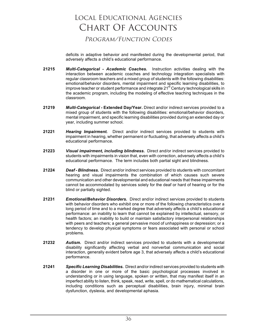### *PROGRAM/FUNCTION CODES* Program/Function Codes

deficits in adaptive behavior and manifested during the developmental period, that adversely affects a child's educational performance.

- **21215** *Multi-Categorical - Academic Coaches.* Instruction activities dealing with the interaction between academic coaches and technology integration specialists with regular classroom teachers and a mixed group of students with the following disabilities: emotional/behavior disorders, mental impairment and specific learning disabilities, to improve teacher or student performance and integrate 21 $^{\rm st}$  Century technological skills in the academic program, including the modeling of effective teaching techniques in the classroom.
- **21219** *Multi-Categorical -* **Extended Day/Year.** Direct and/or indirect services provided to a mixed group of students with the following disabilities: emotional/behavior disorders, mental impairment, and specific learning disabilities provided during an extended day or year, including summer school.
- **21221** *Hearing Impairment.* Direct and/or indirect services provided to students with impairment in hearing, whether permanent or fluctuating, that adversely affects a child's educational performance.
- **21223** *Visual impairment, including blindness.* Direct and/or indirect services provided to students with impairments in vision that, even with correction, adversely affects a child's educational performance. The term includes both partial sight and blindness.
- **21224** *Deaf - Blindness.* Direct and/or indirect services provided to students with concomitant hearing and visual impairments the combination of which causes such severe communication and other developmental and educational needs that these impairments cannot be accommodated by services solely for the deaf or hard of hearing or for the blind or partially sighted.
- **21231** *Emotional/Behavior Disorders.* Direct and/or indirect services provided to students with behavior disorders who exhibit one or more of the following characteristics over a long period of time and to a marked degree that adversely affects a child's educational performance: an inability to learn that cannot be explained by intellectual, sensory, or health factors; an inability to build or maintain satisfactory interpersonal relationships with peers and teachers; a general pervasive mood of unhappiness or depression; or a tendency to develop physical symptoms or fears associated with personal or school problems.
- **21232** *Autism.* Direct and/or indirect services provided to students with a developmental disability significantly affecting verbal and nonverbal communication and social interaction, generally evident before age 3, that adversely affects a child's educational performance.
- **21241** *Specific Learning Disabilities.* Direct and/or indirect services provided to students with a disorder in one or more of the basic psychological processes involved in understanding or in using language, spoken or written, that may manifest itself in an imperfect ability to listen, think, speak, read, write, spell, or do mathematical calculations, including conditions such as perceptual disabilities, brain injury, minimal brain dysfunction, dyslexia, and developmental aphasia.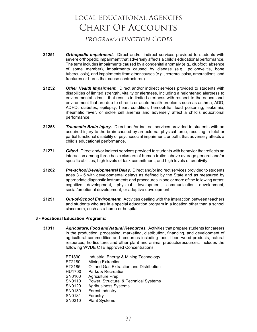*PROGRAM/FUNCTION CODES* Program/Function Codes

- **21251** *Orthopedic Impairment.* Direct and/or indirect services provided to students with severe orthopedic impairment that adversely affects a child's educational performance. The term includes impairments caused by a congenital anomaly (e.g., clubfoot, absence of some member), impairments caused by disease (e.g., poliomyelitis, bone tuberculosis), and impairments from other causes (e.g., cerebral palsy, amputations, and fractures or burns that cause contractures).
- **21252** *Other Health Impairment.* Direct and/or indirect services provided to students with disabilities of limited strength, vitality or alertness, including a heightened alertness to environmental stimuli, that results in limited alertness with respect to the educational environment that are due to chronic or acute health problems such as asthma, ADD, ADHD, diabetes, epilepsy, heart condition, hemophilia, lead poisoning, leukemia, rheumatic fever, or sickle cell anemia and adversely affect a child's educational performance.
- **21253** *Traumatic Brain Injury.* Direct and/or indirect services provided to students with an acquired injury to the brain caused by an external physical force, resulting in total or partial functional disability or psychosocial impairment, or both, that adversely affects a child's educational performance.
- **21271** *Gifted.* Direct and/or indirect services provided to students with behavior that reflects an interaction among three basic clusters of human traits: above average general and/or specific abilities, high levels of task commitment, and high levels of creativity.
- **21282** *Pre-school Developmental Delay.* Direct and/or indirect services provided to students ages 3 - 5 with developmental delays as defined by the State and as measured by appropriate diagnostic instruments and procedures in one or more of the following areas: cognitive development, physical development, communication development, social/emotional development, or adaptive development.
- **21291** *Out-of-School Environment.* Activities dealing with the interaction between teachers and students who are in a special education program in a location other than a school classroom, such as a home or hospital.

#### **3 - Vocational Education Programs:**

- **31311** *Agriculture, Food and Natural Resources.* Activities that prepare students for careers in the production, processing, marketing, distribution, financing, and development of agricultural commodities and resources including food, fiber, wood products, natural resources, horticulture, and other plant and animal products/resources. Includes the following WVDE CTE approved Concentrations:
	- ET1890 Industrial Energy & Mining Technology<br>FT2180 Mining Extraction Mining Extraction ET2185 Oil and Gas Extraction and Distribution HU1700 Parks & Recreation<br>SN0100 Agriculture Prep **Agriculture Prep** SN0110 Power, Structural & Technical Systems<br>SN0120 Agribusiness Systems Agribusiness Systems SN0130 Forest Industry SN0181 Forestry<br>SN0210 Plant Sv: Plant Systems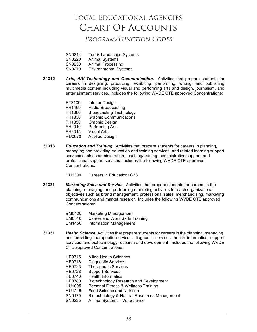*PROGRAM/FUNCTION CODES* Program/Function Codes

- SN0214 Turf & Landscape Systems<br>SN0220 Animal Systems
- **Animal Systems**
- SN0230 Animal Processing<br>SN0270 Environmental Sys
- **Environmental Systems**
- **31312** *Arts, A/V Technology and Communication.* Activities that prepare students for careers in designing, producing, exhibiting, performing, writing, and publishing multimedia content including visual and performing arts and design, journalism, and entertainment services. Includes the following WVDE CTE approved Concentrations:
	- ET2100 Interior Design FH1469 Radio Broadcasting FH1680 Broadcasting Technology FH1830 Graphic Communications<br>FH1850 Graphic Design FH1850 Graphic Design<br>FH2010 Performing Arts Performing Arts FH2015 Visual Arts HU0970 Applied Design
- **31313** *Education and Training.* Activities that prepare students for careers in planning, managing and providing education and training services, and related learning support services such as administration, teaching/training, administrative support, and professional support services. Includes the following WVDE CTE approved Concentrations:
	- HU1300 Careers in Education+C33
- **31321** *Marketing Sales and Service.* Activities that prepare students for careers in the planning, managing, and performing marketing activities to reach organizational objectives such as brand management, professional sales, merchandising, marketing communications and market research. Includes the following WVDE CTE approved Concentrations:
	- BM0420 Marketing Management
	- BM0510 Career and Work Skills Training
	- BM1450 Information Management
- **31331** *Health Science.* Activities that prepare students for careers in the planning, managing, and providing therapeutic services, diagnostic services, health informatics, support services, and biotechnology research and development. Includes the following WVDE CTE approved Concentrations:
	- HE0715 Allied Health Sciences<br>HE0718 Diagnostic Services
	- Diagnostic Services
	- HE0723 Therapeutic Services
	- HE0728 Support Services<br>HE0740 Health Informatics
	- Health Informatics
	- HE0780 Biotechnology Research and Development<br>HU1095 Personal Fitness & Wellness Training
	- Personal Fitness & Wellness Training
	- HU1215 Food Science and Nutrition
	- SN0170 Biotechnology & Natural Resources Management<br>SN0225 Animal Systems Vet Science
	- Animal Systems Vet Science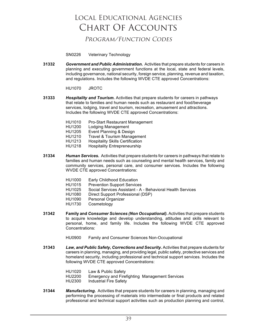### *PROGRAM/FUNCTION CODES* Program/Function Codes

SN0226 Veterinary Technology

**31332** *Government and Public Administration.* Activities that prepare students for careers in planning and executing government functions at the local, state and federal levels, including governance, national security, foreign service, planning, revenue and taxation, and regulations. Includes the following WVDE CTE approved Concentrations:

HU1070 JROTC

- **31333** *Hospitality and Tourism.* Activities that prepare students for careers in pathways that relate to families and human needs such as restaurant and food/beverage services, lodging, travel and tourism, recreation, amusement and attractions. Includes the following WVDE CTE approved Concentrations:
	- HU1010 Pro-Start Restaurant Management<br>HU1200 Lodging Management
	- Lodging Management
	- HU1205 Event Planning & Design
	-
	- HU1210 Travel & Tourism Management<br>HU1213 Hospitality Skills Certification
	- HU1213 Hospitality Skills Certification Hospitality Entrepreneurship
- **31334** *Human Services.* Activities that prepare students for careers in pathways that relate to families and human needs such as counseling and mental health services, family and community services, personal care, and consumer services. Includes the following WVDE CTE approved Concentrations:
	- HU1000 Early Childhood Education<br>HU1015 Prevention Support Service **Prevention Support Services** HU1025 Social Services Assistant - A - Behavioral Health Services
	-
	- HU1080 Direct Support Professional (DSP)
	- HU1090 Personal Organizer<br>HU1730 Cosmetology
	- Cosmetology
- **31342 Family and** *Consumer Sciences (Non Occupational).* Activities that prepare students to acquire knowledge and develop understanding, attitudes and skills relevant to personal, home, and family life. Includes the following WVDE CTE approved Concentrations:
	- HU0900 Family and Consumer Sciences Non-Occupational
- **31343** *Law, and Public Safety, Corrections and Security.* Activities that prepare students for careers in planning, managing, and providing legal, public safety, protective services and homeland security, including professional and technical support services. Includes the following WVDE CTE approved Concentrations:
	- HU1020 Law & Public Safety
	- HU2200 Emergency and Firefighting Management Services
	- HU2300 Industrial Fire Safety
- **31344** *Manufacturing.* Activities that prepare students for careers in planning, managing and performing the processing of materials into intermediate or final products and related professional and technical support activities such as production planning and control,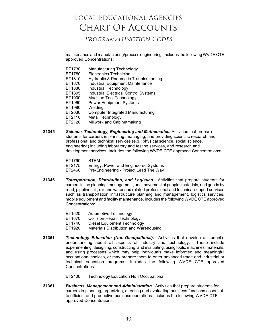*PROGRAM/FUNCTION CODES* Program/Function Codes

maintenance and manufacturing/process engineering. Includes the following WVDE CTE approved Concentrations:

- ET1730 Manufacturing Technology
- ET1780 Electronics Technician
- ET1810 Hydraulic & Pneumatic Troubleshooting<br>FT1870 Industrial Fquipment Maintenance
- ET1870 Industrial Equipment Maintenance<br>ET1880 Industrial Technology
- Industrial Technology
- ET1895 Industrial Electrical Control Systems
- ET1900 Machine Tool Technology<br>ET1960 Power Equipment Systems
- **Power Equipment Systems**
- ET1980 Welding
- ET2030 Computer Integrated Manufacturing
- ET2110 Metal Technology
- ET2120 Millwork and Cabinetmaking
- **31345** *Science, Technology, Engineering and Mathematics.* Activities that prepare students for careers in planning, managing, and providing scientific research and professional and technical services (e.g., physical science, social science, engineering) including laboratory and testing services, and research and development services. Includes the following WVDE CTE approved Concentrations:
	- ET1790 STEM ET2175 Energy, Power and Engineered Systems<br>ET2460 Pre-Engineering - Project Lead The Wav Pre-Engineering - Project Lead The Way
- **31346** *Transportation, Distribution, and Logistics.* Activities that prepare students for careers in the planning, management, and movement of people, materials, and goods by road, pipeline, air, rail and water and related professional and technical support services such as transportation infrastructure planning and management, logistics services, mobile equipment and facility maintenance. Includes the following WVDE CTE approved Concentrations:
	- ET1620 Automotive Technology
	- ET1670 Collision Repair Technology
	- ET1740 Diesel Equipment Technology<br>ET1920 Materials Distribution and War
	- Materials Distribution and Warehousing
- **31351** *Technology Education (Non-Occupational).* Activities that develop a student's understanding about all aspects of industry and technology. These include experimenting, designing, constructing, and evaluating; using tools, machines, materials; and using processes which may help individuals make informed and meaningful occupational choices, or may prepare them to enter advanced trade and industrial or technical education programs. Includes the following WVDE CTE approved Concentrations:
	- ET2400 Technology Education Non Occupational
- **31361** *Business, Management and Administration.* Activities that prepare students for careers in planning, organizing, directing and evaluating business functions essential to efficient and productive business operations. Includes the following WVDE CTE approved Concentrations: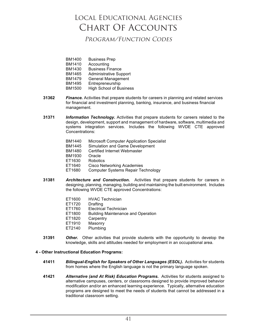*PROGRAM/FUNCTION CODES* Program/Function Codes

BM1400 Business Prep<br>BM1410 Accounting BM1410 Accounting<br>BM1430 Business Fi **Business Finance** BM1465 Administrative Support BM1479 General Management<br>BM1495 Entrepreneurship BM1495 Entrepreneurship<br>BM1500 High School of Bu

- High School of Business
- **31362** *Finance.* Activities that prepare students for careers in planning and related services for financial and investment planning, banking, insurance, and business financial management.
- **31371** *Information Technology.* Activities that prepare students for careers related to the design, development, support and management of hardware, software, multimedia and systems integration services. Includes the following WVDE CTE approved Concentrations:
	- BM1440 Microsoft Computer Application Specialist
	- BM1445 Simulation and Game Development
	- BM1480 Certified Internet Webmaster
	- BM1930 Oracle
	- ET1630 Robotics
	- ET1640 Cisco Networking Academies<br>ET1680 Computer Systems Repair Te
	- Computer Systems Repair Technology
- **31381** *Architecture and Construction.* Activities that prepare students for careers in designing, planning, managing, building and maintaining the built environment. Includes the following WVDE CTE approved Concentrations:
	- ET1600 HVAC Technician<br>FT1720 Drafting
	- Drafting
	- ET1760 Electrical Technician
	- ET1800 Building Maintenance and Operation
	- ET1820 Carpentry
	- ET1910 Masonry<br>ET2140 Plumbing
	- Plumbing
- **31391** *Other.* Other activities that provide students with the opportunity to develop the knowledge, skills and attitudes needed for employment in an occupational area.

#### **4 - Other Instructional Education Programs:**

- **41411** *Bilingual-English for Speakers of Other Languages (ESOL).* Activities for students from homes where the English language is not the primary language spoken.
- **41421** *Alternative (and At Risk) Education Programs.* Activities for students assigned to alternative campuses, centers, or classrooms designed to provide improved behavior modification and/or an enhanced learning experience. Typically, alternative education programs are designed to meet the needs of students that cannot be addressed in a traditional classroom setting.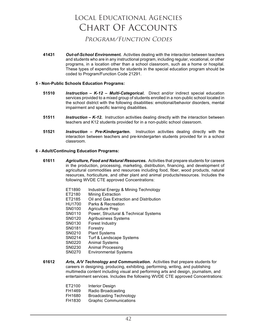*PROGRAM/FUNCTION CODES* Program/Function Codes

**41431** *Out-of-School Environment.* Activities dealing with the interaction between teachers and students who are in any instructional program, including regular, vocational, or other programs, in a location other than a school classroom, such as a home or hospital. These types of expenditures for students in the special education program should be coded to Program/Function Code 21291.

#### **5 - Non-Public Schools Education Programs:**

- **51510** *Instruction – K-12 – Multi-Categorical***.** Direct and/or indirect special education services provided to a mixed group of students enrolled in a non-public school located in the school district with the following disabilities: emotional/behavior disorders, mental impairment and specific learning disabilities.
- **51511** *Instruction – K-12***.** Instruction activities dealing directly with the interaction between teachers and K12 students provided for in a non-public school classroom.
- **51521** *Instruction – Pre-Kindergarten***.** Instruction activities dealing directly with the interaction between teachers and pre-kindergarten students provided for in a school classroom.

#### **6 - Adult/Continuing Education Programs:**

- **61611** *Agriculture, Food and Natural Resources.* Activities that prepare students for careers in the production, processing, marketing, distribution, financing, and development of agricultural commodities and resources including food, fiber, wood products, natural resources, horticulture, and other plant and animal products/resources. Includes the following WVDE CTE approved Concentrations:
	- ET1890 Industrial Energy & Mining Technology<br>ET2180 Mining Extraction
	- ET2180 Mining Extraction<br>ET2185 Oil and Gas Extra
	- ET2185 Oil and Gas Extraction and Distribution<br>HU1700 Parks & Recreation
	- Parks & Recreation
	- SN0100 Agriculture Prep
	- SN0110 Power, Structural & Technical Systems
	- SN0120 Agribusiness Systems
	- SN0130 Forest Industry<br>SN0181 Forestry
	- SN0181 Forestry<br>SN0210 Plant Sy
		- Plant Systems
	- SN0214 Turf & Landscape Systems<br>SN0220 Animal Systems
	- SN0220 Animal Systems<br>SN0230 Animal Processin
	- Animal Processing
	- SN0270 Environmental Systems
- **61612** *Arts, A/V Technology and Communication.* Activities that prepare students for careers in designing, producing, exhibiting, performing, writing, and publishing multimedia content including visual and performing arts and design, journalism, and entertainment services. Includes the following WVDE CTE approved Concentrations:

| ET2100 | <b>Interior Design</b>         |
|--------|--------------------------------|
| FH1469 | Radio Broadcasting             |
| FH1680 | <b>Broadcasting Technology</b> |
| FH1830 | <b>Graphic Communications</b>  |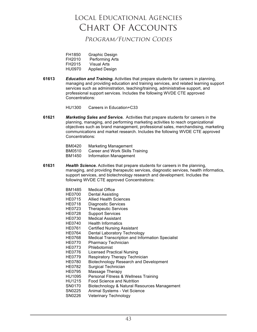*PROGRAM/FUNCTION CODES* Program/Function Codes

| FH1850 | <b>Graphic Design</b>  |
|--------|------------------------|
| FH2010 | <b>Performing Arts</b> |
| FH2015 | <b>Visual Arts</b>     |
| HU0970 | <b>Applied Design</b>  |

**61613** *Education and Training.* Activities that prepare students for careers in planning, managing and providing education and training services, and related learning support services such as administration, teaching/training, administrative support, and professional support services. Includes the following WVDE CTE approved Concentrations:

HU1300 Careers in Education+C33

- **61621** *Marketing Sales and Service.* Activities that prepare students for careers in the planning, managing, and performing marketing activities to reach organizational objectives such as brand management, professional sales, merchandising, marketing communications and market research. Includes the following WVDE CTE approved Concentrations:
	- BM0420 Marketing Management
	- BM0510 Career and Work Skills Training
	- BM1450 Information Management
- **61631** *Health Science.* Activities that prepare students for careers in the planning, managing, and providing therapeutic services, diagnostic services, health informatics, support services, and biotechnology research and development. Includes the following WVDE CTE approved Concentrations:
	- BM1485 Medical Office
	- HE0700 Dental Assisting
	- HE0715 Allied Health Sciences<br>HF0718 Diagnostic Services
	- Diagnostic Services
	- HE0723 Therapeutic Services
	- HE0728 Support Services
	- HE0730 Medical Assistant
	- HE0740 Health Informatics<br>HE0761 Certified Nursing A
	- **Certified Nursing Assistant**
	- HE0764 Dental Laboratory Technology
	- HE0768 Medical Transcription and Information Specialist<br>HE0770 Pharmacy Technician
	- Pharmacy Technician
	- HE0773 Phlebotomist
	- HE0776 Licensed Practical Nursing
	- HE0779 Respiratory Therapy Technician<br>HE0780 Biotechnology Research and De
	- Biotechnology Research and Development
	- HE0782 Surgical Technician
	- HE0795 Massage Therapy
	- HU1095 Personal Fitness & Wellness Training
	- HU1215 Food Science and Nutrition<br>SN0170 Biotechnology & Natural Re
	- Biotechnology & Natural Resources Management
	- SN0225 Animal Systems Vet Science
	- SN0226 Veterinary Technology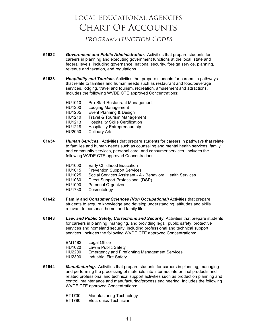*PROGRAM/FUNCTION CODES* Program/Function Codes

- **61632** *Government and Public Administration.* Activities that prepare students for careers in planning and executing government functions at the local, state and federal levels, including governance, national security, foreign service, planning, revenue and taxation, and regulations.
- **61633** *Hospitality and Tourism.* Activities that prepare students for careers in pathways that relate to families and human needs such as restaurant and food/beverage services, lodging, travel and tourism, recreation, amusement and attractions. Includes the following WVDE CTE approved Concentrations:
	- HU1010 Pro-Start Restaurant Management
	- HU1200 Lodging Management
	- HU1205 Event Planning & Design
	- HU1210 Travel & Tourism Management
	- HU1213 Hospitality Skills Certification
	- Hospitality Entrepreneurship
	- HU2050 Culinary Arts
- **61634** *Human Services.* Activities that prepare students for careers in pathways that relate to families and human needs such as counseling and mental health services, family and community services, personal care, and consumer services. Includes the following WVDE CTE approved Concentrations:
	- HU1000 Early Childhood Education<br>HU1015 Prevention Support Service
	- Prevention Support Services
	- HU1025 Social Services Assistant A Behavioral Health Services
	- HU1080 Direct Support Professional (DSP)
	- HU1090 Personal Organizer
	- HU1730 Cosmetology
- **61642 Family and** *Consumer Sciences (Non Occupational)* Activities that prepare students to acquire knowledge and develop understanding, attitudes and skills relevant to personal, home, and family life.
- **61643** *Law, and Public Safety, Corrections and Security.* Activities that prepare students for careers in planning, managing, and providing legal, public safety, protective services and homeland security, including professional and technical support services. Includes the following WVDE CTE approved Concentrations:

| BM1483 | Legal Office                                          |
|--------|-------------------------------------------------------|
| HU1020 | Law & Public Safety                                   |
| HU2200 | <b>Emergency and Firefighting Management Services</b> |
| HU2300 | Industrial Fire Safety                                |

- **61644** *Manufacturing.* Activities that prepare students for careers in planning, managing and performing the processing of materials into intermediate or final products and related professional and technical support activities such as production planning and control, maintenance and manufacturing/process engineering. Includes the following WVDE CTE approved Concentrations:
	- ET1730 Manufacturing Technology<br>ET1780 Electronics Technician
	- Electronics Technician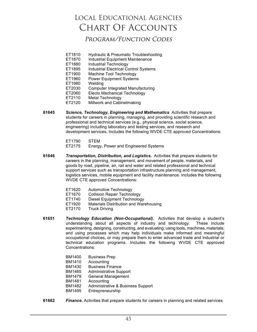### *PROGRAM/FUNCTION CODES* Program/Function Codes

- ET1810 Hydraulic & Pneumatic Troubleshooting
- ET1870 Industrial Equipment Maintenance
- ET1880 Industrial Technology<br>ET1895 Industrial Electrical Co
- Industrial Electrical Control Systems
- ET1900 Machine Tool Technology
- ET1960 Power Equipment Systems<br>ET1980 Welding
- Welding
- ET2030 Computer Integrated Manufacturing
- ET2060 Electo Mechanical Technology<br>ET2110 Metal Technology
- ET2110 Metal Technology<br>ET2120 Millwork and Cabir
- **Millwork and Cabinetmaking**
- **61645** *Science, Technology, Engineering and Mathematics* Activities that prepare students for careers in planning, managing, and providing scientific research and professional and technical services (e.g., physical science, social science, engineering) including laboratory and testing services, and research and development services. Includes the following WVDE CTE approved Concentrations:

ET1790 STEM ET2175 Energy, Power and Engineered Systems

- **61646** *Transportation, Distribution, and Logistics.* Activities that prepare students for careers in the planning, management, and movement of people, materials, and goods by road, pipeline, air, rail and water and related professional and technical support services such as transportation infrastructure planning and management, logistics services, mobile equipment and facility maintenance. Includes the following WVDE CTE approved Concentrations:
	- ET1620 Automotive Technology
	- ET1670 Collision Repair Technology
	- ET1740 Diesel Equipment Technology<br>ET1920 Materials Distribution and War
	- **Materials Distribution and Warehousing**
	- ET2170 Truck Driving
- **61651** *Technology Education (Non-Occupational).* Activities that develop a student's understanding about all aspects of industry and technology. experimenting, designing, constructing, and evaluating; using tools, machines, materials; and using processes which may help individuals make informed and meaningful occupational choices, or may prepare them to enter advanced trade and industrial or technical education programs. Includes the following WVDE CTE approved Concentrations:
	- BM1400 Business Prep<br>BM1410 Accounting
	- Accounting
	- BM1430 Business Finance
	- BM1465 Administrative Support<br>BM1479 General Management
	- General Management
	- BM1481 Accounting<br>BM1482 Administrat
	- Administrative & Business Support
	- BM1495 Entrepreneurship
- **61662** *Finance.* Activities that prepare students for careers in planning and related services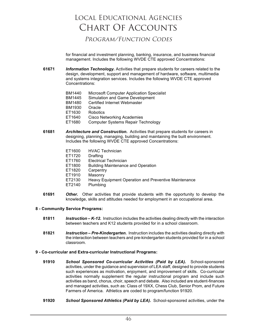### *PROGRAM/FUNCTION CODES* Program/Function Codes

for financial and investment planning, banking, insurance, and business financial management. Includes the following WVDE CTE approved Concentrations:

- **61671** *Information Technology.* Activities that prepare students for careers related to the design, development, support and management of hardware, software, multimedia and systems integration services. Includes the following WVDE CTE approved Concentrations:
	- BM1440 Microsoft Computer Application Specialist
	- BM1445 Simulation and Game Development<br>BM1480 Certified Internet Webmaster
	- **Certified Internet Webmaster**
	- BM1930 Oracle
	- ET1630 Robotics
	- ET1640 Cisco Networking Academies<br>FT1680 Computer Systems Repair Te
	- Computer Systems Repair Technology
- **61681** *Architecture and Construction.* Activities that prepare students for careers in designing, planning, managing, building and maintaining the built environment. Includes the following WVDE CTE approved Concentrations:
	- ET1600 HVAC Technician
	- ET1720 Drafting
	- ET1760 Electrical Technician
	- ET1800 Building Maintenance and Operation<br>ET1820 Carpentry
	- Carpentry
	-
	- ET1910 Masonry<br>ET2130 Heavy Eq ET2130 Heavy Equipment Operation and Preventive Maintenance<br>ET2140 Plumbing
	- Plumbing
- **61691** *Other.* Other activities that provide students with the opportunity to develop the knowledge, skills and attitudes needed for employment in an occupational area.
- **8 - Community Service Programs:**
	- **81811** *Instruction – K-12.* Instruction includes the activities dealing directly with the interaction between teachers and K12 students provided for in a school classroom.
	- **81821** *Instruction – Pre-Kindergarten.* Instruction includes the activities dealing directly with the interaction between teachers and pre-kindergarten students provided for in a school classroom.

#### **9 - Co-curricular and Extra-curricular Instructional Programs:**

- **91910** *School Sponsored Co-curricular Activities (Paid by LEA).* School-sponsored activities, under the guidance and supervision of LEA staff, designed to provide students such experiences as motivation, enjoyment, and improvement of skills. Co-curricular activities normally supplement the regular instructional program and include such activities as band, chorus, choir, speech and debate. Also included are student-finances and managed activities, such as: Class of 19XX, Chess Club, Senior Prom, and Future Farmers of America. Athletics are coded to program/function 91920.
- **91920** *School Sponsored Athletics (Paid by LEA).* School-sponsored activities, under the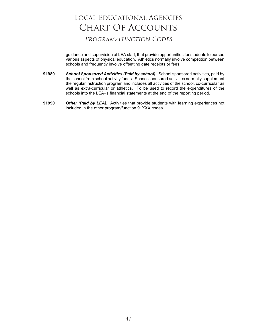### *PROGRAM/FUNCTION CODES* Program/Function Codes

guidance and supervision of LEA staff, that provide opportunities for students to pursue various aspects of physical education. Athletics normally involve competition between schools and frequently involve offsetting gate receipts or fees.

- **91980** *School Sponsored Activities (Paid by school).* School sponsored activities, paid by the school from school activity funds. School sponsored activities normally supplement the regular instruction program and includes all activities of the school, co-curricular as well as extra-curricular or athletics. To be used to record the expenditures of the schools into the LEA=s financial statements at the end of the reporting period.
- **91990** *Other (Paid by LEA).* Activities that provide students with learning experiences not included in the other program/function 91XXX codes.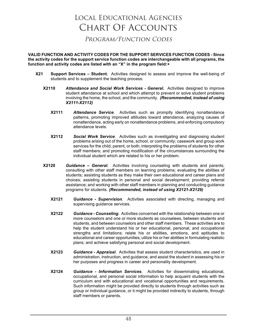*PROGRAM/FUNCTION CODES* Program/Function Codes

**VALID FUNCTION AND ACTIVITY CODES FOR THE SUPPORT SERVICES FUNCTION CODES - Since the activity codes for the support service function codes are interchangeable with all programs, the function and activity codes are listed with an "X" in the program field:+**

- **X21 Support Services – Student.** Activities designed to assess and improve the well-being of students and to supplement the teaching process:
	- **X2110** *Attendance and Social Work Services - General***.** Activities designed to improve student attendance at school and which attempt to prevent or solve student problems involving the home, the school, and the community. *(Recommended, instead of using X2111-X2112)*
		- **X2111** *Attendance Service*. Activities such as promptly identifying nonattendance patterns, promoting improved attitudes toward attendance, analyzing causes of nonattendance, acting early on nonattendance problems, and enforcing compulsory attendance levels.
		- **X2112** *Social Work Service.* Activities such as investigating and diagnosing student problems arising out of the home, school, or community; casework and group work services for the child, parent, or both; interpreting the problems of students for other staff members; and promoting modification of the circumstances surrounding the individual student which are related to his or her problem.
	- **X2120** *Guidance – General.* Activities involving counseling with students and parents; consulting with other staff members on learning problems; evaluating the abilities of students; assisting students as they make their own educational and career plans and choices; assisting students in personal and social development; providing referral assistance; and working with other staff members in planning and conducting guidance programs for students. *(Recommended, instead of using X2121-X2129)*
		- **X2121** *Guidance - Supervision*. Activities associated with directing, managing and supervising guidance services.
		- **X2122** *Guidance - Counseling.* Activities concerned with the relationship between one or more counselors and one or more students as counselees, between students and students, and between counselors and other staff members. These activities are to help the student understand his or her educational, personal, and occupational strengths and limitations; relate his or abilities, emotions, and aptitudes to educational and career opportunities; utilize his or her abilities in formulating realistic plans; and achieve satisfying personal and social development.
		- **X2123** *Guidance - Appraisal*. Activities that assess student characteristics, are used in administration, instruction, and guidance, and assist the student in assessing his or her purposes and progress in career and personality development.
		- **X2124** *Guidance - Information Services*. Activities for disseminating educational, occupational, and personal social information to help acquaint students with the curriculum and with educational and vocational opportunities and requirements. Such information might be provided directly to students through activities such as group or individual guidance, or it might be provided indirectly to students, through staff members or parents.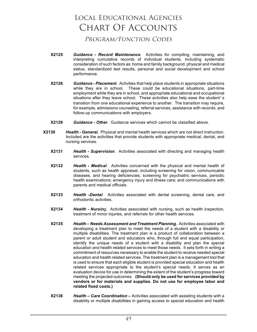*PROGRAM/FUNCTION CODES* Program/Function Codes

- **X2125** *Guidance - Record Maintenance*. Activities for compiling, maintaining, and interpreting cumulative records of individual students, including systematic consideration of such factors as: home and family background, physical and medical status, standardized test results, personal and social development and school performance.
- **X2126** *Guidance - Placement*. Activities that help place students in appropriate situations while they are in school. These could be educational situations, part-time employment while they are in school, and appropriate educational and occupational situations after they leave school. These activities also help ease the student's transition from one educational experience to another. The transition may require, for example, admissions counseling, referral services, assistance with records, and follow-up communications with employers.
- **X2129** *Guidance - Other.* Guidance services which cannot be classified above.
- **X2130** *Health - General.*Physical and mental health services which are not direct instruction. Included are the activities that provide students with appropriate medical, dental, and nursing services.
	- **X2131** *Health - Supervision*. Activities associated with directing and managing health services.
	- **X2132** *Health - Medical*. Activities concerned with the physical and mental health of students, such as health appraisal, including screening for vision, communicable diseases, and hearing deficiencies; screening for psychiatric services, periodic health examinations; emergency injury and illness care; and communications with parents and medical officials.
	- **X2133** *Health -Dental*. Activities associated with dental screening, dental care, and orthodontic activities.
	- **X2134** *Health - Nursing*. Activities associated with nursing, such as health inspection, treatment of minor injuries, and referrals for other health services.
	- **X2135** *Health – Needs Assessment and Treatment Planning***.** Activities associated with developing a treatment plan to meet the needs of a student with a disability or multiple disabilities. The treatment plan is a product of collaboration between a parent or adult student and educators who, through full and equal participation, identify the unique needs of a student with a disability and plan the special education and health related services to meet those needs. It sets forth in writing a commitment of resources necessary to enable the student to receive needed special education and health related services. The treatment plan is a management tool that is used to ensure that each eligible student is provided special education and health related services appropriate to the student's special needs. It serves as an evaluation device for use in determining the extent of the student's progress toward meeting the projected outcomes. **(Should only be used for services provided by vendors or for materials and supplies. Do not use for employee labor and related fixed costs.)**
	- **X2136** *Health – Care Coordination* **–** Activities associated with assisting students with a disability or multiple disabilities in gaining access to special education and health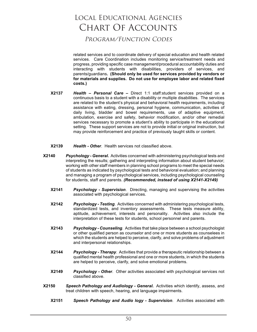*PROGRAM/FUNCTION CODES* Program/Function Codes

related services and to coordinate delivery of special education and health related services. Care Coordination includes monitoring service/treatment needs and progress, providing specific case management/procedural accountability duties and interacting with students with disabilities, providers of services, and parents/guardians**. (Should only be used for services provided by vendors or for materials and supplies. Do not use for employee labor and related fixed costs.)**

- **X2137** *Health – Personal Care* **–** Direct 1:1 staff:student services provided on a continuous basis to a student with a disability or multiple disabilities. The services are related to the student's physical and behavioral health requirements, including assistance with eating, dressing, personal hygiene, communication, activities of daily living, bladder and bowel requirements, use of adaptive equipment, ambulation, exercise and safety, behavior modification, and/or other remedial services necessary to promote a student's ability to participate in the educational setting. These support services are not to provide initial or original instruction, but may provide reinforcement and practice of previously taught skills or content.
- **X2139** *Health - Other*. Health services not classified above.
- **X2140** *Psychology - General***.** Activities concerned with administering psychological tests and interpreting the results; gathering and interpreting information about student behavior; working with other staff members in planning school programs to meet the special needs of students as indicated by psychological tests and behavioral evaluation; and planning and managing a program of psychological services, including psychological counseling for students, staff and parents. *(Recommended, instead of using X2141-X2149)*
	- **X2141** *Psychology - Supervision*. Directing, managing and supervising the activities associated with psychological services.
	- **X2142** *Psychology - Testing*. Activities concerned with administering psychological tests, standardized tests, and inventory assessments. These tests measure ability, aptitude, achievement, interests and personality. Activities also include the interpretation of these tests for students, school personnel and parents.
	- **X2143** *Psychology - Counseling*. Activities that take place between a school psychologist or other qualified person as counselor and one or more students as counselees in which the students are helped to perceive, clarify, and solve problems of adjustment and interpersonal relationships.
	- **X2144** *Psychology - Therapy*. Activities that provide a therapeutic relationship between a qualified mental health professional and one or more students, in which the students are helped to perceive, clarify, and solve emotional problems.
	- **X2149** *Psychology - Other*. Other activities associated with psychological services not classified above.
- **X2150** *Speech Pathology and Audiology - General***.** Activities which identify, assess, and treat children with speech, hearing, and language impairments.
	- **X2151** *Speech Pathology and Audio logy - Supervision*. Activities associated with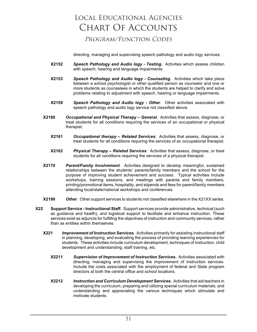### *PROGRAM/FUNCTION CODES* Program/Function Codes

directing, managing and supervising speech pathology and audio logy services.

- **X2152** *Speech Pathology and Audio logy - Testing***.** Activities which assess children with speech, hearing and language impairments.
- **X2153** *Speech Pathology and Audio logy - Counseling*. Activities which take place between a school psychologist or other qualified person as counselor and one or more students as counselees in which the students are helped to clarify and solve problems relating to adjustment with speech, hearing or language impairments.
- **X2159** *Speech Pathology and Audio logy - Other*. Other activities associated with speech pathology and audio logy service not classified above.
- **X2160** *Occupational and Physical Therapy – General*. Activities that assess, diagnose, or treat students for all conditions requiring the services of an occupational or physical therapist.
	- **X2161** *Occupational therapy – Related Services*: Activities that assess, diagnose, or treat students for all conditions requiring the services of an occupational therapist.
	- **X2162** *Physical Therapy – Related Services*: Activities that assess, diagnose, or treat students for all conditions requiring the services of a physical therapist.
- **X2170** *Parent/Family Involvement*. Activities designed to develop meaningful, sustained relationships between the students' parents/family members and the school for the purpose of improving student achievement and success. Typical activities include workshops, training sessions, and meetings with parents and family members, printing/promotional items, hospitality, and stipends and fees for parent/family members attending local/state/national workshops and conferences.
- **X2190** *Other*. Other support services to students not classified elsewhere in the X21XX series.
- **X22 Support Service - Instructional Staff.** Support services provide administrative, technical (such as guidance and health), and logistical support to facilitate and enhance instruction. These services exist as adjuncts for fulfilling the objectives of instruction and community services, rather than as entities within themselves:
	- **X221** *Improvement of Instruction Services.*Activities primarily for assisting instructional staff in planning, developing, and evaluating the process of providing learning experiences for students. These activities include curriculum development, techniques of instruction, child development and understanding, staff training, etc.
		- **X2211** *Supervision of Improvement of Instruction Services***.** Activities associated with directing, managing and supervising the improvement of instruction services. Include the costs associated with the employment of federal and State program directors at both the central office and school locations.
		- **X2212** *Instruction and Curriculum Development Services***.** Activities that aid teachers in developing the curriculum, preparing and utilizing special curriculum materials, and understanding and appreciating the various techniques which stimulate and motivate students.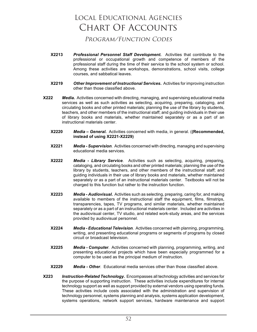*PROGRAM/FUNCTION CODES* Program/Function Codes

- **X2213** *Professional Personnel Staff Development***.** Activities that contribute to the professional or occupational growth and competence of members of the professional staff during the time of their service to the school system or school. Among these activities are workshops, demonstrations, school visits, college courses, and sabbatical leaves.
- **X2219** *Other Improvement of Instructional Services***.** Activities for improving instruction other than those classified above.
- **X222** *Media.* Activities concerned with directing, managing, and supervising educational media services as well as such activities as selecting, acquiring, preparing, cataloging, and circulating books and other printed materials; planning the use of the library by students, teachers, and other members of the instructional staff; and guiding individuals in their use of library books and materials, whether maintained separately or as a part of an instructional materials center.
	- **X2220** *Media – General.* Activities concerned with media, in general. (**(Recommended, instead of using X2221-X2229)**
	- **X2221** *Media - Supervision.* Activities concerned with directing, managing and supervising educational media services.
	- **X2222** *Media - Library Service*. Activities such as selecting, acquiring, preparing, cataloging, and circulating books and other printed materials; planning the use of the library by students, teachers, and other members of the instructional staff; and guiding individuals in their use of library books and materials, whether maintained separately or as a part of an instructional materials center. Textbooks will not be charged to this function but rather to the instruction function.
	- **X2223** *Media - Audiovisual***.** Activities such as selecting, preparing, caring for, and making available to members of the instructional staff the equipment, films, filmstrips, transparencies, tapes, TV programs, and similar materials, whether maintained separately or as a part of an instructional materials center. Included are activities in the audiovisual center, TV studio, and related work-study areas, and the services provided by audiovisual personnel.
	- **X2224** *Media - Educational Television.* Activities concerned with planning, programming, writing, and presenting educational programs or segments of programs by closed circuit or broadcast television.
	- **X2225** *Media - Computer.* Activities concerned with planning, programming, writing, and presenting educational projects which have been especially programmed for a computer to be used as the principal medium of instruction.
	- **X2229** *Media - Other*. Educational media services other than those classified above.
- **X223** *Instruction-Related Technology***.** Encompasses all technology activities and services for the purpose of supporting instruction. These activities include expenditures for internal technology support as well as support provided by external vendors using operating funds. These activities include costs associated with the administration and supervision of technology personnel, systems planning and analysis, systems application development, systems operations, network support services, hardware maintenance and support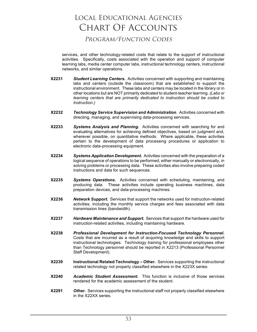### *PROGRAM/FUNCTION CODES* Program/Function Codes

services, and other technology-related costs that relate to the support of instructional activities. Specifically, costs associated with the operation and support of computer learning labs, media center computer labs, instructional technology centers, instructional networks, and similar operations.

- **X2231** *Student Learning Centers***.** Activities concerned with supporting and maintaining labs and centers (outside the classroom) that are established to support the instructional environment. These labs and centers may be located in the library or in other locations but are NOT primarily dedicated to student-teacher learning. *(Labs or learning centers that are primarily dedicated to instruction should be coded to Instruction.)*
- **X2232** *Technology Service Supervision and Administration*. Activities concerned with directing, managing, and supervising data-processing services.
- **X2233** *Systems Analysis and Planning***.** Activities concerned with searching for and evaluating alternatives for achieving defined objectives, based on judgment and, wherever possible, on quantitative methods. Where applicable, these activities pertain to the development of data processing procedures or application to electronic data-processing equipment.
- **X2234** *Systems Application Development***.** Activities concerned with the preparation of a logical sequence of operations to be performed, either manually or electronically, in solving problems or processing data. These activities also involve preparing coded instructions and data for such sequences.
- **X2235** *Systems Operations***.** Activities concerned with scheduling, maintaining, and producing data. These activities include operating business machines, data preparation devices, and data-processing machines.
- **X2236** *Network Support***.** Services that support the networks used for instruction-related activities, including the monthly service charges and fees associated with data transmission lines (bandwidth).
- **X2237** *Hardware Maintenance and Support***.** Services that support the hardware used for instruction-related activities, including maintaining hardware.
- **X2238** *Professional Development for Instruction-Focused Technology Personnel***.** Costs that are incurred as a result of acquiring knowledge and skills to support instructional technologies. Technology training for professional employees other than Technology personnel should be reported in X2213 (Professional Personnel Staff Development).
- **X2239 Instructional Related Technology – Other.** Services supporting the instructional related technology not properly classified elsewhere in the X223X series.
- **X2240** *Academic Student Assessment.* This function is inclusive of those services rendered for the academic assessment of the student.
- **X2291** *Other.* Services supporting the instructional staff not properly classified elsewhere in the X22XX series.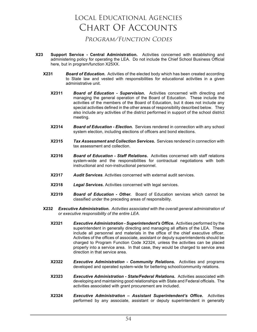*PROGRAM/FUNCTION CODES* Program/Function Codes

- **X23 Support Service - Central Administration.** Activities concerned with establishing and administering policy for operating the LEA. Do not include the Chief School Business Official here, but in program/function X25XX.
	- **X231** *Board of Education.* Activities of the elected body which has been created according to State law and vested with responsibilities for educational activities in a given administrative unit.
		- **X2311** *Board of Education - Supervision***.** Activities concerned with directing and managing the general operation of the Board of Education. These include the activities of the members of the Board of Education, but it does not include any special activities defined in the other areas of responsibility described below. They also include any activities of the district performed in support of the school district meeting.
		- **X2314** *Board of Education - Election.* Services rendered in connection with any school system election, including elections of officers and bond elections.
		- **X2315** *Tax Assessment and Collection Services***.** Services rendered in connection with tax assessment and collection.
		- **X2316** *Board of Education - Staff Relations***.** Activities concerned with staff relations system-wide and the responsibilities for contractual negotiations with both instructional and non-instructional personnel.
		- **X2317** *Audit Services.* Activities concerned with external audit services.
		- **X2318** *Legal Services.* Activities concerned with legal services.
		- **X2319** *Board of Education - Other.* Board of Education services which cannot be classified under the preceding areas of responsibility.
	- **X232** *Executive Administration. Activities associated with the overall general administration of or executive responsibility of the entire LEA.* 
		- **X2321** *Executive Administration - Superintendent's Office***.** Activities performed by the superintendent in generally directing and managing all affairs of the LEA. These include all personnel and materials in the office of the chief executive officer. Activities of the offices of associate, assistant or deputy superintendents should be charged to Program Function Code X2324, unless the activities can be placed properly into a service area. In that case, they would be charged to service area direction in that service area.
		- **X2322** *Executive Administration - Community Relations.* Activities and programs developed and operated system-wide for bettering school/community relations.
		- **X2323** *Executive Administration - State/Federal Relations***.** Activities associated with developing and maintaining good relationships with State and Federal officials. The activities associated with grant procurement are included.
		- **X2324** *Executive Administration – Assistant Superintendent's Office***.** Activities performed by any associate, assistant or deputy superintendent in generally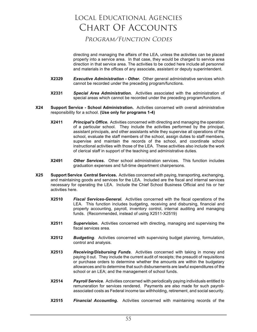### *PROGRAM/FUNCTION CODES* Program/Function Codes

directing and managing the affairs of the LEA, unless the activities can be placed properly into a service area. In that case, they would be charged to service area direction in that service area. The activities to be coded here include all personnel and materials in the offices of any associate, assistant or deputy superintendent.

- **X2329** *Executive Administration - Other.* Other general administrative services which cannot be recorded under the preceding program/functions.
- **X2331** *Special Area Administration.* Activities associated with the administration of special areas which cannot be recorded under the preceding program/functions.
- **X24 Support Service - School Administration.** Activities concerned with overall administrative responsibility for a school. **(Use only for programs 1-4)**
	- **X2411** *Principal's Office***.** Activities concerned with directing and managing the operation of a particular school. They include the activities performed by the principal, assistant principals, and other assistants while they supervise all operations of the school, evaluate the staff members of the school, assign duties to staff members, supervise and maintain the records of the school, and coordinate school instructional activities with those of the LEA. These activities also include the work of clerical staff in support of the teaching and administrative duties.
	- **X2491** *Other Services***.** Other school administration services. This function includes graduation expenses and full-time department chairpersons.
- **X25 Support Service Central Services.** Activities concerned with paying, transporting, exchanging, and maintaining goods and services for the LEA. Included are the fiscal and internal services necessary for operating the LEA. Include the Chief School Business Official and his or her activities here.
	- **X2510** *Fiscal Services-General***.** Activities concerned with the fiscal operations of the LEA. This function includes budgeting, receiving and disbursing, financial and property accounting, payroll, inventory control, internal auditing and managing funds. (Recommended, instead of using X2511-X2519)
	- **X2511** *Supervision***.** Activities concerned with directing, managing and supervising the fiscal services area.
	- **X2512** *Budgeting.* Activities concerned with supervising budget planning, formulation, control and analysis.
	- **X2513** *Receiving/Disbursing Funds*. Activities concerned with taking in money and paying it out. They include the current audit of receipts; the preaudit of requisitions or purchase orders to determine whether the amounts are within the budgetary allowances and to determine that such disbursements are lawful expenditures of the school or an LEA; and the management of school funds.
	- **X2514** *Payroll Service.* Activities concerned with periodically paying individuals entitled to remuneration for services rendered. Payments are also made for such payrollassociated costs as Federal income tax withholding, retirement, and social security.
	- **X2515** *Financial Accounting***.** Activities concerned with maintaining records of the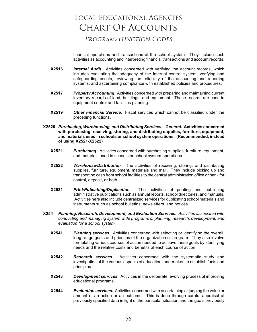### *PROGRAM/FUNCTION CODES* Program/Function Codes

financial operations and transactions of the school system. They include such activities as accounting and interpreting financial transactions and account records.

- **X2516** *Internal Audit.* Activities concerned with verifying the account records, which includes evaluating the adequacy of the internal control system, verifying and safeguarding assets, reviewing the reliability of the accounting and reporting systems, and ascertaining compliance with established policies and procedures.
- **X2517** *Property Accounting*. Activities concerned with preparing and maintaining current inventory records of land, buildings, and equipment. These records are used in equipment control and facilities planning.
- **X2519** *Other Financial Service*. Fiscal services which cannot be classified under the preceding functions.
- **X2520** *Purchasing, Warehousing, and Distributing Services – General.* **Activities concerned with purchasing, receiving, storing, and distributing supplies, furniture, equipment, and materials used in schools or school system operations. (Recommended, instead of using X2521-X2522)**
	- **X2521** *Purchasing.* Activities concerned with purchasing supplies, furniture, equipment, and materials used in schools or school system operations.
	- **X2522** *Warehouse/Distribution*. The activities of receiving, storing, and distributing supplies, furniture, equipment, materials and mail. They include picking up and transporting cash from school facilities to the central administration office or bank for control, deposit, or both.
	- **X2531** *Print/Publishing/Duplication*. The activities of printing and publishing administrative publications such as annual reports, school directories, and manuals. Activities here also include centralized services for duplicating school materials and instruments such as school bulletins, newsletters, and notices.
- **X254** *Planning, Research, Development, and Evaluation Services. Activities associated with conducting and managing system wide programs of planning, research, development, and evaluation for a school system.* 
	- **X2541** *Planning services***.** Activities concerned with selecting or identifying the overall, long-range goals and priorities of the organization or program. They also involve formulating various courses of action needed to achieve these goals by identifying needs and the relative costs and benefits of each course of action.
	- **X2542** *Research services***.** Activities concerned with the systematic study and investigation of the various aspects of education, undertaken to establish facts and principles.
	- **X2543** *Development services***.** Activities in the deliberate, evolving process of improving educational programs.
	- **X2544** *Evaluation services***.** Activities concerned with ascertaining or judging the value or amount of an action or an outcome. This is done through careful appraisal of previously specified data in light of the particular situation and the goals previously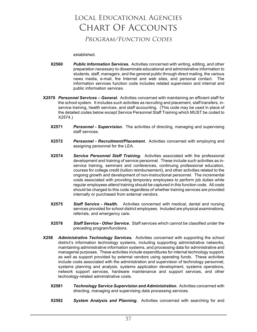*PROGRAM/FUNCTION CODES* Program/Function Codes

established.

- **X2560** *Public Information Services***.** Activities concerned with writing, editing, and other preparation necessary to disseminate educational and administrative information to students, staff, managers, and the general public through direct mailing, the various news media, e-mail, the Internet and web sites, and personal contact. The information services function code includes related supervision and internal and public information services.
- **X2570** *Personnel Services – General.*Activities concerned with maintaining an efficient staff for the school system. It includes such activities as recruiting and placement, staff transfers, inservice training, health services, and staff accounting. (This code may be used in place of the detailed codes below except Service Personnel Staff Training which MUST be coded to X2574.)
	- **X2571** *Personnel - Supervision***.** The activities of directing, managing and supervising staff services.
	- **X2572** *Personnel - Recruitment/Placement***.** Activities concerned with employing and assigning personnel for the LEA.
	- **X2574** *Service Personnel Staff Training***.** Activities associated with the professional development and training of service personnel. These include such activities as inservice training, seminars and conferences, continuing professional education, courses for college credit (tuition reimbursement), and other activities related to the ongoing growth and development of non-instructional personnel. The incremental costs associated with providing temporary employees to perform job duties while regular employees attend training should be captured in this function code. All costs should be charged to this code regardless of whether training services are provided internally or purchased from external vendors.
	- **X2575** *Staff Service - Health.* Activities concerned with medical, dental and nursing services provided for school district employees. Included are physical examinations, referrals, and emergency care.
	- **X2576** *Staff Service - Other Service***.** Staff services which cannot be classified under the preceding program/functions.
- **X258** *Administrative Technology Services.* Activities concerned with supporting the school district's information technology systems, including supporting administrative networks, maintaining administrative information systems, and processing data for administrative and managerial purposes. These activities include expenditures for internal technology support, as well as support provided by external vendors using operating funds. These activities include costs associated with the administration and supervision of technology personnel, systems planning and analysis, systems application development, systems operations, network support services, hardware maintenance and support services, and other technology-related administrative costs.
	- **X2581** *Technology Service Supervision and Administration***.** Activities concerned with directing, managing and supervising data processing services.
	- **X2582** *System Analysis and Planning***.** Activities concerned with searching for and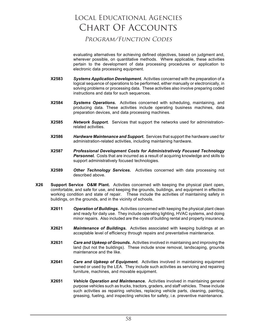### *PROGRAM/FUNCTION CODES* Program/Function Codes

evaluating alternatives for achieving defined objectives, based on judgment and, wherever possible, on quantitative methods. Where applicable, these activities pertain to the development of data processing procedures or application to electronic data processing equipment.

- **X2583** *Systems Application Development.* Activities concerned with the preparation of a logical sequence of operations to be performed, either manually or electronically, in solving problems or processing data. These activities also involve preparing coded instructions and data for such sequences.
- **X2584** *Systems Operations.* Activities concerned with scheduling, maintaining, and producing data. These activities include operating business machines, data preparation devices, and data processing machines.
- **X2585** *Network Support.* Services that support the networks used for administrationrelated activities.
- **X2586** *Hardware Maintenance and Support.* Services that support the hardware used for administration-related activities, including maintaining hardware.
- **X2587** *Professional Development Costs for Administratively Focused Technology*  **Personnel.** Costs that are incurred as a result of acquiring knowledge and skills to support administratively focused technologies.
- **X2589** *Other Technology Services.* Activities concerned with data processing not described above.
- **X26 Support Service O&M Plant.** Activities concerned with keeping the physical plant open, comfortable, and safe for use, and keeping the grounds, buildings, and equipment in effective working condition and state of repair. These include the activities of maintaining safety in buildings, on the grounds, and in the vicinity of schools.
	- **X2611** *Operation of Buildings***.** Activities concerned with keeping the physical plant clean and ready for daily use. They include operating lighting, HVAC systems, and doing minor repairs. Also included are the costs of building rental and property insurance.
	- **X2621** *Maintenance of Buildings.* Activities associated with keeping buildings at an acceptable level of efficiency through repairs and preventative maintenance.
	- **X2631** *Care and Upkeep of Grounds.* Activities involved in maintaining and improving the land (but not the buildings). These include snow removal, landscaping, grounds maintenance and the like.
	- **X2641** *Care and Upkeep of Equipment***.** Activities involved in maintaining equipment owned or used by the LEA. They include such activities as servicing and repairing furniture, machines, and movable equipment.
	- **X2651** *Vehicle Operation and Maintenance.* Activities involved in maintaining general purpose vehicles such as trucks, tractors, graders, and staff vehicles. These include such activities as repairing vehicles, replacing vehicle parts, cleaning, painting, greasing, fueling, and inspecting vehicles for safety, i.e. preventive maintenance.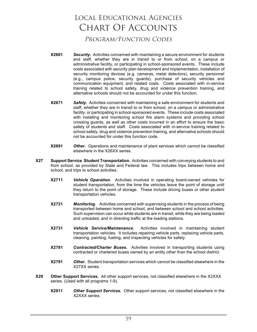*PROGRAM/FUNCTION CODES* Program/Function Codes

- **X2661** *Security.*Activities concerned with maintaining a secure environment for students and staff, whether they are in transit to or from school, on a campus or administrative facility, or participating in school-sponsored events. These include costs associated with security plan development and implementation, installation of security monitoring devices (e.g. cameras, metal detectors), security personnel (e.g., campus police, security guards), purchase of security vehicles and communication equipment, and related costs. Costs associated with in-service training related to school safety, drug and violence prevention training, and alternative schools should not be accounted for under this function.
- **X2671** *Safety.* Activities concerned with maintaining a safe environment for students and staff, whether they are in transit to or from school, on a campus or administrative facility, or participating in school-sponsored events. These include costs associated with installing and monitoring school fire alarm systems and providing school crossing guards, as well as other costs incurred in an effort to ensure the basic safety of students and staff. Costs associated with in-service training related to school safety, drug and violence prevention training, and alternative schools should not be accounted for under this function code.
- **X2691** *Other.* Operations and maintenance of plant services which cannot be classified elsewhere in the X26XX series.
- **X27 Support Service Student Transportation.** Activities concerned with conveying students to and from school, as provided by State and Federal law. This includes trips between home and school, and trips to school activities.
	- **X2711** *Vehicle Operation***.** Activities involved in operating board-owned vehicles for student transportation, from the time the vehicles leave the point of storage until they return to the point of storage. These include driving buses or other student transportation vehicles.
	- **X2721** *Monitoring.* Activities concerned with supervising students in the process of being transported between home and school, and between school and school activities. Such supervision can occur while students are in transit, while they are being loaded and unloaded, and in directing traffic at the loading stations.
	- **X2731** *Vehicle Service/Maintenance***.** Activities involved in maintaining student transportation vehicles. It includes repairing vehicle parts, replacing vehicle parts, cleaning, painting, fueling, and inspecting vehicles for safety.
	- **X2781** *Contracted/Charter Buses.* Activities involved in transporting students using contracted or chartered buses owned by an entity other than the school district.
	- **X2791** *Other.* Student transportation services which cannot be classified elsewhere in the X27XX series.
- **X29 Other Support Services.** All other support services, not classified elsewhere in the X2XXX series. (Used with all programs 1-9).
	- **X2911** *Other Support Services.*Other support services, not classified elsewhere in the X2XXX series.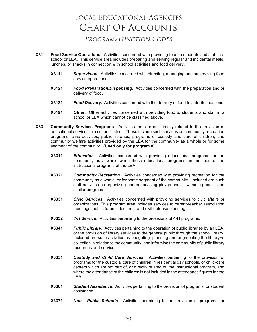*PROGRAM/FUNCTION CODES* Program/Function Codes

- **X31 Food Service Operations.** Activities concerned with providing food to students and staff in a school or LEA. This service area includes preparing and serving regular and incidental meals, lunches, or snacks in connection with school activities and food delivery.
	- **X3111** *Supervision*. Activities concerned with directing, managing and supervising food service operations.
	- **X3121** *Food Preparation/Dispensing***.** Activities concerned with the preparation and/or delivery of food.
	- **X3131** *Food Delivery***.** Activities concerned with the delivery of food to satellite locations.
	- **X3191** *Other.* Other activities concerned with providing food to students and staff in a school or LEA which cannot be classified above.
- **X33 Community Services Programs**. Activities that are not directly related to the provision of educational services in a school district. These include such services as community recreation programs, civic activities, public libraries, programs of custody and care of children, and community welfare activities provided by the LEA for the community as a whole or for some segment of the community. **(Used only for program 8).**
	- **X3311** *Education*. Activities concerned with providing educational programs for the community as a whole when these educational programs are not part of the instructional programs of the LEA.
	- **X3321** *Community Recreation.* Activities concerned with providing recreation for the community as a whole, or for some segment of the community. Included are such staff activities as organizing and supervising playgrounds, swimming pools, and similar programs.
	- **X3331** *Civic Services.* Activities concerned with providing services to civic affairs or organizations. This program area includes services to parent-teacher association meetings, public forums, lectures, and civil defense planning.
	- **X3332** *4-H Service.* Activities pertaining to the provisions of 4-H programs*.*
	- **X3341** *Public Library*. Activities pertaining to the operation of public libraries by an LEA, or the provision of library services to the general public through the school library. Included are such activities as budgeting, planning and augmenting the library=s collection in relation to the community, and informing the community of public library resources and services.
	- **X3351** *Custody and Child Care Services.* Activities pertaining to the provision of programs for the custodial care of children in residential day schools, or child-care centers which are not part of, or directly related to, the instructional program, and where the attendance of the children is not included in the attendance figures for the LEA.
	- **X3361** *Student Assistance*. Activities pertaining to the provision of programs for student assistance.
	- **X3371** *Non - Public Schools*. Activities pertaining to the provision of programs for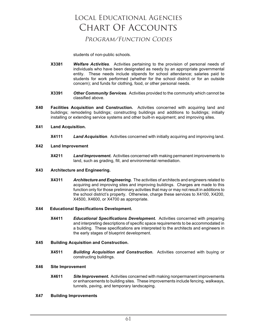### *PROGRAM/FUNCTION CODES* Program/Function Codes

students of non-public schools.

- **X3381** *Welfare Activities.* Activities pertaining to the provision of personal needs of individuals who have been designated as needy by an appropriate governmental entity. These needs include stipends for school attendance; salaries paid to students for work performed (whether for the school district or for an outside concern); and funds for clothing, food, or other personal needs.
- **X3391** *Other Community Services.* Activities provided to the community which cannot be classified above.
- **X40 Facilities Acquisition and Construction.** Activities concerned with acquiring land and buildings; remodeling buildings; constructing buildings and additions to buildings; initially installing or extending service systems and other built-in equipment; and improving sites.

#### **X41 Land Acquisition.**

**X4111** *Land Acquisition*. Activities concerned with initially acquiring and improving land.

#### **X42 Land Improvement**

**X4211** *Land Improvement***.** Activities concerned with making permanent improvements to land, such as grading, fill, and environmental remediation.

#### **X43 Architecture and Engineering.**

**X4311** *Architecture and Engineering.* The activities of architects and engineers related to acquiring and improving sites and improving buildings. Charges are made to this function only for those preliminary activities that may or may not result in additions to the school district's property. Otherwise, charge these services to X4100, X4200, X4500, X4600, or X4700 as appropriate.

#### **X44 Educational Specifications Development.**

**X4411** *Educational Specifications Development.* Activities concerned with preparing and interpreting descriptions of specific space requirements to be accommodated in a building. These specifications are interpreted to the architects and engineers in the early stages of blueprint development.

#### **X45 Building Acquisition and Construction.**

**X4511** *Building Acquisition and Construction.* Activities concerned with buying or constructing buildings.

#### **X46 Site Improvement**

**X4611** *Site Improvement***.** Activities concerned with making nonpermanent improvements or enhancements to building sites. These improvements include fencing, walkways, tunnels, paving, and temporary landscaping.

#### **X47 Building Improvements**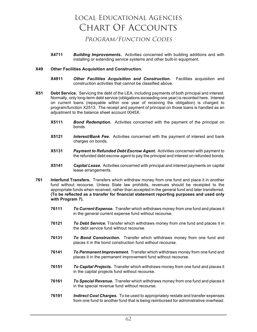*PROGRAM/FUNCTION CODES* Program/Function Codes

**X4711** *Building Improvements***.** Activities concerned with building additions and with installing or extending service systems and other built-in equipment.

### **X49 Other Facilities Acquisition and Construction.**

- **X4911** *Other Facilities Acquisition and Construction***.** Facilities acquisition and construction activities that cannot be classified above.
- **X51 Debt Service.** Servicing the debt of the LEA, including payments of both principal and interest. Normally, only long-term debt service (obligations exceeding one year) is recorded here. Interest on current loans (repayable within one year of receiving the obligation) is charged to program/function X2513. The receipt and payment of principal on those loans is handled as an adjustment to the balance sheet account 0045X.
	- **X5111** *Bond Redemption***.** Activities concerned with the payment of the principal on bonds.
	- **X5121** *Interest/Bank Fee.* Activities concerned with the payment of interest and bank charges on bonds.
	- **X5131** *Payment to Refunded Debt Escrow Agent***.** Activities concerned with payment to the refunded debt escrow agent to pay the principal and interest on refunded bonds.
	- **X5141** *Capital Lease***.** Activities concerned with principal and interest payments on capital lease arrangements.
- **761 Interfund Transfers.** Transfers which withdraw money from one fund and place it in another fund without recourse. Unless State law prohibits, revenues should be receipted to the appropriate funds when received, rather than accepted in the general fund and later transferred. **(To be reflected as a transfer for financial statement reporting purposes and used only with Program 7).**
	- **76111** *To Current Expense***.** Transfer which withdraws money from one fund and places it in the general current expense fund without recourse.
	- **76121** *To Debt Service.* Transfer which withdraws money from one fund and places it in the debt service fund without recourse.
	- **76131** *To Bond Construction***.** Transfer which withdraws money from one fund and places it in the bond construction fund without recourse.
	- **76141** *To Permanent Improvement***.** Transfer which withdraws money from one fund and places it in the permanent improvement fund without recourse.
	- **76151** *To Capital Projects.* Transfer which withdraws money from one fund and places it in the capital projects fund without recourse.
	- **76161** *To Special Revenue***.** Transfer which withdraws money from one fund and places it in the special revenue fund without recourse.
	- **76191** *Indirect Cost Charges***.** To be used to appropriately restate and transfer expenses from one fund to another fund that is being reimbursed for administrative overhead.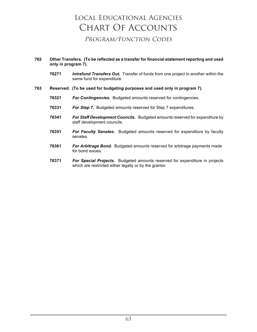## *PROGRAM/FUNCTION CODES* Program/Function Codes

- **762 Other Transfers. (To be reflected as a transfer for financial statement reporting and used only in program 7).**
	- **76271** *Intrafund Transfers Out***.** Transfer of funds from one project to another within the same fund for expenditure.
- **763 Reserved. (To be used for budgeting purposes and used only in program 7).**
	- **76321** *For Contingencies***.** Budgeted amounts reserved for contingencies.
	- **76331** *For Step 7.* Budgeted amounts reserved for Step 7 expenditures.
	- **76341** *For Staff Development Councils***.** Budgeted amounts reserved for expenditure by staff development councils.
	- **76351** *For Faculty Senates***.** Budgeted amounts reserved for expenditure by faculty senates.
	- **76361** *For Arbitrage Bond.* Budgeted amounts reserved for arbitrage payments made for bond issues.
	- **76371** *For Special Projects.* Budgeted amounts reserved for expenditure in projects which are restricted either legally or by the grantor.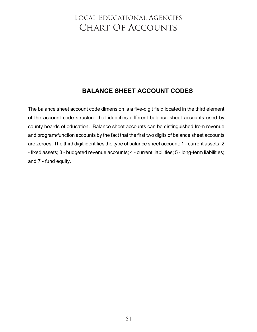## Local Educational Agencies CHART OF ACCOUNTS

## **BALANCE SHEET ACCOUNT CODES**

The balance sheet account code dimension is a five-digit field located in the third element of the account code structure that identifies different balance sheet accounts used by county boards of education. Balance sheet accounts can be distinguished from revenue and program/function accounts by the fact that the first two digits of balance sheet accounts are zeroes. The third digit identifies the type of balance sheet account: 1 - current assets; 2 - fixed assets; 3 - budgeted revenue accounts; 4 - current liabilities; 5 - long-term liabilities; and 7 - fund equity.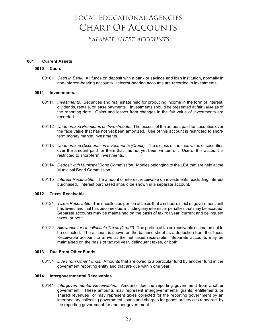*BALANCE SHEET ACCOUNTS* Balance Sheet Accounts

### **001 Current Assets**

#### **0010 Cash.**

00101 *Cash in Bank.* All funds on deposit with a bank or savings and loan institution, normally in non-interest-bearing accounts. Interest-bearing accounts are recorded in investments.

### **0011 Investments.**

- 00111 *Investments.* Securities and real estate held for producing income in the form of interest, dividends, rentals, or lease payments. Investments should be presented at fair value as of the reporting date. Gains and losses from changes in the fair value of investments are recorded
- 00112 *Unamortized Premiums on Investments.* The excess of the amount paid for securities over the face value that has not yet been amortized. Use of this account is restricted to shortterm money market investments.
- 00113 *Unamortized Discounts on Investments (Credit).* The excess of the face value of securities over the amount paid for them that has not yet been written off. Use of this account is restricted to short-term investments.
- 00114 *Deposit with Municipal Bond Commission*. Monies belonging to the LEA that are held at the Municipal Bond Commission.
- 00115 *Interest Receivable*. The amount of interest receivable on investments, excluding interest purchased. Interest purchased should be shown in a separate account.

#### **0012 Taxes Receivable.**

- 00121 *Taxes Receivable.* The uncollected portion of taxes that a school district or government unit has levied and that has become due, including any interest or penalties that may be accrued. Separate accounts may be maintained on the basis of tax roll year, current and delinquent taxes, or both.
- 00122 *Allowance for Uncollectible Taxes (Credit).* The portion of taxes receivable estimated not to be collected. The account is shown on the balance sheet as a deduction from the Taxes Receivable account to arrive at the net taxes receivable. Separate accounts may be maintained on the basis of tax roll year, delinquent taxes, or both.

### **0013 Due From Other Funds.**

00131 *Due From Other Funds.* Amounts that are owed to a particular fund by another fund in the government reporting entity and that are due within one year.

### **0014 Intergovernmental Receivables.**

00141 *Intergovernmental Receivables.* Amounts due the reporting government from another government. These amounts may represent intergovernmental grants, entitlements or shared revenues or may represent taxes collected for the reporting government by an intermediary collecting government, loans and charges for goods or services rendered by the reporting government for another government.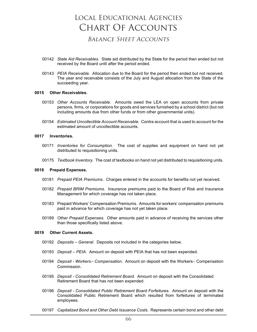*BALANCE SHEET ACCOUNTS* Balance Sheet Accounts

- 00142 *State Aid Receivables.* State aid distributed by the State for the period then ended but not received by the Board until after the period ended.
- 00143 *PEIA Receivable.* Allocation due to the Board for the period then ended but not received. The year end receivable consists of the July and August allocation from the State of the succeeding year.

### **0015 Other Receivables.**

- 00153 *Other Accounts Receivable.* Amounts owed the LEA on open accounts from private persons, firms, or corporations for goods and services furnished by a school district (but not including amounts due from other funds or from other governmental units).
- 00154 *Estimated Uncollectible Account Receivable.* Contra account that is used to account for the estimated amount of uncollectible accounts.

#### **0017 Inventories.**

- 00171 *Inventories for Consumption.* The cost of supplies and equipment on hand not yet distributed to requisitioning units.
- 00175 *Textbook Inventory.* The cost of textbooks on hand not yet distributed to requisitioning units.

### **0018 Prepaid Expenses.**

- 00181 *Prepaid PEIA Premiums*. Charges entered in the accounts for benefits not yet received.
- 00182 *Prepaid BRIM Premiums*. Insurance premiums paid to the Board of Risk and Insurance Management for which coverage has not taken place.
- 00183 Prepaid Workers' Compensation Premiums. Amounts for workers' compensation premiums paid in advance for which coverage has not yet taken place.
- 00189 *Other Prepaid Expenses*. Other amounts paid in advance of receiving the services other than those specifically listed above.

#### **0019 Other Current Assets.**

- 00192 *Deposits – General*. Deposits not included in the categories below.
- 00193 *Deposit – PEIA.* Amount on deposit with PEIA that has not been expended.
- 00194 *Deposit - Workers= Compensation.* Amount on deposit with the Workers= Compensation Commission.
- 00195 *Deposit - Consolidated Retirement Board.* Amount on deposit with the Consolidated Retirement Board that has not been expended.
- 00196 *Deposit - Consolidated Public Retirement Board Forfeitures.* Amount on deposit with the Consolidated Public Retirement Board which resulted from forfeitures of terminated employees.
- 00197 *Capitalized Bond and Other Debt Issuance Costs*. Represents certain bond and other debt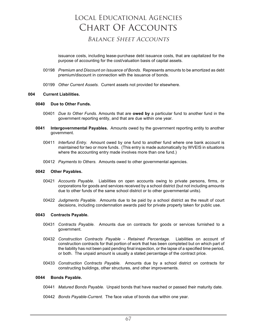## *BALANCE SHEET ACCOUNTS*  Balance Sheet Accounts

issuance costs, including lease-purchase debt issuance costs, that are capitalized for the purpose of accounting for the cost/valuation basis of capital assets.

- 00198 *Premium and Discount on Issuance of Bonds*. Represents amounts to be amortized as debt premium/discount in connection with the issuance of bonds.
- 00199 *Other Current Assets.* Current assets not provided for elsewhere.

### **004 Current Liabilities.**

#### **0040 Due to Other Funds.**

- 00401 *Due to Other Funds*. Amounts that are **owed by** a particular fund to another fund in the government reporting entity, and that are due within one year.
- **0041 Intergovernmental Payables.** Amounts owed by the government reporting entity to another government.
	- 00411 *Interfund Entry.* Amount owed by one fund to another fund where one bank account is maintained for two or more funds. (This entry is made automatically by WVEIS in situations where the accounting entry made involves more than one fund.)
	- 00412 *Payments to Others.* Amounts owed to other governmental agencies.

### **0042 Other Payables.**

- 00421 *Accounts Payable.* Liabilities on open accounts owing to private persons, firms, or corporations for goods and services received by a school district (but not including amounts due to other funds of the same school district or to other governmental units).
- 00422 *Judgments Payable.* Amounts due to be paid by a school district as the result of court decisions, including condemnation awards paid for private property taken for public use.

### **0043 Contracts Payable.**

- 00431 *Contracts Payable.* Amounts due on contracts for goods or services furnished to a government.
- 00432 *Construction Contracts Payable - Retained Percentage.* Liabilities on account of construction contracts for that portion of work that has been completed but on which part of the liability has not been paid pending final inspection, or the lapse of a specified time period, or both. The unpaid amount is usually a stated percentage of the contract price.
- 00433 *Construction Contracts Payable.* Amounts due by a school district on contracts for constructing buildings, other structures, and other improvements.

### **0044 Bonds Payable.**

- 00441 *Matured Bonds Payable.* Unpaid bonds that have reached or passed their maturity date.
- 00442 *Bonds Payable-Current.* The face value of bonds due within one year.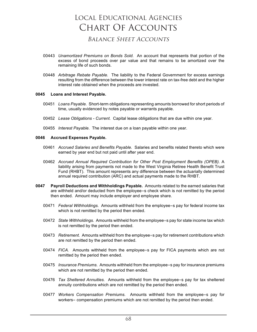## *BALANCE SHEET ACCOUNTS*  Balance Sheet Accounts

- 00443 *Unamortized Premiums on Bonds Sold.* An account that represents that portion of the excess of bond proceeds over par value and that remains to be amortized over the remaining life of such bonds.
- 00448 *Arbitrage Rebate Payable.* The liability to the Federal Government for excess earnings resulting from the difference between the lower interest rate on tax-free debt and the higher interest rate obtained when the proceeds are invested.

## **0045 Loans and Interest Payable.**

- 00451 *Loans Payable.* Short-term obligations representing amounts borrowed for short periods of time, usually evidenced by notes payable or warrants payable.
- 00452 *Lease Obligations - Current.* Capital lease obligations that are due within one year.
- 00455 *Interest Payable.* The interest due on a loan payable within one year.

## **0046 Accrued Expenses Payable.**

- 00461 *Accrued Salaries and Benefits Payable.* Salaries and benefits related thereto which were earned by year end but not paid until after year end.
- 00462 *Accrued Annual Required Contribution for Other Post Employment Benefits (OPEB).* A liability arising from payments not made to the West Virginia Retiree Health Benefit Trust Fund (RHBT). This amount represents any difference between the actuarially determined annual required contribution (ARC) and actual payments made to the RHBT.
- **0047 Payroll Deductions and Withholdings Payable.** Amounts related to the earned salaries that are withheld and/or deducted from the employee=s check which is not remitted by the period then ended. Amount may include employer and employee share.
	- 00471 *Federal Withholdings.* Amounts withheld from the employee=s pay for federal income tax which is not remitted by the period then ended.
	- 00472 *State Withholdings.* Amounts withheld from the employee=s pay for state income tax which is not remitted by the period then ended.
	- 00473 *Retirement.* Amounts withheld from the employee=s pay for retirement contributions which are not remitted by the period then ended.
	- 00474 *FICA.* Amounts withheld from the employee=s pay for FICA payments which are not remitted by the period then ended.
	- 00475 *Insurance Premiums.* Amounts withheld from the employee=s pay for insurance premiums which are not remitted by the period then ended.
	- 00476 *Tax Sheltered Annuities.* Amounts withheld from the employee=s pay for tax sheltered annuity contributions which are not remitted by the period then ended.
	- 00477 *Workers Compensation Premiums.* Amounts withheld from the employee=s pay for workers= compensation premiums which are not remitted by the period then ended.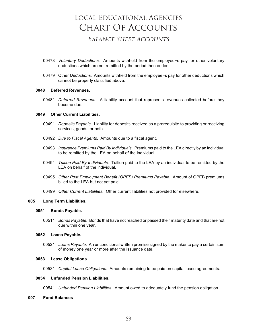## *BALANCE SHEET ACCOUNTS*  Balance Sheet Accounts

- *Voluntary Deductions.* Amounts withheld from the employee=s pay for other voluntary deductions which are not remitted by the period then ended.
- Other *Deductions.* Amounts withheld from the employee=s pay for other deductions which cannot be properly classified above.

### **Deferred Revenues.**

 *Deferred Revenues.* A liability account that represents revenues collected before they become due.

#### **Other Current Liabilities.**

- *Deposits Payable.* Liability for deposits received as a prerequisite to providing or receiving services, goods, or both.
- *Due to Fiscal Agents*. Amounts due to a fiscal agent.
- *Insurance Premiums Paid By Individuals.* Premiums paid to the LEA directly by an individual to be remitted by the LEA on behalf of the individual.
- *Tuition Paid By Individuals.* Tuition paid to the LEA by an individual to be remitted by the LEA on behalf of the individual.
- *Other Post Employment Benefit (OPEB) Premiums Payable.* Amount of OPEB premiums billed to the LEA but not yet paid.
- *Other Current Liabilities.* Other current liabilities not provided for elsewhere.

#### **Long Term Liabilities.**

### **Bonds Payable.**

 *Bonds Payable.* Bonds that have not reached or passed their maturity date and that are not due within one year.

### **Loans Payable.**

 *Loans Payable.* An unconditional written promise signed by the maker to pay a certain sum of money one year or more after the issuance date.

#### **Lease Obligations.**

*Capital Lease Obligations.* Amounts remaining to be paid on capital lease agreements.

#### **Unfunded Pension Liabilities.**

*Unfunded Pension Liabilities.* Amount owed to adequately fund the pension obligation.

#### **Fund Balances**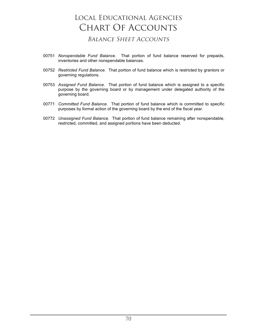*BALANCE SHEET ACCOUNTS*  Balance Sheet Accounts

- 00751 *Nonspendable Fund Balance.* That portion of fund balance reserved for prepaids, inventories and other nonspendable balances.
- 00752 *Restricted Fund Balance.* That portion of fund balance which is restricted by grantors or governing regulations.
- 00753 *Assigned Fund Balance.* That portion of fund balance which is assigned to a specific purpose by the governing board or by management under delegated authority of the governing board.
- 00771 *Committed Fund Balance.* That portion of fund balance which is committed to specific purposes by formal action of the governing board by the end of the fiscal year.
- 00772 *Unassigned Fund Balance.* That portion of fund balance remaining after nonspendable, restricted, committed, and assigned portions have been deducted.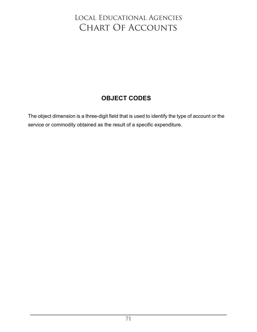## Local Educational Agencies CHART OF ACCOUNTS

## **OBJECT CODES**

The object dimension is a three-digit field that is used to identify the type of account or the service or commodity obtained as the result of a specific expenditure.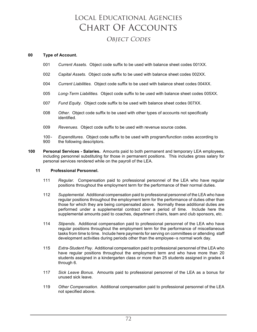## **00 Type of Account.**

- 001 *Current Assets*. Object code suffix to be used with balance sheet codes 001XX.
- 002 *Capital Assets.* Object code suffix to be used with balance sheet codes 002XX.
- 004 *Current Liabilities.* Object code suffix to be used with balance sheet codes 004XX.
- 005 *Long-Term Liabilities.* Object code suffix to be used with balance sheet codes 005XX.
- 007 *Fund Equity.* Object code suffix to be used with balance sheet codes 007XX.
- 008 *Other*. Object code suffix to be used with other types of accounts not specifically identified.
- 009 *Revenues.* Object code suffix to be used with revenue source codes.
- 100 *Expenditures*. Object code suffix to be used with program/function codes according to <br>900 the following descriptors. the following descriptors.
- **100 Personal Services - Salaries.** Amounts paid to both permanent and temporary LEA employees, including personnel substituting for those in permanent positions. This includes gross salary for personal services rendered while on the payroll of the LEA.

## **11 Professional Personnel.**

- 111 *Regular.* Compensation paid to professional personnel of the LEA who have regular positions throughout the employment term for the performance of their normal duties.
- 112 *Supplemental*. Additional compensation paid to professional personnel of the LEA who have regular positions throughout the employment term for the performance of duties other than those for which they are being compensated above. Normally these additional duties are performed under a supplemental contract over a period of time. Include here the supplemental amounts paid to coaches, department chairs, team and club sponsors, etc.
- 114 *Stipends*. Additional compensation paid to professional personnel of the LEA who have regular positions throughout the employment term for the performance of miscellaneous tasks from time to time. Include here payments for serving on committees or attending staff development activities during periods other than the employee=s normal work day.
- 115 *Extra-Student Pay*. Additional compensation paid to professional personnel of the LEA who have regular positions throughout the employment term and who have more than 20 students assigned in a kindergarten class or more than 25 students assigned in grades 4 through 6.
- 117 *Sick Leave Bonus*. Amounts paid to professional personnel of the LEA as a bonus for unused sick leave.
- 119 *Other Compensation*. Additional compensation paid to professional personnel of the LEA not specified above.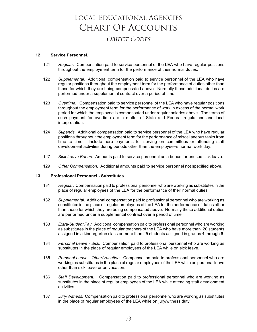## **12 Service Personnel.**

- 121 *Regular.* Compensation paid to service personnel of the LEA who have regular positions throughout the employment term for the performance of their normal duties.
- 122 *Supplemental.* Additional compensation paid to service personnel of the LEA who have regular positions throughout the employment term for the performance of duties other than those for which they are being compensated above. Normally these additional duties are performed under a supplemental contract over a period of time.
- 123 *Overtime.* Compensation paid to service personnel of the LEA who have regular positions throughout the employment term for the performance of work in excess of the normal work period for which the employee is compensated under regular salaries above. The terms of such payment for overtime are a matter of State and Federal regulations and local interpretation.
- 124 *Stipends.* Additional compensation paid to service personnel of the LEA who have regular positions throughout the employment term for the performance of miscellaneous tasks from time to time. Include here payments for serving on committees or attending staff development activities during periods other than the employee=s normal work day.
- 127 *Sick Leave Bonus*. Amounts paid to service personnel as a bonus for unused sick leave.
- 129 *Other Compensation*. Additional amounts paid to service personnel not specified above.

## **13 Professional Personnel - Substitutes.**

- 131 *Regular*. Compensation paid to professional personnel who are working as substitutes in the place of regular employees of the LEA for the performance of their normal duties.
- 132 *Supplemental*. Additional compensation paid to professional personnel who are working as substitutes in the place of regular employees of the LEA for the performance of duties other than those for which they are being compensated above. Normally these additional duties are performed under a supplemental contract over a period of time.
- 133 *Extra-Student Pay*. Additional compensation paid to professional personnel who are working as substitutes in the place of regular teachers of the LEA who have more than 20 students assigned in a kindergarten class or more than 25 students assigned in grades 4 through 6.
- 134 *Personal Leave - Sick*. Compensation paid to professional personnel who are working as substitutes in the place of regular employees of the LEA while on sick leave.
- 135 *Personal Leave - Other/Vacation.* Compensation paid to professional personnel who are working as substitutes in the place of regular employees of the LEA while on personal leave other than sick leave or on vacation.
- 136 *Staff Development.* Compensation paid to professional personnel who are working as substitutes in the place of regular employees of the LEA while attending staff development activities.
- 137 *Jury/Witness*. Compensation paid to professional personnel who are working as substitutes in the place of regular employees of the LEA while on jury/witness duty.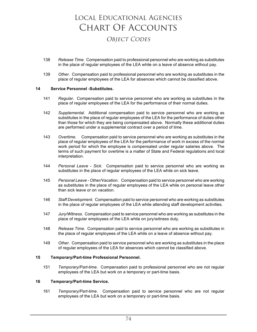- 138 *Release Time.* Compensation paid to professional personnel who are working as substitutes in the place of regular employees of the LEA while on a leave of absence without pay.
- 139 *Other.* Compensation paid to professional personnel who are working as substitutes in the place of regular employees of the LEA for absences which cannot be classified above.

## **14 Service Personnel -Substitutes.**

- 141 *Regular*. Compensation paid to service personnel who are working as substitutes in the place of regular employees of the LEA for the performance of their normal duties.
- 142 *Supplemental*. Additional compensation paid to service personnel who are working as substitutes in the place of regular employees of the LEA for the performance of duties other than those for which they are being compensated above. Normally these additional duties are performed under a supplemental contract over a period of time.
- 143 *Overtime.* Compensation paid to service personnel who are working as substitutes in the place of regular employees of the LEA for the performance of work in excess of the normal work period for which the employee is compensated under regular salaries above. The terms of such payment for overtime is a matter of State and Federal regulations and local interpretation.
- 144 *Personal Leave - Sick*. Compensation paid to service personnel who are working as substitutes in the place of regular employees of the LEA while on sick leave.
- 145 *Personal Leave - Other/Vacation*. Compensation paid to service personnel who are working as substitutes in the place of regular employees of the LEA while on personal leave other than sick leave or on vacation.
- 146 *Staff Development.* Compensation paid to service personnel who are working as substitutes in the place of regular employees of the LEA while attending staff development activities.
- 147 *Jury/Witness*. Compensation paid to service personnel who are working as substitutes in the place of regular employees of the LEA while on jury/witness duty.
- 148 *Release Time.* Compensation paid to service personnel who are working as substitutes in the place of regular employees of the LEA while on a leave of absence without pay.
- 149 *Other.* Compensation paid to service personnel who are working as substitutes in the place of regular employees of the LEA for absences which cannot be classified above.

### **15 Temporary/Part-time Professional Personnel.**

151 *Temporary/Part-time*. Compensation paid to professional personnel who are not regular employees of the LEA but work on a temporary or part-time basis.

## **16 Temporary/Part-time Service.**

161 *Temporary/Part-time*. Compensation paid to service personnel who are not regular employees of the LEA but work on a temporary or part-time basis.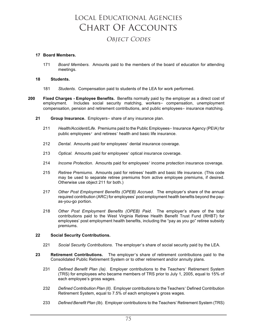## **17 Board Members.**

171 *Board Members*. Amounts paid to the members of the board of education for attending meetings.

### **18 Students.**

- 181 *Students*. Compensation paid to students of the LEA for work performed.
- **200 Fixed Charges - Employee Benefits.** Benefits normally paid by the employer as a direct cost of employment. Includes social security matching, workers= compensation, unemployment compensation, pension and retirement contributions, and public employees= insurance matching.
	- **21 Group Insurance.** Employers= share of any insurance plan.
		- 211 *Health/Accident/Life*. Premiums paid to the Public Employees= Insurance Agency (PEIA) for public employees' and retirees' health and basic life insurance.
		- 212 *Dental*. Amounts paid for employees' dental insurance coverage.
		- 213 *Optical.* Amounts paid for employees' optical insurance coverage.
		- 214 *Income Protection*. Amounts paid for employees' income protection insurance coverage.
		- 215 *Retiree Premiums*. Amounts paid for retirees' health and basic life insurance. (This code may be used to separate retiree premiums from active employee premiums, if desired. Otherwise use object 211 for both.)
		- 217 *Other Post Employment Benefits (OPEB) Accrued*. The employer's share of the annual required contribution (ARC) for employees' post employment health benefits beyond the payas-you-go portion.
		- 218 *Other Post Employment Benefits (OPEB) Paid*. The employer's share of the total contributions paid to the West Virginia Retiree Health Benefit Trust Fund (RHBT) for employees' post employment health benefits, including the "pay as you go" retiree subsidy premiums.

## **22 Social Security Contributions.**

- 221 *Social Security Contributions*. The employer's share of social security paid by the LEA.
- **23 Retirement Contributions.** The employer's share of retirement contributions paid to the Consolidated Public Retirement System or to other retirement and/or annuity plans.
	- 231 *Defined Benefit Plan (Ia)*. Employer contributions to the Teachers' Retirement System (TRS) for employees who became members of TRS prior to July 1, 2005, equal to 15% of each employee's gross wages.
	- 232 *Defined Contribution Plan (II).* Employer contributions to the Teachers' Defined Contribution Retirement System, equal to 7.5% of each employee's gross wages.
	- 233 *Defined Benefit Plan (Ib*). Employer contributions to the Teachers' Retirement System (TRS)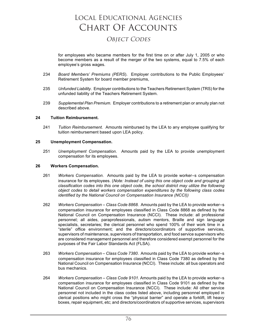## *OBJECT CODES* Object Codes

for employees who became members for the first time on or after July 1, 2005 or who become members as a result of the merger of the two systems, equal to 7.5% of each employee's gross wages.

- 234 *Board Members' Premiums (PERS*). Employer contributions to the Public Employees' Retirement System for board member premiums,
- 235 *Unfunded Liability.* Employer contributions to the Teachers Retirement System (TRS) for the unfunded liability of the Teachers Retirement System.
- 239 *Supplemental Plan Premium.* Employer contributions to a retirement plan or annuity plan not described above.

## **24 Tuition Reimbursement.**

241 *Tuition Reimbursement.* Amounts reimbursed by the LEA to any employee qualifying for tuition reimbursement based upon LEA policy.

## **25 Unemployment Compensation.**

251 *Unemployment Compensation*. Amounts paid by the LEA to provide unemployment compensation for its employees.

### **26 Workers Compensation.**

- 261 *Workers Compensation.* Amounts paid by the LEA to provide worker=s compensation insurance for its employees. (*Note: Instead of using this one object code and grouping all classification codes into this one object code, the school district may utilize the following object codes to detail workers compensation expenditures by the following class codes identified by the National Council on Compensation Insurance (NCCI))*
- 262 *Workers Compensation – Class Code 8868.* Amounts paid by the LEA to provide worker=s compensation insurance for employees classified in Class Code 8868 as defined by the National Council on Compensation Insurance (NCCI). These include: all professional personnel; all aides, paraprofessionals, autism mentors, Braille and sign language specialists, secretaries; the clerical personnel who spend 100% of their work time in a "sterile" office environment; and the directors/coordinators of supportive services, supervisors of maintenance, supervisors of transportation, and food service supervisors who are considered management personnel and therefore considered exempt personnel for the purposes of the Fair Labor Standards Act (FLSA).
- 263 *Workers Compensation – Class Code 7380*. Amounts paid by the LEA to provide worker=s compensation insurance for employees classified in Class Code 7380 as defined by the National Council on Compensation Insurance (NCCI). These include: all bus operators and bus mechanics.
- 264 *Workers Compensation – Class Code 9101.* Amounts paid by the LEA to provide worker=s compensation insurance for employees classified in Class Code 9101 as defined by the National Council on Compensation Insurance (NCCI). These include: All other service personnel not included in the class codes listed above, including personnel employed in clerical positions who might cross the "physical barrier" and operate a forklift, lift heavy boxes, repair equipment, etc; and directors/coordinators of supportive services, supervisors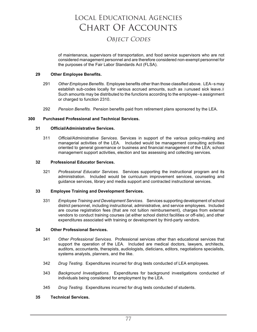## *OBJECT CODES* Object Codes

of maintenance, supervisors of transportation, and food service supervisors who are not considered management personnel and are therefore considered non-exempt personnel for the purposes of the Fair Labor Standards Act (FLSA).

## **29 Other Employee Benefits.**

- 291 *Other Employee Benefits*. Employee benefits other than those classified above. LEA=s may establish sub-codes locally for various accrued amounts, such as Aunused sick leave.@ Such amounts may be distributed to the functions according to the employee=s assignment or charged to function 2310.
- 292 *Pension Benefits*. Pension benefits paid from retirement plans sponsored by the LEA.

## **300 Purchased Professional and Technical Services.**

### **31 Official/Administrative Services.**

311 *Official/Administrative Services.* Services in support of the various policy-making and managerial activities of the LEA. Included would be management consulting activities oriented to general governance or business and financial management of the LEA; school management support activities, election and tax assessing and collecting services.

## **32 Professional Educator Services.**

321 *Professional Educator Services*. Services supporting the instructional program and its administration. Included would be curriculum improvement services, counseling and guidance services, library and media support and contracted instructional services.

## **33 Employee Training and Development Services.**

331 *Employee Training and Development Services*. Services supporting development of school district personnel, including instructional, administrative, and service employees. Included are course registration fees (that are not tuition reimbursement), charges from external vendors to conduct training courses (at either school district facilities or off-site), and other expenditures associated with training or development by third-party vendors.

### **34 Other Professional Services.**

- 341 *Other Professional Services.* Professional services other than educational services that support the operation of the LEA. Included are medical doctors, lawyers, architects, auditors, accountants, therapists, audiologists, dieticians, editors, negotiations specialists, systems analysts, planners, and the like.
- 342 *Drug Testing*. Expenditures incurred for drug tests conducted of LEA employees.
- 343 *Background Investigations*. Expenditures for background investigations conducted of individuals being considered for employment by the LEA.
- 345 *Drug Testing*. Expenditures incurred for drug tests conducted of students.

## **35 Technical Services.**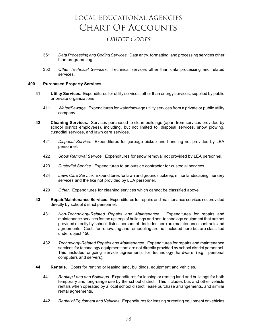- 351 *Data Processing and Coding Services*. Data entry, formatting, and processing services other than programming.
- 352 *Other Technical Services*. Technical services other than data processing and related services.

## **400 Purchased Property Services.**

- **41 Utility Services.** Expenditures for utility services, other than energy services, supplied by public or private organizations.
	- 411 *Water/Sewage.* Expenditures for water/sewage utility services from a private or public utility company.
- **42 Cleaning Services.** Services purchased to clean buildings (apart from services provided by school district employees), including, but not limited to, disposal services, snow plowing, custodial services, and lawn care services.
	- 421 *Disposal Service*. Expenditures for garbage pickup and handling not provided by LEA personnel.
	- 422 *Snow Removal Service.* Expenditures for snow removal not provided by LEA personnel.
	- 423 *Custodial Service*. Expenditures to an outside contractor for custodial services.
	- 424 *Lawn Care Service.* Expenditures for lawn and grounds upkeep, minor landscaping, nursery services and the like not provided by LEA personnel.
	- 429 *Other*. Expenditures for cleaning services which cannot be classified above.
- **43 Repair/Maintenance Services.** Expenditures for repairs and maintenance services not provided directly by school district personnel.
	- 431 *Non-Technology-Related Repairs and Maintenance*. Expenditures for repairs and maintenance services for the upkeep of buildings and non-technology equipment that are not provided directly by school district personnel. Included here are maintenance contracts and agreements. Costs for renovating and remodeling are not included here but are classified under object 450.
	- 432 *Technology-Related Repairs and Maintenance*. Expenditures for repairs and maintenance services for technology equipment that are not directly provided by school district personnel. This includes ongoing service agreements for technology hardware (e.g., personal computers and servers).
- **44 Rentals.** Costs for renting or leasing land, buildings, equipment and vehicles.
	- 441 *Renting Land and Buildings.* Expenditures for leasing or renting land and buildings for both temporary and long-range use by the school district. This includes bus and other vehicle rentals when operated by a local school district, lease purchase arrangements, and similar rental agreements.
	- 442 *Rental of Equipment and Vehicles.* Expenditures for leasing or renting equipment or vehicles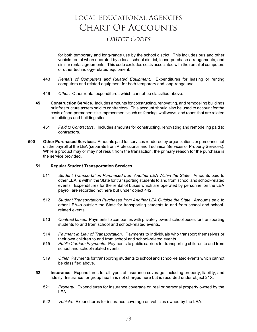for both temporary and long-range use by the school district. This includes bus and other vehicle rental when operated by a local school district, lease-purchase arrangements, and similar rental agreements. This code excludes costs associated with the rental of computers or other technology-related equipment.

- 443 *Rentals of Computers and Related Equipment*. Expenditures for leasing or renting computers and related equipment for both temporary and long-range use.
- 449 *Other*. Other rental expenditures which cannot be classified above.
- **45 Construction Service.** Includes amounts for constructing, renovating, and remodeling buildings or infrastructure assets paid to contractors. This account should also be used to account for the costs of non-permanent site improvements such as fencing, walkways, and roads that are related to buildings and building sites.
	- 451 *Paid to Contractors*. Includes amounts for constructing, renovating and remodeling paid to contractors.
- **500 Other Purchased Services.** Amounts paid for services rendered by organizations or personnel not on the payroll of the LEA (separate from Professional and Technical Services or Property Services). While a product may or may not result from the transaction, the primary reason for the purchase is the service provided.

## **51 Regular Student Transportation Services.**

- 511 *Student Transportation Purchased from Another LEA Within the State.* Amounts paid to other LEA=s within the State for transporting students to and from school and school-related events. Expenditures for the rental of buses which are operated by personnel on the LEA payroll are recorded not here but under object 442.
- 512 *Student Transportation Purchased from Another LEA Outside the State.* Amounts paid to other LEA=s outside the State for transporting students to and from school and schoolrelated events.
- 513 *Contract buses.* Payments to companies with privately owned school buses for transporting students to and from school and school-related events.
- 514 *Payment in Lieu of Transportation*. Payments to individuals who transport themselves or their own children to and from school and school-related events.
- 515 *Public Carriers Payments.* Payments to public carriers for transporting children to and from school and school-related events.
- 519 *Other*. Payments for transporting students to school and school-related events which cannot be classified above.
- **52 Insurance.** Expenditures for all types of insurance coverage, including property, liability, and fidelity. Insurance for group health is not charged here but is recorded under object 21X.
	- 521 *Property*. Expenditures for insurance coverage on real or personal property owned by the LEA.
	- 522 *Vehicle*. Expenditures for insurance coverage on vehicles owned by the LEA.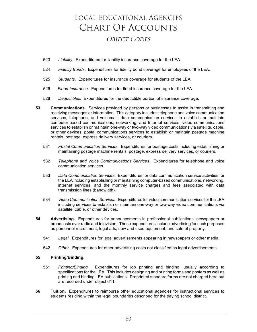- 523 *Liability.* Expenditures for liability insurance coverage for the LEA.
- 524 *Fidelity Bonds*. Expenditures for fidelity bond coverage for employees of the LEA.
- 525 *Students.* Expenditures for insurance coverage for students of the LEA.
- 526 *Flood Insurance.* Expenditures for flood insurance coverage for the LEA.
- 528 *Deductibles.* Expenditures for the deductible portion of insurance coverage.
- **53 Communications.** Services provided by persons or businesses to assist in transmitting and receiving messages or information. This category includes telephone and voice communication services, telephone, and voicemail; data communication services to establish or maintain computer-based communications, networking, and Internet services; video communications services to establish or maintain one-way or two-way video communications via satellite, cable, or other devices; postal communications services to establish or maintain postage machine rentals, postage, express delivery services, or couriers.
	- 531 *Postal Communication Services.* Expenditures for postage costs including establishing or maintaining postage machine rentals, postage, express delivery services, or couriers.
	- 532 *Telephone and Voice Communications Services*. Expenditures for telephone and voice communication services.
	- 533 *Data Communication Services*. Expenditures for data communication service activities for the LEA including establishing or maintaining computer-based communications, networking, internet services, and the monthly service charges and fees associated with data transmission lines (bandwidth).
	- 534 *Video Communication Services*. Expenditures for video communication services for the LEA including services to establish or maintain one-way or two-way video communications via satellite, cable, or other devices.
- **54 Advertising.** Expenditures for announcements in professional publications, newspapers or broadcasts over radio and television. These expenditures include advertising for such purposes as personnel recruitment, legal ads, new and used equipment, and sale of property.
	- 541 *Legal*. Expenditures for legal advertisements appearing in newspapers or other media.
	- 542 *Other.* Expenditures for other advertising costs not classified as legal advertisements.

## **55 Printing/Binding.**

- 551 *Printing/Binding.* Expenditures for job printing and binding, usually according to specifications for the LEA. This includes designing and printing forms and posters as well as printing and binding LEA publications. Preprinted standard forms are not charged here but are recorded under object 611.
- **56 Tuition.** Expenditures to reimburse other educational agencies for instructional services to students residing within the legal boundaries described for the paying school district.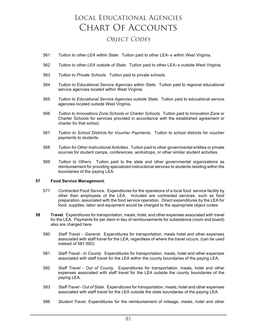- 561 *Tuition to other LEA within State.* Tuition paid to other LEA=s within West Virginia.
- 562 *Tuition to other LEA outside of State.* Tuition paid to other LEA=s outside West Virginia.
- 563 *Tuition to Private Schools*. Tuition paid to private schools.
- 564 *Tuition to Educational Service Agencies within State.* Tuition paid to regional educational service agencies located within West Virginia.
- 565 *Tuition to Educational Service Agencies outside State*. Tuition paid to educational service agencies located outside West Virginia.
- 566 *Tuition to Innovations Zone Schools or Charter Schools.* Tuition paid to Innovation Zone or Charter Schools for services provided in accordance with the established agreement or charter for that school.
- 567 *Tuition to School Districts for Voucher Payments.* Tuition to school districts for voucher payments to students.
- 568 *Tuition for Other Instructional Activities.* Tuition paid to other governmental entities or private sources for student camps, conferences, workshops, or other similar student activities.
- 569 *Tuition to Others*. Tuition paid to the state and other governmental organizations as reimbursement for providing specialized instructional services to students residing within the boundaries of the paying LEA.

### **57 Food Service Management.**

- 571 *Contracted Food Service.* Expenditures for the operations of a local food service facility by other than employees of the LEA. Included are contracted services, such as food preparation, associated with the food service operation. Direct expenditures by the LEA for food, supplies, labor and equipment would be charged to the appropriate object codes.
- **58 Travel.** Expenditures for transportation, meals, hotel, and other expenses associated with travel for the LEA. Payments for per diem in lieu of reimbursements for subsistence (room and board) also are charged here.
	- 580 *Staff Travel – General.* Expenditures for transportation, meals hotel and other expenses associated with staff travel for the LEA, regardless of where the travel occurs. (can be used instead of 581-583)
	- 581 *Staff Travel In County*. Expenditures for transportation, meals, hotel and other expenses associated with staff travel for the LEA within the county boundaries of the paying LEA.
	- 582 *Staff Travel Out of County*. Expenditures for transportation, meals, hotel and other expenses associated with staff travel for the LEA outside the county boundaries of the paying LEA.
	- 583 *Staff Travel Out of State*. Expenditures for transportation, meals, hotel and other expenses associated with staff travel for the LEA outside the state boundaries of the paying LEA.
	- 586 *Student Travel.* Expenditures for the reimbursement of mileage, meals, hotel and other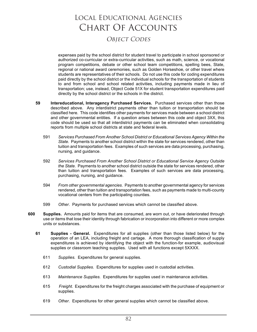expenses paid by the school district for student travel to participate in school sponsored or authorized co-curricular or extra-curricular activities, such as math, science, or vocational program competitions, debate or other school team competitions, spelling bees, State, regional or national award ceremonies, such as Golden Horseshoe, or other travel where students are representatives of their schools. Do not use this code for coding expenditures paid directly by the school district or the individual schools for the transportation of students to and from school and school related activities, including payments made in lieu of transportation; use, instead, Object Code 51X for student transportation expenditures paid directly by the school district or the schools in the district.

- **59 Intereducational, Interagency Purchased Services.** Purchased services other than those described above. Any interdistrict payments other than tuition or transportation should be classified here. This code identifies other payments for services made between a school district and other governmental entities. If a question arises between this code and object 3XX, this code should be used so that all interdistrict payments can be eliminated when consolidating reports from multiple school districts at state and federal levels.
	- 591 *Services Purchased From Another School District or Educational Services Agency Within the State.* Payments to another school district within the state for services rendered, other than tuition and transportation fees. Examples of such services are data processing, purchasing, nursing, and guidance.
	- 592 *Services Purchased From Another School District or Educational Service Agency Outside the State.* Payments to another school district outside the state for services rendered, other than tuition and transportation fees. Examples of such services are data processing, purchasing, nursing, and guidance.
	- 594 *From other governmental agencies*. Payments to another governmental agency for services rendered, other than tuition and transportation fees, such as payments made to multi-county vocational centers from the participating counties.
	- 599 *Other*. Payments for purchased services which cannot be classified above.
- **600 Supplies.** Amounts paid for items that are consumed, are worn out, or have deteriorated through use or items that lose their identity through fabrication or incorporation into different or more complex units or substances.
	- **61 Supplies - General.** Expenditures for all supplies (other than those listed below) for the operation of an LEA, including freight and cartage.A more thorough classification of supply expenditures is achieved by identifying the object with the function-for example, audiovisual supplies or classroom teaching supplies. Used with all functions except 5XXXX.
		- 611 *Supplies.* Expenditures for general supplies.
		- 612 *Custodial Supplies.* Expenditures for supplies used in custodial activities.
		- 613 *Maintenance Supplies.* Expenditures for supplies used in maintenance activities.
		- 615 *Freight.* Expenditures for the freight charges associated with the purchase of equipment or supplies.
		- 619 *Other*. Expenditures for other general supplies which cannot be classified above.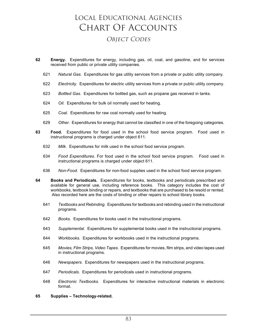- **Energy.** Expenditures for energy, including gas, oil, coal, and gasoline, and for services received from public or private utility companies.
	- *Natural Gas*. Expenditures for gas utility services from a private or public utility company.
	- *Electricity.* Expenditures for electric utility services from a private or public utility company.
	- *Bottled Gas*. Expenditures for bottled gas, such as propane gas received in tanks.
	- *Oil.* Expenditures for bulk oil normally used for heating.
	- *Coal*. Expenditures for raw coal normally used for heating.
	- *Other.* Expenditures for energy that cannot be classified in one of the foregoing categories.
- **Food.** Expenditures for food used in the school food service program. Food used in instructional programs is charged under object 611.
	- *Milk.* Expenditures for milk used in the school food service program.
	- *Food Expenditures*. For food used in the school food service program. Food used in instructional programs is charged under object 611.
	- *Non-Food*. Expenditures for non-food supplies used in the school food service program.
- **Books and Periodicals.** Expenditures for books, textbooks and periodicals prescribed and available for general use, including reference books. This category includes the cost of workbooks, textbook binding or repairs, and textbooks that are purchased to be resold or rented. Also recorded here are the costs of binding or other repairs to school library books.
	- *Textbooks and Rebinding.* Expenditures for textbooks and rebinding used in the instructional programs.
	- *Books.* Expenditures for books used in the instructional programs.
	- *Supplemental*. Expenditures for supplemental books used in the instructional programs.
	- *Workbooks.* Expenditures for workbooks used in the instructional programs.
	- *Movies, Film Strips, Video Tapes*. Expenditures for movies, film strips, and video tapes used in instructional programs.
	- *Newspapers*. Expenditures for newspapers used in the instructional programs.
	- *Periodicals*. Expenditures for periodicals used in instructional programs.
	- *Electronic Textbooks.* Expenditures for interactive instructional materials in electronic format.
- **Supplies – Technology-related.**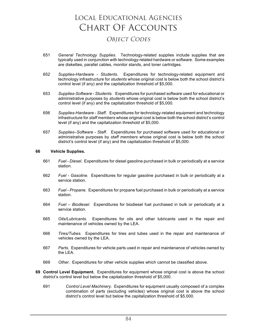- 651 *General Technology Supplies*. Technology-related supplies include supplies that are typically used in conjunction with technology-related hardware or software. Some examples are diskettes, parallel cables, monitor stands, and toner cartridges.
- 652 *Supplies-Hardware - Students*. Expenditures for technology-related equipment and technology infrastructure for *students* whose original cost is below both the school district's control level (if any) and the capitalization threshold of \$5,000.
- 653 *Supplies-Software - Students*. Expenditures for purchased software used for educational or administrative purposes by *students* whose original cost is below both the school district's control level (if any) and the capitalization threshold of \$5,000.
- 656 *Supplies-Hardware - Staff*. Expenditures for technology-related equipment and technology infrastructure for *staff members* whose original cost is below both the school district's control level (if any) and the capitalization threshold of \$5,000.
- 657 *Supplies–Software - Staff*. Expenditures for purchased software used for educational or administrative purposes by *staff members* whose original cost is below both the school district's control level (if any) and the capitalization threshold of \$5,000.

### **66 Vehicle Supplies.**

- 661 *Fuel - Diesel.* Expenditures for diesel gasoline purchased in bulk or periodically at a service station.
- 662 *Fuel - Gasoline.* Expenditures for regular gasoline purchased in bulk or periodically at a service station.
- 663 *Fuel - Propane.* Expenditures for propane fuel purchased in bulk or periodically at a service station.
- 664 *Fuel – Biodiesel*. Expenditures for biodiesel fuel purchased in bulk or periodically at a service station.
- 665 *Oils/Lubricants.* Expenditures for oils and other lubricants used in the repair and maintenance of vehicles owned by the LEA.
- 666 *Tires/Tubes.* Expenditures for tires and tubes used in the repair and maintenance of vehicles owned by the LEA.
- 667 *Parts.* Expenditures for vehicle parts used in repair and maintenance of vehicles owned by the LEA.
- 669 *Other.* Expenditures for other vehicle supplies which cannot be classified above.
- **69 Control Level Equipment.** Expenditures for equipment whose original cost is above the school district's control level but below the capitalization threshold of \$5,000.
	- 691 *Control Level Machinery*. Expenditures for equipment usually composed of a complex combination of parts (excluding vehicles) whose original cost is above the school district's control level but below the capitalization threshold of \$5,000.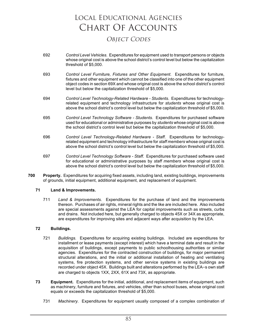## *OBJECT CODES* Object Codes

- 692 *Control Level Vehicles*. Expenditures for equipment used to transport persons or objects whose original cost is above the school district's control level but below the capitalization threshold of \$5,000.
- 693 *Control Level Furniture, Fixtures and Other Equipment*. Expenditures for furniture, fixtures and other equipment which cannot be classified into one of the other equipment object codes in section 69X and whose original cost is above the school district's control level but below the capitalization threshold of \$5,000.
- 694 *Control Level Technology-Related Hardware - Students*. Expenditures for technologyrelated equipment and technology infrastructure for *students* whose original cost is above the school district's control level but below the capitalization threshold of \$5,000.
- 695 *Control Level Technology Software - Students*. Expenditures for purchased software used for educational or administrative purposes by *students* whose original cost is above the school district's control level but below the capitalization threshold of \$5,000.
- 696 *Control Level Technology-Related Hardware - Staff*. Expenditures for technologyrelated equipment and technology infrastructure for *staff members* whose original cost is above the school district's control level but below the capitalization threshold of \$5,000.
- 697 *Control Level Technology Software - Staff*. Expenditures for purchased software used for educational or administrative purposes by *staff members* whose original cost is above the school district's control level but below the capitalization threshold of \$5,000.
- **700 Property.** Expenditures for acquiring fixed assets, including land, existing buildings, improvements of grounds, initial equipment, additional equipment, and replacement of equipment.

## **71 Land & Improvements.**

711 *Land & Improvements*. Expenditures for the purchase of land and the improvements thereon. Purchases of air rights, mineral rights and the like are included here. Also included are special assessments against the LEA for capital improvements such as streets, curbs and drains. Not included here, but generally charged to objects 45X or 34X as appropriate, are expenditures for improving sites and adjacent ways after acquisition by the LEA.

## **72 Buildings.**

- 721 *Buildings.* Expenditures for acquiring existing buildings. Included are expenditures for installment or lease payments (except interest) which have a terminal date and result in the acquisition of buildings, except payments to public schoolhousing authorities or similar agencies. Expenditures for the contracted construction of buildings, for major permanent structural alterations, and the initial or additional installation of heating and ventilating systems, fire protection systems, and other service systems in existing buildings are recorded under object 45X. Buildings built and alterations performed by the LEA=s own staff are charged to objects 1XX, 2XX, 61X and 73X, as appropriate.
- **73 Equipment.** Expenditures for the initial, additional, and replacement items of equipment, such as machinery, furniture and fixtures, and vehicles, other than school buses, whose original cost equals or exceeds the capitalization threshold of \$5,000.
	- 731 *Machinery.* Expenditures for equipment usually composed of a complex combination of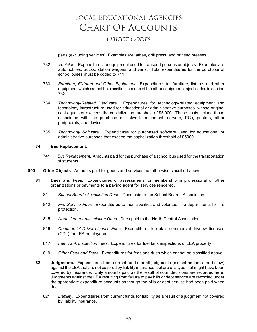parts (excluding vehicles). Examples are lathes, drill press, and printing presses.

- 732 *Vehicles* . Expenditures for equipment used to transport persons or objects. Examples are automobiles, trucks, station wagons, and vans. Total expenditures for the purchase of school buses must be coded to 741.
- 733 *Furniture, Fixtures and Other Equipment*. Expenditures for furniture, fixtures and other equipment which cannot be classified into one of the other equipment object codes in section 73X.
- 734 *Technology-Related Hardware*. Expenditures for technology-related equipment and technology infrastructure used for educational or administrative purposes whose original cost equals or exceeds the capitalization threshold of \$5,000. These costs include those associated with the purchase of network equipment, servers, PCs, printers, other peripherals, and devices.
- 735 *Technology Software*. Expenditures for purchased software used for educational or administrative purposes that exceed the capitalization threshold of \$5000.

## **74 Bus Replacement.**

- 741 *Bus Replacement*. Amounts paid for the purchase of a school bus used for the transportation of students.
- **800 Other Objects**. Amounts paid for goods and services not otherwise classified above.
	- **81 Dues and Fees.** Expenditures or assessments for membership in professional or other organizations or payments to a paying agent for services rendered.
		- 811 *School Boards Association Dues*. Dues paid to the School Boards Association.
		- 812 *Fire Service Fees.* Expenditures to municipalities and volunteer fire departments for fire protection.
		- 815 *North Central Association Dues.* Dues paid to the North Central Association.
		- 816 *Commercial Driver License Fees.* Expenditures to obtain commercial drivers= licenses (CDL) for LEA employees.
		- 817 *Fuel Tank Inspection Fees.* Expenditures for fuel tank inspections of LEA property.
		- 819 *Other Fees and Dues.* Expenditures for fees and dues which cannot be classified above.
	- **82 Judgments.** Expenditures from current funds for all judgments (except as indicated below) against the LEA that are not covered by liability insurance, but are of a type that might have been covered by insurance. Only amounts paid as the result of court decisions are recorded here. Judgments against the LEA resulting from failure to pay bills or debt service are recorded under the appropriate expenditure accounts as though the bills or debt service had been paid when due.
		- 821 *Liability*. Expenditures from current funds for liability as a result of a judgment not covered by liability insurance.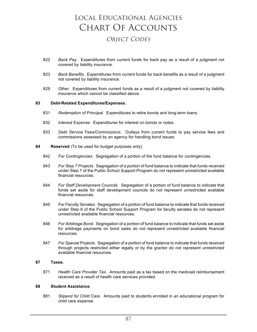## *OBJECT CODES* Object Codes

- 822 *Back Pay*. Expenditures from current funds for back pay as a result of a judgment not covered by liability insurance.
- 823 *Back Benefits.* Expenditures from current funds for back benefits as a result of a judgment not covered by liability insurance.
- 829 *Other.* Expenditures from current funds as a result of a judgment not covered by liability insurance which cannot be classified above.

## **83 Debt-Related Expenditures/Expenses.**

- 831 *Redemption of Principal*. Expenditures to retire bonds and long-term loans.
- 832 *Interest Expense*. Expenditures for interest on bonds or notes.
- 833 *Debt Service Fees/Commissions*. Outlays from current funds to pay service fees and commissions assessed by an agency for handling bond issues.
- **84 Reserved** (To be used for budget purposes only).
	- 842 *For Contingencies*. Segregation of a portion of the fund balance for contingencies.
	- 843 *For Step 7 Projects*. Segregation of a portion of fund balance to indicate that funds received under Step 7 of the Public School Support Program do not represent unrestricted available financial resources.
	- 844 *For Staff Development Councils*. Segregation of a portion of fund balance to indicate that funds set aside for staff development councils do not represent unrestricted available financial resources.
	- 845 *For Faculty Senates*. Segregation of a portion of fund balance to indicate that funds received under Step 6 of the Public School Support Program for faculty senates do not represent unrestricted available financial resources.
	- 846 *For Arbitrage Bond.* Segregation of a portion of fund balance to indicate that funds set aside for arbitrage payments on bond sales do not represent unrestricted available financial resources.
	- 847 *For Special Projects*. Segregation of a portion of fund balance to indicate that funds received through projects restricted either legally or by the grantor do not represent unrestricted available financial resources.

### **87 Taxes.**

871 *Health Care Provider Tax*. Amounts paid as a tax based on the medicaid reimbursement received as a result of health care services provided.

### **88 Student Assistance.**

881 *Stipend for Child Care*. Amounts paid to students enrolled in an educational program for child care expense.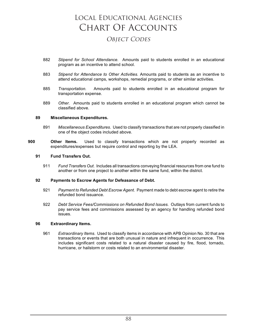- 882 *Stipend for School Attendance.* Amounts paid to students enrolled in an educational program as an incentive to attend school.
- 883 *Stipend for Attendance to Other Activities.* Amounts paid to students as an incentive to attend educational camps, workshops, remedial programs, or other similar activities.
- 885 *Transportation.* Amounts paid to students enrolled in an educational program for transportation expense.
- 889 *Other.* Amounts paid to students enrolled in an educational program which cannot be classified above.

### **89 Miscellaneous Expenditures.**

- 891 *Miscellaneous Expenditures*. Used to classify transactions that are not properly classified in one of the object codes included above.
- **900 Other Items.** Used to classify transactions which are not properly recorded as expenditures/expenses but require control and reporting by the LEA.

## **91 Fund Transfers Out.**

911 *Fund Transfers Out*. Includes all transactions conveying financial resources from one fund to another or from one project to another within the same fund, within the district.

### **92 Payments to Escrow Agents for Defeasance of Debt.**

- 921 *Payment to Refunded Debt Escrow Agent*. Payment made to debt escrow agent to retire the refunded bond issuance.
- 922 *Debt Service Fees/Commissions on Refunded Bond Issues.* Outlays from current funds to pay service fees and commissions assessed by an agency for handling refunded bond issues.

### **96 Extraordinary Items.**

961 *Extraordinary Items*. Used to classify items in accordance with APB Opinion No. 30 that are transactions or events that are both unusual in nature and infrequent in occurrence. This includes significant costs related to a natural disaster caused by fire, flood, tornado, hurricane, or hailstorm or costs related to an environmental disaster.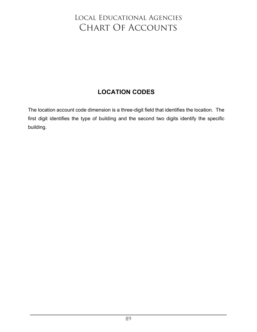## Local Educational Agencies CHART OF ACCOUNTS

## **LOCATION CODES**

The location account code dimension is a three-digit field that identifies the location. The first digit identifies the type of building and the second two digits identify the specific building.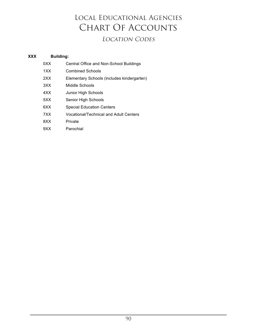## *LOCATION CODES* Location Codes

## **XXX Building:**

| 0XX | Central Office and Non-School Buildings       |
|-----|-----------------------------------------------|
| 1XX | Combined Schools                              |
| 2XX | Elementary Schools (includes kindergarten)    |
| 3XX | Middle Schools                                |
| 4XX | Junior High Schools                           |
| 5XX | Senior High Schools                           |
| 6XX | <b>Special Education Centers</b>              |
| 7XX | <b>Vocational/Technical and Adult Centers</b> |
| 8XX | Private                                       |
|     |                                               |

9XX Parochial